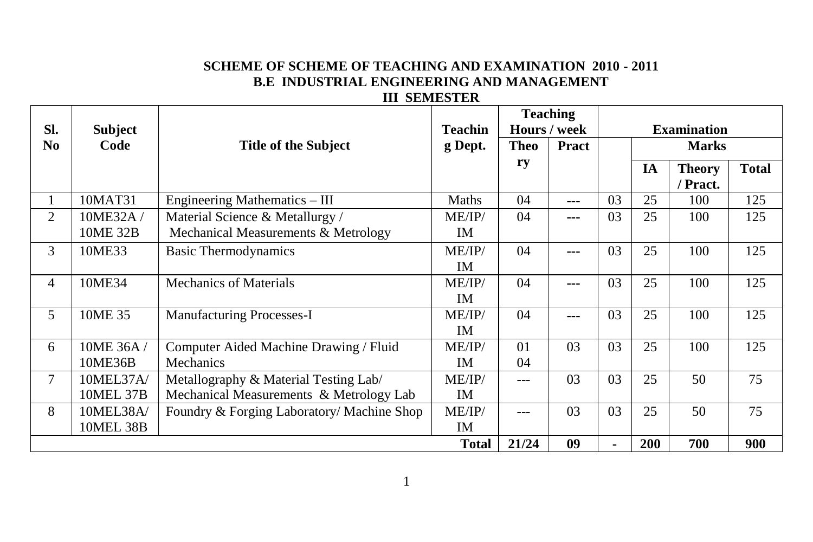# **SCHEME OF SCHEME OF TEACHING AND EXAMINATION 2010 - 2011 B.E INDUSTRIAL ENGINEERING AND MANAGEMENT**

### **III SEMESTER**

|                                                 |                  |                                            |                |             | <b>Teaching</b> |    |                    |                           |              |
|-------------------------------------------------|------------------|--------------------------------------------|----------------|-------------|-----------------|----|--------------------|---------------------------|--------------|
| SI.                                             | <b>Subject</b>   |                                            | <b>Teachin</b> |             | Hours / week    |    | <b>Examination</b> |                           |              |
| N <sub>0</sub>                                  | Code             | <b>Title of the Subject</b>                | g Dept.        | <b>Theo</b> | Pract           |    |                    | <b>Marks</b>              |              |
|                                                 |                  |                                            |                | ry          |                 |    | IA                 | <b>Theory</b><br>/ Pract. | <b>Total</b> |
| 1                                               | 10MAT31          | Engineering Mathematics - III              | Maths          | 04          | ---             | 03 | 25                 | 100                       | 125          |
| $\overline{2}$                                  | 10ME32A/         | Material Science & Metallurgy /            | ME/IP/         | 04          | ---             | 03 | 25                 | 100                       | 125          |
| Mechanical Measurements & Metrology<br>10ME 32B |                  | IM                                         |                |             |                 |    |                    |                           |              |
| 3<br>10ME33<br><b>Basic Thermodynamics</b>      |                  | ME/IP/                                     | 04             | ---         | 03              | 25 | 100                | 125                       |              |
|                                                 |                  |                                            | <b>IM</b>      |             |                 |    |                    |                           |              |
| 4                                               | 10ME34           | <b>Mechanics of Materials</b>              | ME/IP/         | 04          | ---             | 03 | 25                 | 100                       | 125          |
|                                                 |                  |                                            | IM             |             |                 |    |                    |                           |              |
| 5                                               | 10ME 35          | Manufacturing Processes-I                  | ME/IP/         | 04          | ---             | 03 | 25                 | 100                       | 125          |
|                                                 |                  |                                            | <b>IM</b>      |             |                 |    |                    |                           |              |
| 6                                               | 10ME 36A/        | Computer Aided Machine Drawing / Fluid     | ME/IP/         | 01          | 03              | 03 | 25                 | 100                       | 125          |
|                                                 | 10ME36B          | <b>Mechanics</b>                           | <b>IM</b>      | 04          |                 |    |                    |                           |              |
| 7                                               | 10MEL37A/        | Metallography & Material Testing Lab/      | ME/IP/         | ---         | 03              | 03 | 25                 | 50                        | 75           |
|                                                 | 10MEL 37B        | Mechanical Measurements & Metrology Lab    | <b>IM</b>      |             |                 |    |                    |                           |              |
| 8                                               | 10MEL38A/        | Foundry & Forging Laboratory/ Machine Shop | ME/IP/         |             | 03              | 03 | 25                 | 50                        | 75           |
|                                                 | <b>10MEL 38B</b> |                                            | IM             |             |                 |    |                    |                           |              |
|                                                 |                  |                                            | <b>Total</b>   | 21/24       | 09              |    | 200                | 700                       | 900          |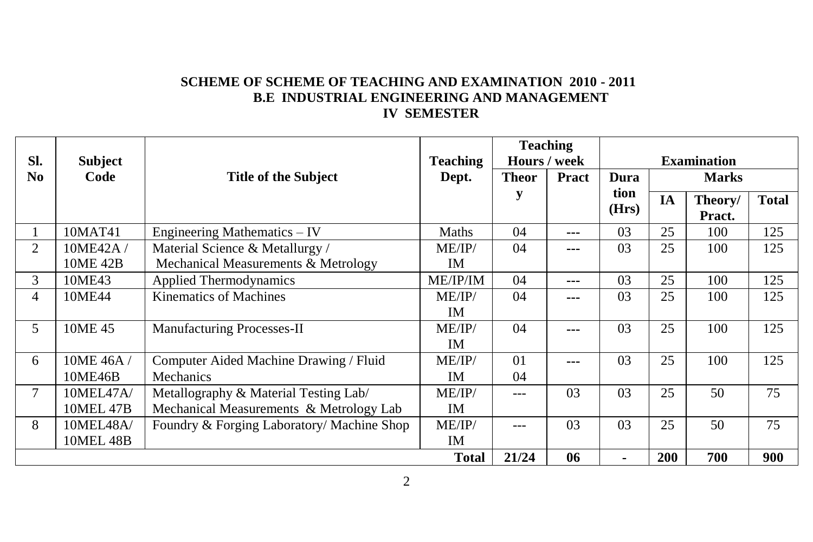# **SCHEME OF SCHEME OF TEACHING AND EXAMINATION 2010 - 2011 B.E INDUSTRIAL ENGINEERING AND MANAGEMENT IV SEMESTER**

| SI.<br><b>Subject</b> |                  | <b>Teaching</b>                            | <b>Teaching</b><br>Hours / week |                | <b>Examination</b> |               |            |                   |              |
|-----------------------|------------------|--------------------------------------------|---------------------------------|----------------|--------------------|---------------|------------|-------------------|--------------|
| N <sub>0</sub>        | Code             | <b>Title of the Subject</b>                | Dept.                           | <b>Theor</b>   | <b>Pract</b>       | Dura          |            | <b>Marks</b>      |              |
|                       |                  |                                            |                                 | у              |                    | tion<br>(Hrs) | IA         | Theory/<br>Pract. | <b>Total</b> |
| $\mathbf{I}$          | 10MAT41          | Engineering Mathematics - IV               | Maths                           | 04             | ---                | 03            | 25         | 100               | 125          |
| 2                     | 10ME42A/         | Material Science & Metallurgy /            | ME/IP/                          | 04             | ---                | 03            | 25         | 100               | 125          |
|                       | 10ME 42B         | Mechanical Measurements & Metrology        | IM                              |                |                    |               |            |                   |              |
| 3                     | 10ME43           | <b>Applied Thermodynamics</b>              | ME/IP/IM                        | 04             | ---                | 03            | 25         | 100               | 125          |
| 4                     | 10ME44           | Kinematics of Machines                     | ME/IP/                          | 04             | ---                | 03            | 25         | 100               | 125          |
|                       |                  |                                            | IM                              |                |                    |               |            |                   |              |
| 5                     | 10ME 45          | Manufacturing Processes-II                 | ME/IP/                          | 04             |                    | 03            | 25         | 100               | 125          |
|                       |                  |                                            | <b>IM</b>                       |                |                    |               |            |                   |              |
| 6                     | 10ME 46A /       | Computer Aided Machine Drawing / Fluid     | ME/IP/                          | 0 <sub>1</sub> | ---                | 03            | 25         | 100               | 125          |
|                       | 10ME46B          | Mechanics                                  | <b>IM</b>                       | 04             |                    |               |            |                   |              |
|                       | 10MEL47A/        | Metallography & Material Testing Lab/      | ME/IP/                          | $---$          | 0 <sub>3</sub>     | 03            | 25         | 50                | 75           |
|                       | <b>10MEL 47B</b> | Mechanical Measurements & Metrology Lab    | IM                              |                |                    |               |            |                   |              |
| 8                     | 10MEL48A/        | Foundry & Forging Laboratory/ Machine Shop | ME/IP/                          |                | 03                 | 03            | 25         | 50                | 75           |
|                       | <b>10MEL 48B</b> |                                            | IM.                             |                |                    |               |            |                   |              |
|                       |                  |                                            | <b>Total</b>                    | 21/24          | 06                 | ۰             | <b>200</b> | 700               | 900          |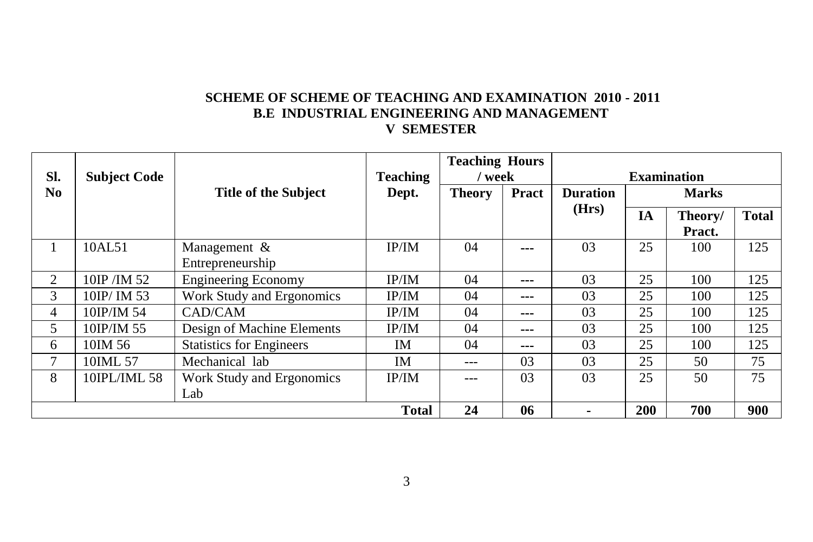## **SCHEME OF SCHEME OF TEACHING AND EXAMINATION 2010 - 2011 B.E INDUSTRIAL ENGINEERING AND MANAGEMENT V SEMESTER**

|                |                     |                                 |                 | <b>Teaching Hours</b> |       |                    |           |              |              |  |
|----------------|---------------------|---------------------------------|-----------------|-----------------------|-------|--------------------|-----------|--------------|--------------|--|
| SI.            | <b>Subject Code</b> |                                 | <b>Teaching</b> | ' week                |       | <b>Examination</b> |           |              |              |  |
| N <sub>0</sub> |                     | <b>Title of the Subject</b>     | Dept.           | <b>Theory</b>         | Pract | <b>Duration</b>    |           | <b>Marks</b> |              |  |
|                |                     |                                 |                 |                       |       | (Hrs)              | <b>IA</b> | Theory/      | <b>Total</b> |  |
|                |                     |                                 |                 |                       |       |                    |           | Pract.       |              |  |
|                | 10AL51              | Management $\&$                 | IP/IM           | 04                    | ---   | 03                 | 25        | 100          | 125          |  |
|                |                     | Entrepreneurship                |                 |                       |       |                    |           |              |              |  |
| 2              | 10IP/IM 52          | <b>Engineering Economy</b>      | IP/IM           | 04                    | ---   | 03                 | 25        | 100          | 125          |  |
| 3              | 10IP/ IM 53         | Work Study and Ergonomics       | IP/IM           | 04                    | ---   | 03                 | 25        | 100          | 125          |  |
| 4              | 10IP/IM 54          | CAD/CAM                         | IP/IM           | 04                    | ---   | 03                 | 25        | 100          | 125          |  |
| 5.             | 10IP/IM 55          | Design of Machine Elements      | IP/IM           | 04                    | ---   | 03                 | 25        | 100          | 125          |  |
| 6              | 10IM 56             | <b>Statistics for Engineers</b> | IM              | 04                    | ---   | 03                 | 25        | 100          | 125          |  |
| 7              | 10IML 57            | Mechanical lab                  | IM              | ---                   | 03    | 03                 | 25        | 50           | 75           |  |
| 8              | 10IPL/IML 58        | Work Study and Ergonomics       | IP/IM           |                       | 03    | 03                 | 25        | 50           | 75           |  |
|                |                     | Lab                             |                 |                       |       |                    |           |              |              |  |
|                |                     |                                 | <b>Total</b>    | 24                    | 06    | ۰                  | 200       | 700          | 900          |  |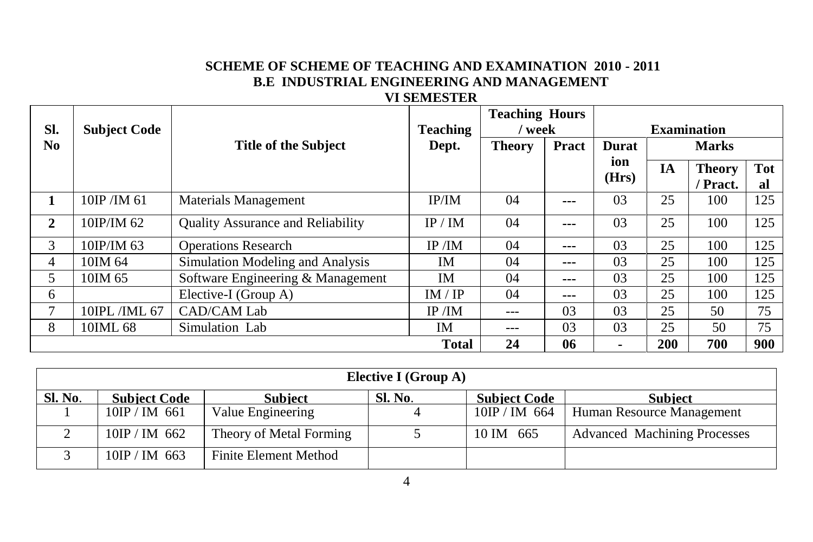# **SCHEME OF SCHEME OF TEACHING AND EXAMINATION 2010 - 2011 B.E INDUSTRIAL ENGINEERING AND MANAGEMENT**

#### **VI SEMESTER**

|                |                     |                                   |                 | <b>Teaching Hours</b> |         |              |              |                    |            |  |  |
|----------------|---------------------|-----------------------------------|-----------------|-----------------------|---------|--------------|--------------|--------------------|------------|--|--|
| SI.            | <b>Subject Code</b> |                                   | <b>Teaching</b> | ' week                |         |              |              | <b>Examination</b> |            |  |  |
| No.            |                     | <b>Title of the Subject</b>       | Dept.           | <b>Theory</b>         | Pract   | <b>Durat</b> | <b>Marks</b> |                    |            |  |  |
|                |                     |                                   |                 |                       |         | ion          | <b>IA</b>    | <b>Theory</b>      | <b>Tot</b> |  |  |
|                |                     |                                   |                 |                       |         | (Hrs)        |              | Pract.             | al         |  |  |
| 1              | 10IP/IM 61          | Materials Management              | IP/IM           | 04                    | ---     | 03           | 25           | 100                | 125        |  |  |
| $\mathbf{2}$   | 10IP/IM 62          | Quality Assurance and Reliability | IP/IM           | 04                    | $- - -$ | 03           | 25           | 100                | 125        |  |  |
| 3              | 10IP/IM 63          | <b>Operations Research</b>        | IP/IM           | 04                    | $---$   | 03           | 25           | 100                | 125        |  |  |
| 4              | 10IM 64             | Simulation Modeling and Analysis  | IM              | 04                    | ---     | 03           | 25           | 100                | 125        |  |  |
| 5              | 10IM 65             | Software Engineering & Management | <b>IM</b>       | 04                    | ---     | 03           | 25           | 100                | 125        |  |  |
| 6              |                     | Elective-I (Group A)              | IM / IP         | 04                    | ---     | 03           | 25           | 100                | 125        |  |  |
| $\overline{7}$ | 10IPL/IML 67        | CAD/CAM Lab                       | IP/IM           | ---                   | 03      | 03           | 25           | 50                 | 75         |  |  |
| 8              | 10IML 68            | Simulation Lab                    | IM              | ---                   | 03      | 03           | 25           | 50                 | 75         |  |  |
|                |                     |                                   | <b>Total</b>    | 24                    | 06      | ٠            | 200          | 700                | 900        |  |  |

| Elective I (Group A) |                     |                         |         |                     |                                     |  |  |  |  |  |
|----------------------|---------------------|-------------------------|---------|---------------------|-------------------------------------|--|--|--|--|--|
| Sl. No.              | <b>Subject Code</b> | <b>Subject</b>          | Sl. No. | <b>Subject Code</b> | <b>Subject</b>                      |  |  |  |  |  |
|                      | $10IP / IM$ 661     | Value Engineering       |         | $10$ IP / IM 664    | Human Resource Management           |  |  |  |  |  |
|                      | $10IP / IM$ 662     | Theory of Metal Forming |         | 10 IM 665           | <b>Advanced Machining Processes</b> |  |  |  |  |  |
|                      | $10$ IP / IM 663    | Finite Element Method   |         |                     |                                     |  |  |  |  |  |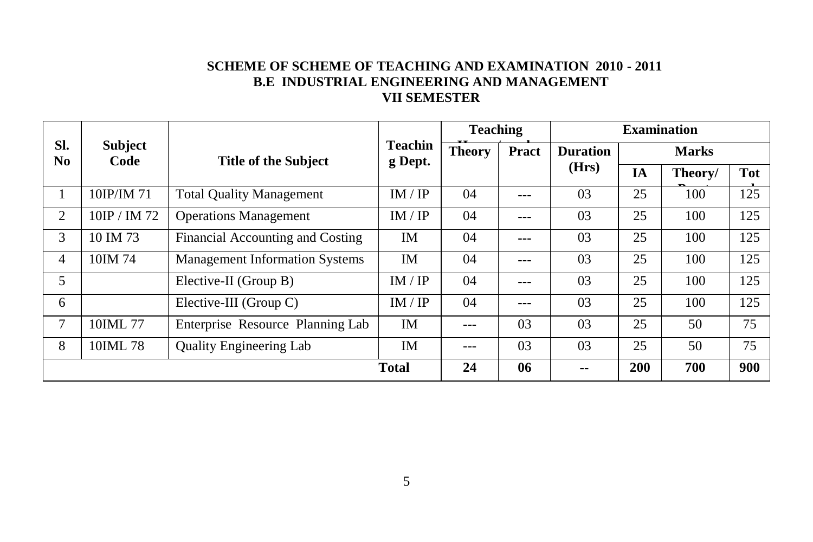# **SCHEME OF SCHEME OF TEACHING AND EXAMINATION 2010 - 2011 B.E INDUSTRIAL ENGINEERING AND MANAGEMENT VII SEMESTER**

|                       |                        |                                       |                           | <b>Teaching</b> |                | <b>Examination</b> |              |         |            |  |
|-----------------------|------------------------|---------------------------------------|---------------------------|-----------------|----------------|--------------------|--------------|---------|------------|--|
| SI.<br>N <sub>0</sub> | <b>Subject</b><br>Code | <b>Title of the Subject</b>           | <b>Teachin</b><br>g Dept. | <b>Theory</b>   | Pract          | <b>Duration</b>    | <b>Marks</b> |         |            |  |
|                       |                        |                                       |                           |                 |                | (Hrs)              | IA           | Theory/ | <b>Tot</b> |  |
|                       | 10IP/IM 71             | <b>Total Quality Management</b>       | IM / IP                   | 04              | $\overline{a}$ | 03                 | 25           | 100     | 125        |  |
| 2                     | 10IP / IM 72           | <b>Operations Management</b>          | IM / IP                   | 04              | $\overline{a}$ | 03                 | 25           | 100     | 125        |  |
| 3                     | 10 IM 73               | Financial Accounting and Costing      | IM                        | 04              | $\overline{a}$ | 03                 | 25           | 100     | 125        |  |
| 4                     | 10IM 74                | <b>Management Information Systems</b> | IM                        | 04              | ---            | 03                 | 25           | 100     | 125        |  |
| 5                     |                        | Elective-II (Group B)                 | IM / IP                   | 04              | $\overline{a}$ | 03                 | 25           | 100     | 125        |  |
| 6                     |                        | Elective-III (Group C)                | IM / IP                   | 04              | $\overline{a}$ | 03                 | 25           | 100     | 125        |  |
| 7                     | 10IML 77               | Enterprise Resource Planning Lab      | IM                        | ---             | 03             | 03                 | 25           | 50      | 75         |  |
| 8                     | 10IML 78               | <b>Quality Engineering Lab</b>        | <b>IM</b>                 | ---             | 03             | 03                 | 25           | 50      | 75         |  |
|                       |                        |                                       | <b>Total</b>              | 24              | 06             | --                 | <b>200</b>   | 700     | 900        |  |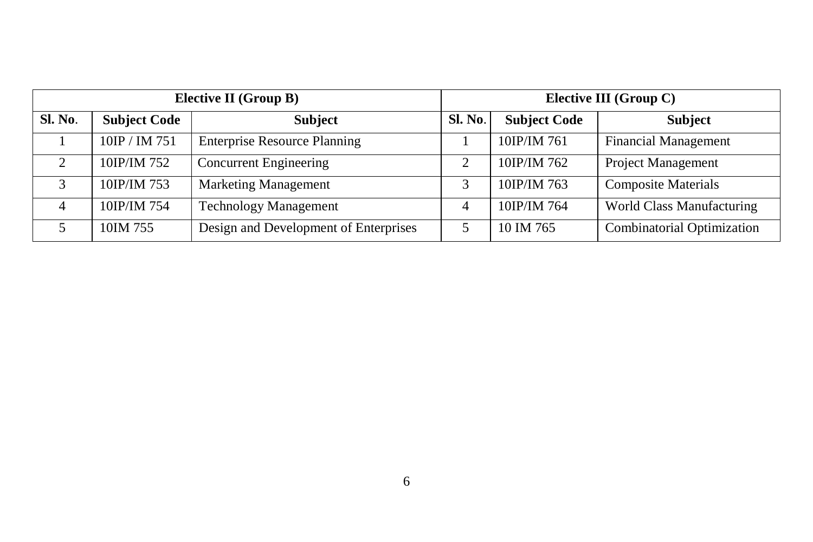|                |                     | Elective II (Group B)                 | Elective III (Group C) |                     |                                   |  |  |  |
|----------------|---------------------|---------------------------------------|------------------------|---------------------|-----------------------------------|--|--|--|
| Sl. No.        | <b>Subject Code</b> | <b>Subject</b>                        | <b>Sl. No.</b>         | <b>Subject Code</b> | <b>Subject</b>                    |  |  |  |
|                | 10IP / IM 751       | <b>Enterprise Resource Planning</b>   |                        | 10IP/IM 761         | <b>Financial Management</b>       |  |  |  |
| $\mathfrak{D}$ | 10IP/IM 752         | <b>Concurrent Engineering</b>         | 2                      | 10IP/IM 762         | <b>Project Management</b>         |  |  |  |
| 3              | 10IP/IM 753         | <b>Marketing Management</b>           |                        | 10IP/IM 763         | <b>Composite Materials</b>        |  |  |  |
| 4              | 10IP/IM 754         | <b>Technology Management</b>          |                        | 10IP/IM 764         | <b>World Class Manufacturing</b>  |  |  |  |
|                | 10IM 755            | Design and Development of Enterprises |                        | 10 IM 765           | <b>Combinatorial Optimization</b> |  |  |  |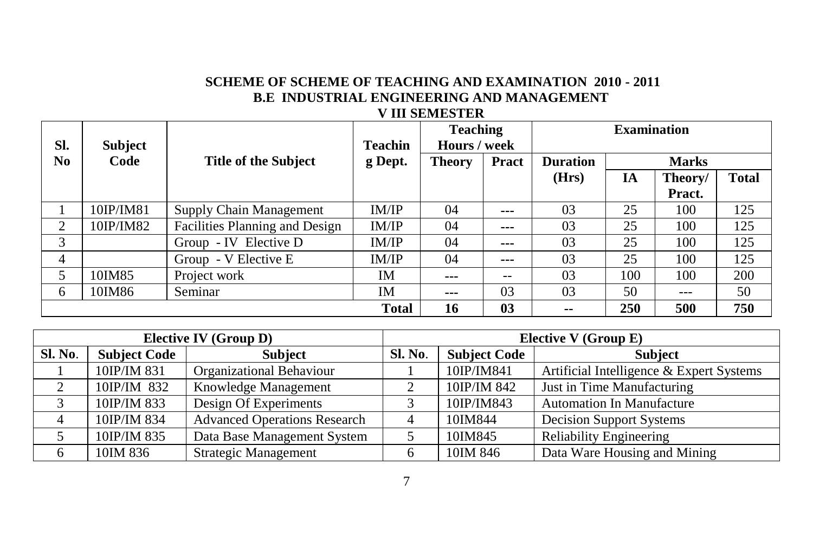# **SCHEME OF SCHEME OF TEACHING AND EXAMINATION 2010 - 2011 B.E INDUSTRIAL ENGINEERING AND MANAGEMENT V III SEMESTER**

|     |                |                                |                | <b>Teaching</b> |              | <b>Examination</b> |     |              |              |  |
|-----|----------------|--------------------------------|----------------|-----------------|--------------|--------------------|-----|--------------|--------------|--|
| SI. | <b>Subject</b> |                                | <b>Teachin</b> | Hours / week    |              |                    |     |              |              |  |
| No. | Code           | <b>Title of the Subject</b>    | g Dept.        | <b>Theory</b>   | <b>Pract</b> | <b>Duration</b>    |     | <b>Marks</b> |              |  |
|     |                |                                |                |                 |              | (Hrs)              | IA  | Theory/      | <b>Total</b> |  |
|     |                |                                |                |                 |              |                    |     | Pract.       |              |  |
|     | 10IP/IM81      | Supply Chain Management        | IM/IP          | 04              | $- - -$      | 03                 | 25  | 100          | 125          |  |
| 2   | 10IP/IM82      | Facilities Planning and Design | IM/IP          | 04              | $- - -$      | 03                 | 25  | 100          | 125          |  |
| 3   |                | Group - IV Elective D          | IM/IP          | 04              | $- - -$      | 03                 | 25  | 100          | 125          |  |
| 4   |                | Group - V Elective E           | IM/IP          | 04              | $- - -$      | 03                 | 25  | 100          | 125          |  |
| 5   | 10IM85         | Project work                   | IΜ             | $---$           | $- -$        | 03                 | 100 | 100          | 200          |  |
| 6   | 10IM86         | Seminar                        | IΜ             | ---             | 03           | 03                 | 50  | ---          | 50           |  |
|     |                |                                | 16             | 03              | --           | 250                | 500 | 750          |              |  |

| <b>Elective IV (Group D)</b> |                     |                                     |         | Elective V (Group E) |                                          |  |  |  |
|------------------------------|---------------------|-------------------------------------|---------|----------------------|------------------------------------------|--|--|--|
| Sl. No.                      | <b>Subject Code</b> | <b>Subject</b>                      | Sl. No. | <b>Subject Code</b>  | <b>Subject</b>                           |  |  |  |
|                              | 10IP/IM 831         | Organizational Behaviour            |         | 10IP/IM841           | Artificial Intelligence & Expert Systems |  |  |  |
| 2                            | 10IP/IM 832         | Knowledge Management                |         | 10IP/IM 842          | Just in Time Manufacturing               |  |  |  |
|                              | 10IP/IM 833         | Design Of Experiments               |         | 10IP/IM843           | <b>Automation In Manufacture</b>         |  |  |  |
|                              | 10IP/IM 834         | <b>Advanced Operations Research</b> |         | 10IM844              | <b>Decision Support Systems</b>          |  |  |  |
|                              | 10IP/IM 835         | Data Base Management System         |         | 10IM845              | <b>Reliability Engineering</b>           |  |  |  |
| 6                            | 10IM 836            | <b>Strategic Management</b>         |         | 10IM 846             | Data Ware Housing and Mining             |  |  |  |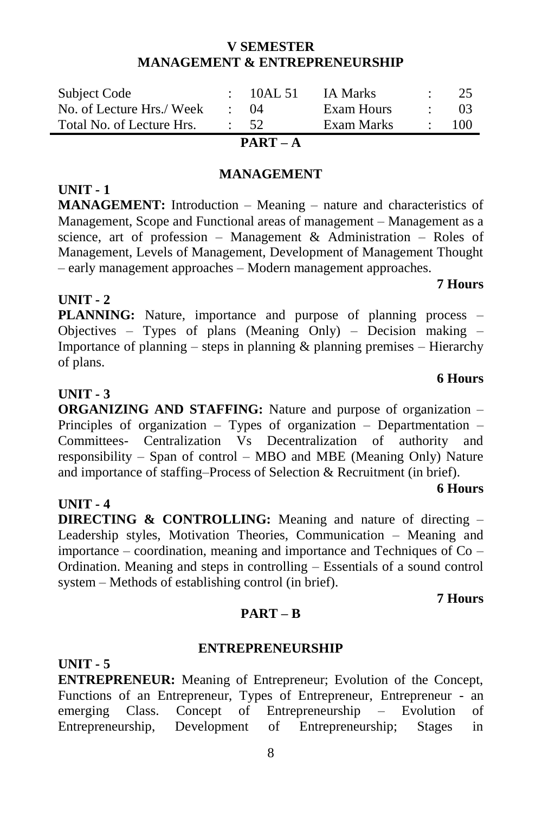# Importance of planning – steps in planning  $\&$  planning premises – Hierarchy

**PLANNING:** Nature, importance and purpose of planning process – Objectives – Types of plans (Meaning Only) – Decision making –

**UNIT - 3** 

of plans.

**UNIT - 2** 

**UNIT - 1** 

**ORGANIZING AND STAFFING:** Nature and purpose of organization – Principles of organization – Types of organization – Departmentation – Committees- Centralization Vs Decentralization of authority and responsibility – Span of control – MBO and MBE (Meaning Only) Nature and importance of staffing–Process of Selection & Recruitment (in brief).

# **UNIT - 4**

**DIRECTING & CONTROLLING:** Meaning and nature of directing – Leadership styles, Motivation Theories, Communication – Meaning and importance – coordination, meaning and importance and Techniques of Co – Ordination. Meaning and steps in controlling – Essentials of a sound control system – Methods of establishing control (in brief).

#### **PART – B**

#### **ENTREPRENEURSHIP**

**UNIT - 5** 

**ENTREPRENEUR:** Meaning of Entrepreneur; Evolution of the Concept, Functions of an Entrepreneur, Types of Entrepreneur, Entrepreneur - an emerging Class. Concept of Entrepreneurship – Evolution of Entrepreneurship, Development of Entrepreneurship; Stages in

#### Subject Code : 10AL 51 IA Marks : 25 No. of Lecture Hrs./ Week : 04 Exam Hours : 03 Total No. of Lecture Hrs. : 52 Exam Marks : 100

**V SEMESTER MANAGEMENT & ENTREPRENEURSHIP**

**PART – A**

## **MANAGEMENT**

**MANAGEMENT:** Introduction – Meaning – nature and characteristics of Management, Scope and Functional areas of management – Management as a

science, art of profession – Management & Administration – Roles of Management, Levels of Management, Development of Management Thought – early management approaches – Modern management approaches.

# **7 Hours**

# **6 Hours**

# **7 Hours**

**6 Hours**

# 8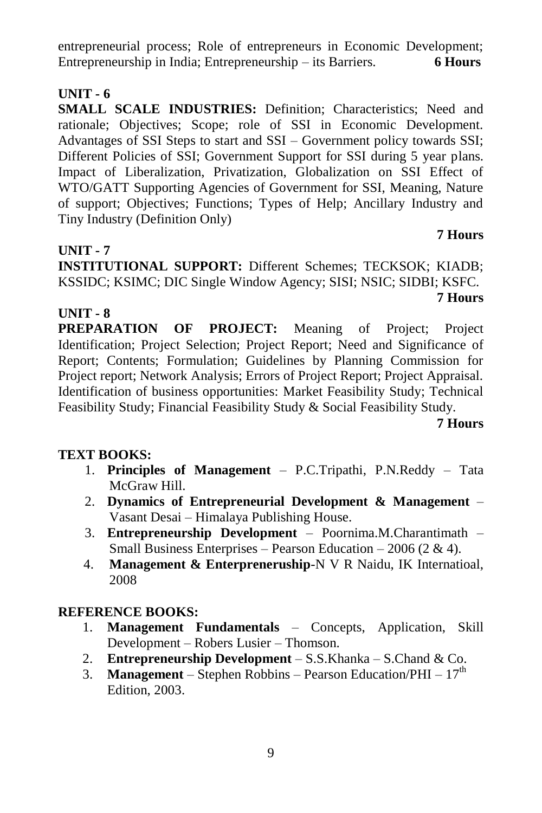entrepreneurial process; Role of entrepreneurs in Economic Development; Entrepreneurship in India; Entrepreneurship – its Barriers. **6 Hours**

# **UNIT - 6**

**SMALL SCALE INDUSTRIES:** Definition: Characteristics: Need and rationale; Objectives; Scope; role of SSI in Economic Development. Advantages of SSI Steps to start and SSI – Government policy towards SSI; Different Policies of SSI; Government Support for SSI during 5 year plans. Impact of Liberalization, Privatization, Globalization on SSI Effect of WTO/GATT Supporting Agencies of Government for SSI, Meaning, Nature of support; Objectives; Functions; Types of Help; Ancillary Industry and Tiny Industry (Definition Only)

# **UNIT - 7**

**INSTITUTIONAL SUPPORT:** Different Schemes; TECKSOK; KIADB; KSSIDC; KSIMC; DIC Single Window Agency; SISI; NSIC; SIDBI; KSFC. **7 Hours**

# **UNIT - 8**

**PREPARATION OF PROJECT:** Meaning of Project; Project Identification; Project Selection; Project Report; Need and Significance of Report; Contents; Formulation; Guidelines by Planning Commission for Project report; Network Analysis; Errors of Project Report; Project Appraisal. Identification of business opportunities: Market Feasibility Study; Technical Feasibility Study; Financial Feasibility Study & Social Feasibility Study.

#### **7 Hours**

**7 Hours**

# **TEXT BOOKS:**

- 1. **Principles of Management** P.C.Tripathi, P.N.Reddy Tata McGraw Hill.
- 2. **Dynamics of Entrepreneurial Development & Management** Vasant Desai – Himalaya Publishing House.
- 3. **Entrepreneurship Development** Poornima.M.Charantimath Small Business Enterprises – Pearson Education – 2006 (2 & 4).
- 4. **Management & Enterpreneruship**-N V R Naidu, IK Internatioal, 2008

- 1. **Management Fundamentals** Concepts, Application, Skill Development – Robers Lusier – Thomson.
- 2. **Entrepreneurship Development** S.S.Khanka S.Chand & Co.
- 3. **Management** Stephen Robbins Pearson Education/PHI  $17<sup>th</sup>$ Edition, 2003.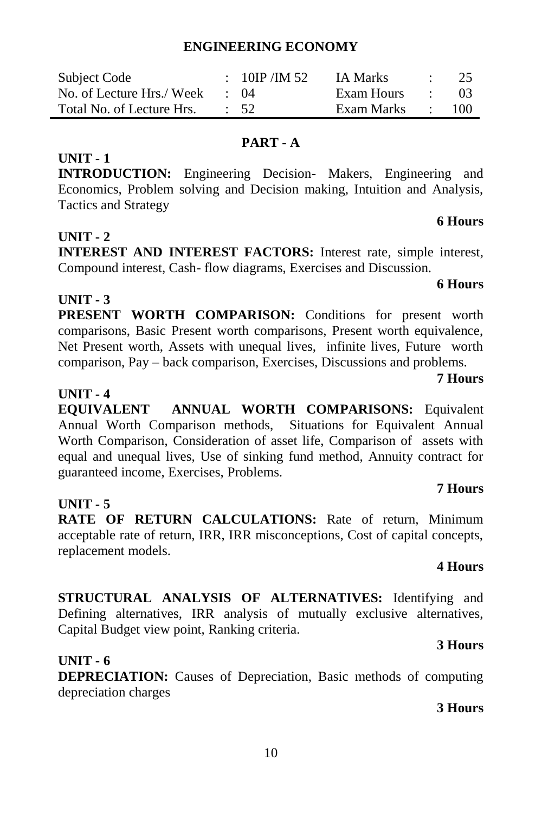# **ENGINEERING ECONOMY**

| Subject Code              | : 10IP / IM 52  | IA Marks   | -25 |
|---------------------------|-----------------|------------|-----|
| No. of Lecture Hrs./ Week | $\cdot$ ()4     | Exam Hours | -03 |
| Total No. of Lecture Hrs. | $\therefore$ 52 | Exam Marks | 100 |

# **PART - A**

**INTRODUCTION:** Engineering Decision- Makers, Engineering and Economics, Problem solving and Decision making, Intuition and Analysis, Tactics and Strategy

# **UNIT - 2**

**UNIT - 1**

**INTEREST AND INTEREST FACTORS:** Interest rate, simple interest, Compound interest, Cash- flow diagrams, Exercises and Discussion.

# **UNIT - 3**

PRESENT WORTH COMPARISON: Conditions for present worth comparisons, Basic Present worth comparisons, Present worth equivalence, Net Present worth, Assets with unequal lives, infinite lives, Future worth comparison, Pay – back comparison, Exercises, Discussions and problems.

# **UNIT - 4**

**EQUIVALENT ANNUAL WORTH COMPARISONS:** Equivalent Annual Worth Comparison methods, Situations for Equivalent Annual Worth Comparison, Consideration of asset life, Comparison of assets with equal and unequal lives, Use of sinking fund method, Annuity contract for guaranteed income, Exercises, Problems.

# **UNIT - 5**

RATE OF RETURN CALCULATIONS: Rate of return, Minimum acceptable rate of return, IRR, IRR misconceptions, Cost of capital concepts, replacement models.

**STRUCTURAL ANALYSIS OF ALTERNATIVES:** Identifying and Defining alternatives, IRR analysis of mutually exclusive alternatives, Capital Budget view point, Ranking criteria.

# **UNIT - 6**

**DEPRECIATION:** Causes of Depreciation, Basic methods of computing depreciation charges

# **3 Hours**

# **7 Hours**

## **6 Hours**

**7 Hours**

**6 Hours**

# **4 Hours**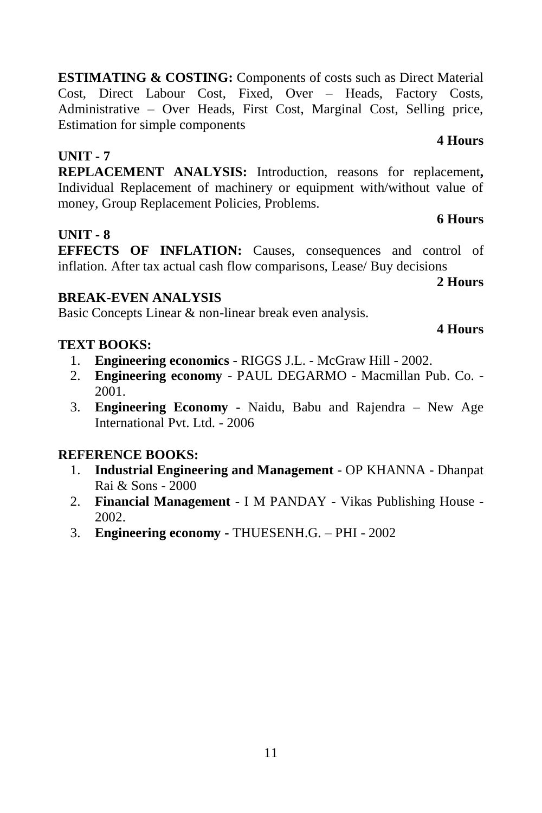**ESTIMATING & COSTING:** Components of costs such as Direct Material Cost, Direct Labour Cost, Fixed, Over – Heads, Factory Costs, Administrative – Over Heads, First Cost, Marginal Cost, Selling price, Estimation for simple components

# **UNIT - 7**

**REPLACEMENT ANALYSIS:** Introduction, reasons for replacement**,**  Individual Replacement of machinery or equipment with/without value of money, Group Replacement Policies, Problems.

# **UNIT - 8**

**EFFECTS OF INFLATION:** Causes, consequences and control of inflation. After tax actual cash flow comparisons, Lease/ Buy decisions

# **BREAK-EVEN ANALYSIS**

Basic Concepts Linear & non-linear break even analysis.

# **TEXT BOOKS:**

- 1. **Engineering economics** RIGGS J.L. McGraw Hill 2002.
- 2. **Engineering economy** PAUL DEGARMO Macmillan Pub. Co. 2001.
- 3. **Engineering Economy** Naidu, Babu and Rajendra New Age International Pvt. Ltd. - 2006

# **REFERENCE BOOKS:**

- 1. **Industrial Engineering and Management** OP KHANNA Dhanpat Rai & Sons - 2000
- 2. **Financial Management**  I M PANDAY Vikas Publishing House 2002.
- 3. **Engineering economy -** THUESENH.G. PHI 2002

# **4 Hours**

**6 Hours** 

# **4 Hours**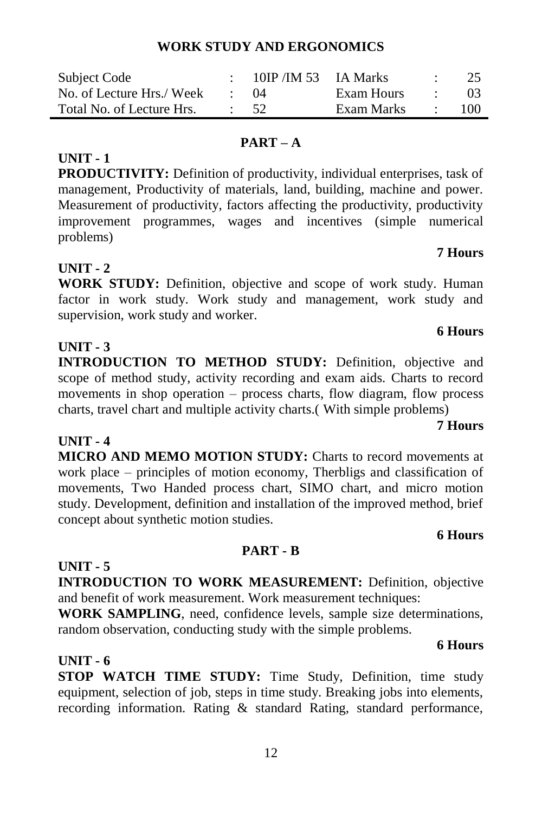# **WORK STUDY AND ERGONOMICS**

| Subject Code              | 10IP/IM 53 IA Marks |            |                   | 25    |
|---------------------------|---------------------|------------|-------------------|-------|
| No. of Lecture Hrs./ Week | (1)4                | Exam Hours | and the state     | $03-$ |
| Total No. of Lecture Hrs. | - 52                | Exam Marks | $\sim$ 100 $\sim$ | 100   |

# **PART – A**

**PRODUCTIVITY:** Definition of productivity, individual enterprises, task of management, Productivity of materials, land, building, machine and power. Measurement of productivity, factors affecting the productivity, productivity improvement programmes, wages and incentives (simple numerical problems)

# **UNIT - 2**

**UNIT - 1**

**WORK STUDY:** Definition, objective and scope of work study. Human factor in work study. Work study and management, work study and supervision, work study and worker.

# **UNIT - 3**

**INTRODUCTION TO METHOD STUDY:** Definition, objective and scope of method study, activity recording and exam aids. Charts to record movements in shop operation – process charts, flow diagram, flow process charts, travel chart and multiple activity charts.( With simple problems)

**UNIT - 4 MICRO AND MEMO MOTION STUDY:** Charts to record movements at work place – principles of motion economy, Therbligs and classification of movements, Two Handed process chart, SIMO chart, and micro motion study. Development, definition and installation of the improved method, brief concept about synthetic motion studies.

# **6 Hours**

# **PART - B**

**INTRODUCTION TO WORK MEASUREMENT:** Definition, objective and benefit of work measurement. Work measurement techniques:

**WORK SAMPLING**, need, confidence levels, sample size determinations, random observation, conducting study with the simple problems.

# **UNIT - 6**

**UNIT - 5**

**STOP WATCH TIME STUDY:** Time Study, Definition, time study equipment, selection of job, steps in time study. Breaking jobs into elements, recording information. Rating & standard Rating, standard performance,

# **6 Hours**

**7 Hours**

# **7 Hours**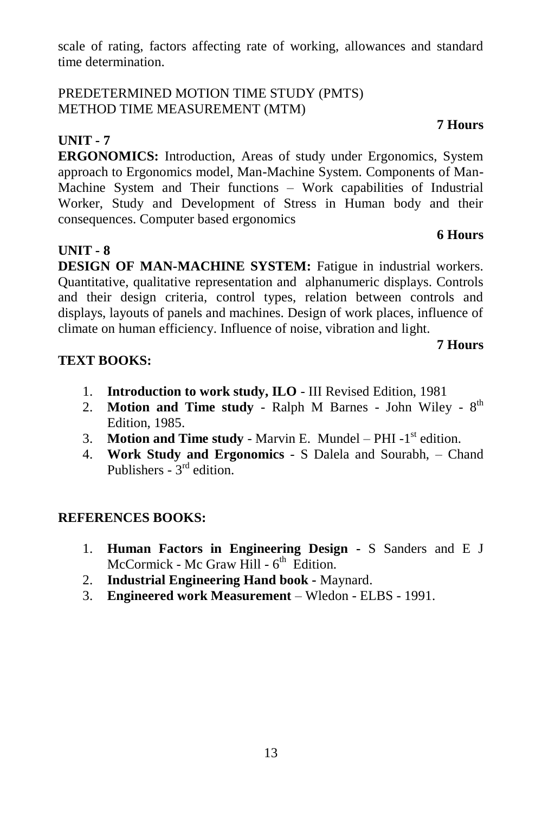scale of rating, factors affecting rate of working, allowances and standard time determination.

# PREDETERMINED MOTION TIME STUDY (PMTS) METHOD TIME MEASUREMENT (MTM)

# **UNIT - 7**

**ERGONOMICS:** Introduction, Areas of study under Ergonomics, System approach to Ergonomics model, Man-Machine System. Components of Man-Machine System and Their functions – Work capabilities of Industrial Worker, Study and Development of Stress in Human body and their consequences. Computer based ergonomics

# **UNIT - 8**

**DESIGN OF MAN-MACHINE SYSTEM:** Fatigue in industrial workers. Quantitative, qualitative representation and alphanumeric displays. Controls and their design criteria, control types, relation between controls and displays, layouts of panels and machines. Design of work places, influence of climate on human efficiency. Influence of noise, vibration and light.

# **7 Hours**

**6 Hours**

# **TEXT BOOKS:**

- 1. **Introduction to work study, ILO** III Revised Edition, 1981
- 2. **Motion and Time study** Ralph M Barnes John Wiley 8<sup>th</sup> Edition, 1985.
- 3. **Motion and Time study** Marvin E. Mundel  $-$  PHI -1<sup>st</sup> edition.
- 4. **Work Study and Ergonomics** S Dalela and Sourabh, Chand Publishers -  $3<sup>rd</sup>$  edition.

# **REFERENCES BOOKS:**

- 1. **Human Factors in Engineering Design -** S Sanders and E J McCormick - Mc Graw Hill - 6<sup>th</sup> Edition.
- 2. **Industrial Engineering Hand book -** Maynard.
- 3. **Engineered work Measurement** Wledon ELBS 1991.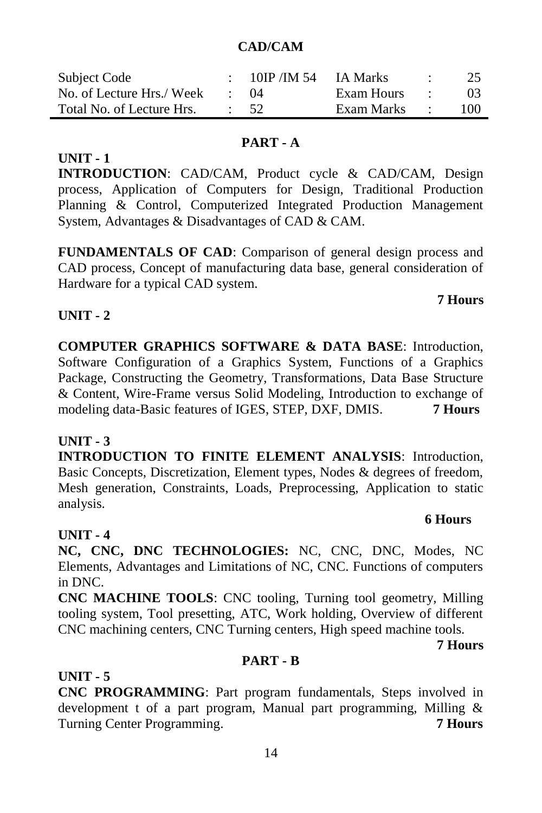# **CAD/CAM**

| Subject Code              | $10$ IP /IM 54 IA Marks |                       |                          | 25     |
|---------------------------|-------------------------|-----------------------|--------------------------|--------|
| No. of Lecture Hrs./ Week | (1)4                    | Exam Hours            | <b>Contract Contract</b> | $03 -$ |
| Total No. of Lecture Hrs. | - 52.                   | Exam Marks $\qquad$ : |                          | 100    |

# **PART - A**

**INTRODUCTION**: CAD/CAM, Product cycle & CAD/CAM, Design process, Application of Computers for Design, Traditional Production Planning & Control, Computerized Integrated Production Management System, Advantages & Disadvantages of CAD & CAM.

**FUNDAMENTALS OF CAD**: Comparison of general design process and CAD process, Concept of manufacturing data base, general consideration of Hardware for a typical CAD system.

# **UNIT - 2**

**UNIT - 1**

**COMPUTER GRAPHICS SOFTWARE & DATA BASE**: Introduction, Software Configuration of a Graphics System, Functions of a Graphics Package, Constructing the Geometry, Transformations, Data Base Structure & Content, Wire-Frame versus Solid Modeling, Introduction to exchange of modeling data-Basic features of IGES, STEP, DXF, DMIS. **7 Hours**

# **UNIT - 3**

**INTRODUCTION TO FINITE ELEMENT ANALYSIS**: Introduction, Basic Concepts, Discretization, Element types, Nodes & degrees of freedom, Mesh generation, Constraints, Loads, Preprocessing, Application to static analysis.

# **UNIT - 4**

**NC, CNC, DNC TECHNOLOGIES:** NC, CNC, DNC, Modes, NC Elements, Advantages and Limitations of NC, CNC. Functions of computers in DNC.

**CNC MACHINE TOOLS**: CNC tooling, Turning tool geometry, Milling tooling system, Tool presetting, ATC, Work holding, Overview of different CNC machining centers, CNC Turning centers, High speed machine tools.

**7 Hours**

# **PART - B**

**UNIT - 5**

**CNC PROGRAMMING**: Part program fundamentals, Steps involved in development t of a part program, Manual part programming, Milling & Turning Center Programming. **7 Hours**

# **7 Hours**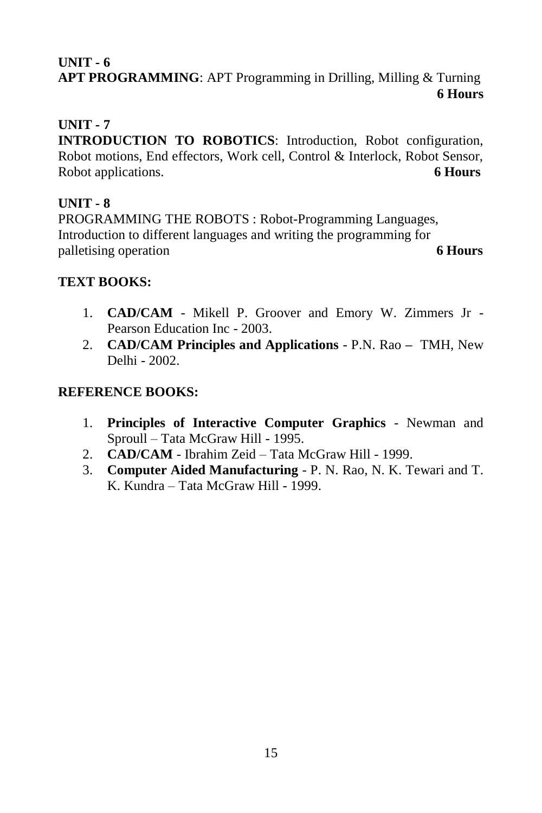# **UNIT - 6 APT PROGRAMMING**: APT Programming in Drilling, Milling & Turning **6 Hours**

# **UNIT - 7**

**INTRODUCTION TO ROBOTICS:** Introduction, Robot configuration, Robot motions, End effectors, Work cell, Control & Interlock, Robot Sensor, Robot applications. **6 Hours**

# **UNIT - 8**

PROGRAMMING THE ROBOTS : Robot-Programming Languages, Introduction to different languages and writing the programming for palletising operation **6 Hours**

# **TEXT BOOKS:**

- 1. **CAD/CAM** Mikell P. Groover and Emory W. Zimmers Jr Pearson Education Inc - 2003.
- 2. **CAD/CAM Principles and Applications** P.N. Rao **–** TMH, New Delhi - 2002.

- 1. **Principles of Interactive Computer Graphics** Newman and Sproull – Tata McGraw Hill - 1995.
- 2. **CAD/CAM** Ibrahim Zeid Tata McGraw Hill 1999.
- 3. **Computer Aided Manufacturing** P. N. Rao, N. K. Tewari and T. K. Kundra – Tata McGraw Hill - 1999.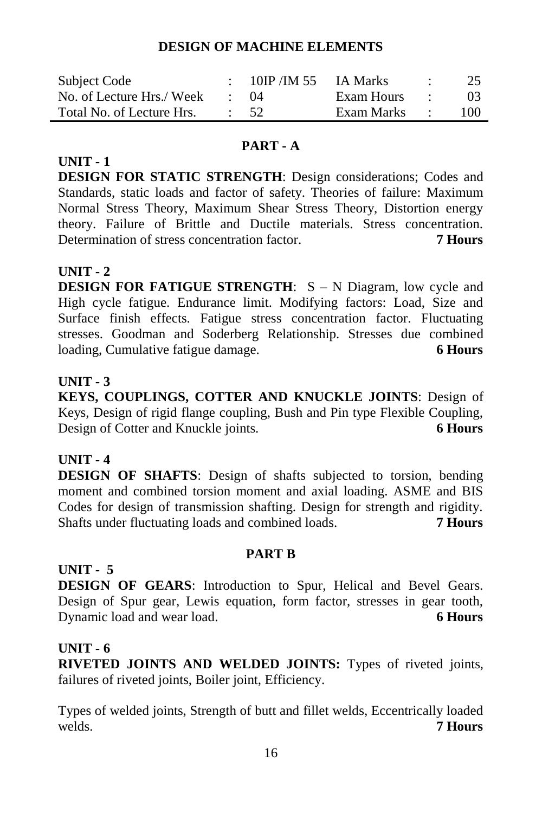## **DESIGN OF MACHINE ELEMENTS**

| Subject Code              | 10IP/IM $55$ IA Marks |              | 25              |
|---------------------------|-----------------------|--------------|-----------------|
| No. of Lecture Hrs./ Week | $\cdot$ ()4           | Exam Hours : | 03 <sup>2</sup> |
| Total No. of Lecture Hrs. | $\div$ 52             | Exam Marks : | 100.            |

# **PART - A**

**DESIGN FOR STATIC STRENGTH**: Design considerations; Codes and Standards, static loads and factor of safety. Theories of failure: Maximum Normal Stress Theory, Maximum Shear Stress Theory, Distortion energy theory. Failure of Brittle and Ductile materials. Stress concentration. Determination of stress concentration factor. **7 Hours**

# **UNIT - 2**

**UNIT - 1**

**DESIGN FOR FATIGUE STRENGTH:** S – N Diagram, low cycle and High cycle fatigue. Endurance limit. Modifying factors: Load, Size and Surface finish effects. Fatigue stress concentration factor. Fluctuating stresses. Goodman and Soderberg Relationship. Stresses due combined loading, Cumulative fatigue damage. **6 Hours**

## **UNIT - 3**

**KEYS, COUPLINGS, COTTER AND KNUCKLE JOINTS**: Design of Keys, Design of rigid flange coupling, Bush and Pin type Flexible Coupling, Design of Cotter and Knuckle joints. **6 Hours**

# **UNIT - 4**

**DESIGN OF SHAFTS**: Design of shafts subjected to torsion, bending moment and combined torsion moment and axial loading. ASME and BIS Codes for design of transmission shafting. Design for strength and rigidity. Shafts under fluctuating loads and combined loads. **7 Hours** 

#### **PART B**

# **UNIT - 5**

**DESIGN OF GEARS**: Introduction to Spur, Helical and Bevel Gears. Design of Spur gear, Lewis equation, form factor, stresses in gear tooth, Dynamic load and wear load. **6 Hours**

#### **UNIT - 6**

**RIVETED JOINTS AND WELDED JOINTS:** Types of riveted joints, failures of riveted joints, Boiler joint, Efficiency.

Types of welded joints, Strength of butt and fillet welds, Eccentrically loaded welds. **7 Hours**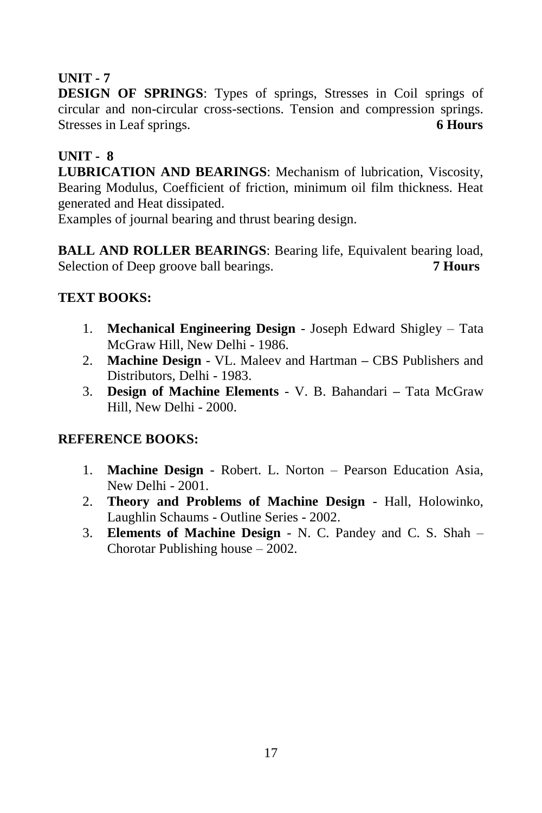# **UNIT - 7**

**DESIGN OF SPRINGS**: Types of springs, Stresses in Coil springs of circular and non-circular cross-sections. Tension and compression springs. Stresses in Leaf springs. **6 Hours**

# **UNIT - 8**

**LUBRICATION AND BEARINGS**: Mechanism of lubrication, Viscosity, Bearing Modulus, Coefficient of friction, minimum oil film thickness. Heat generated and Heat dissipated.

Examples of journal bearing and thrust bearing design.

**BALL AND ROLLER BEARINGS**: Bearing life, Equivalent bearing load, Selection of Deep groove ball bearings. **7 Hours**

# **TEXT BOOKS:**

- 1. **Mechanical Engineering Design** Joseph Edward Shigley Tata McGraw Hill, New Delhi - 1986.
- 2. **Machine Design** VL. Maleev and Hartman **–** CBS Publishers and Distributors, Delhi - 1983.
- 3. **Design of Machine Elements** V. B. Bahandari **–** Tata McGraw Hill, New Delhi - 2000.

- 1. **Machine Design** Robert. L. Norton Pearson Education Asia, New Delhi - 2001.
- 2. **Theory and Problems of Machine Design** Hall, Holowinko, Laughlin Schaums - Outline Series - 2002.
- 3. **Elements of Machine Design** N. C. Pandey and C. S. Shah Chorotar Publishing house – 2002.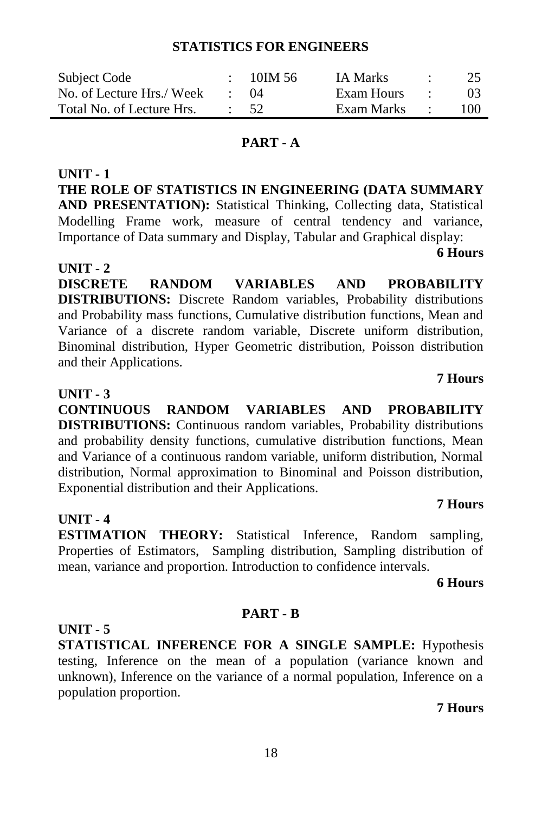## **STATISTICS FOR ENGINEERS**

| Subject Code              | $-10$ IM 56 | <b>IA Marks</b> |                  | 25             |
|---------------------------|-------------|-----------------|------------------|----------------|
| No. of Lecture Hrs./ Week | (1)4        | Exam Hours      |                  | 0 <sup>3</sup> |
| Total No. of Lecture Hrs. | - 52.       | Exam Marks      | $\sim$ 100 $\pm$ | 100            |

#### **PART - A**

**UNIT - 1 THE ROLE OF STATISTICS IN ENGINEERING (DATA SUMMARY AND PRESENTATION):** Statistical Thinking, Collecting data, Statistical Modelling Frame work, measure of central tendency and variance, Importance of Data summary and Display, Tabular and Graphical display:

**6 Hours**

**DISCRETE RANDOM VARIABLES AND PROBABILITY DISTRIBUTIONS:** Discrete Random variables, Probability distributions and Probability mass functions, Cumulative distribution functions, Mean and Variance of a discrete random variable, Discrete uniform distribution, Binominal distribution, Hyper Geometric distribution, Poisson distribution and their Applications.

#### **UNIT - 3**

**UNIT - 2**

**CONTINUOUS RANDOM VARIABLES AND PROBABILITY DISTRIBUTIONS:** Continuous random variables, Probability distributions and probability density functions, cumulative distribution functions, Mean and Variance of a continuous random variable, uniform distribution, Normal distribution, Normal approximation to Binominal and Poisson distribution, Exponential distribution and their Applications.

#### **UNIT - 4**

**ESTIMATION THEORY:** Statistical Inference, Random sampling, Properties of Estimators, Sampling distribution, Sampling distribution of mean, variance and proportion. Introduction to confidence intervals.

**6 Hours** 

**7 Hours**

#### **UNIT - 5**

**STATISTICAL INFERENCE FOR A SINGLE SAMPLE:** Hypothesis testing, Inference on the mean of a population (variance known and unknown), Inference on the variance of a normal population, Inference on a population proportion.

**PART - B**

**7 Hours**

18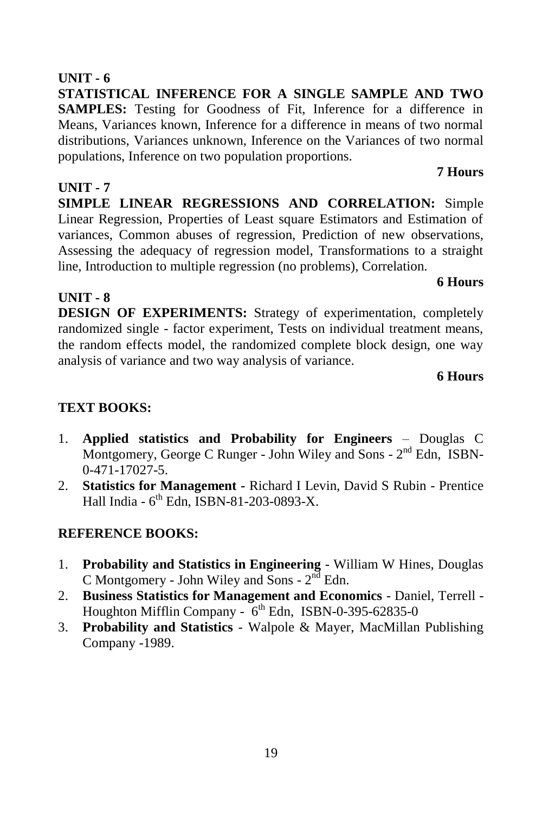# **UNIT - 6**

**STATISTICAL INFERENCE FOR A SINGLE SAMPLE AND TWO SAMPLES:** Testing for Goodness of Fit, Inference for a difference in Means, Variances known, Inference for a difference in means of two normal distributions, Variances unknown, Inference on the Variances of two normal populations, Inference on two population proportions.

# **UNIT - 7**

**UNIT - 8**

**SIMPLE LINEAR REGRESSIONS AND CORRELATION:** Simple Linear Regression, Properties of Least square Estimators and Estimation of variances, Common abuses of regression, Prediction of new observations, Assessing the adequacy of regression model, Transformations to a straight line, Introduction to multiple regression (no problems), Correlation.

# **6 Hours**

**7 Hours**

**DESIGN OF EXPERIMENTS:** Strategy of experimentation, completely randomized single - factor experiment, Tests on individual treatment means, the random effects model, the randomized complete block design, one way analysis of variance and two way analysis of variance.

# **6 Hours**

# **TEXT BOOKS:**

- 1. **Applied statistics and Probability for Engineers** Douglas C Montgomery, George C Runger - John Wiley and Sons - 2<sup>nd</sup> Edn, ISBN-0-471-17027-5.
- 2. **Statistics for Management -** Richard I Levin, David S Rubin Prentice Hall India - 6<sup>th</sup> Edn, ISBN-81-203-0893-X.

- 1. **Probability and Statistics in Engineering** William W Hines, Douglas C Montgomery - John Wiley and Sons -  $2<sup>nd</sup>$  Edn.
- 2. **Business Statistics for Management and Economics** Daniel, Terrell Houghton Mifflin Company - 6<sup>th</sup> Edn, ISBN-0-395-62835-0
- 3. **Probability and Statistics** Walpole & Mayer, MacMillan Publishing Company -1989.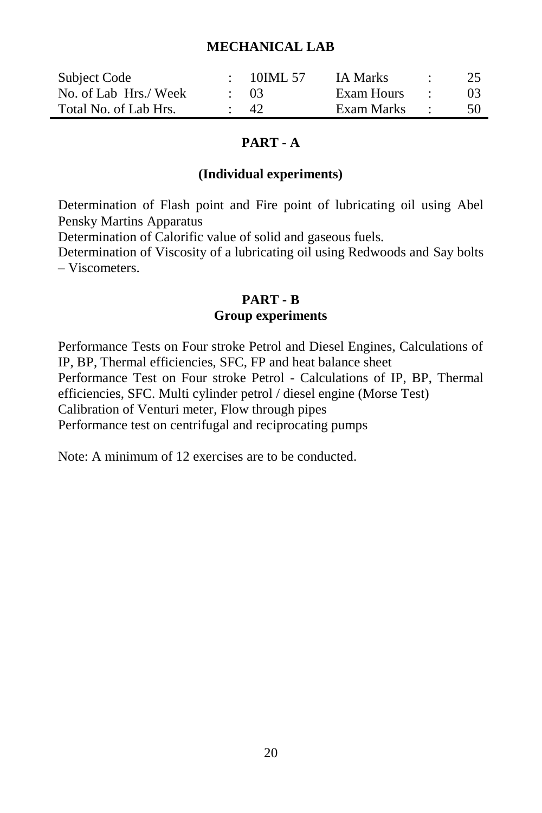#### **MECHANICAL LAB**

| Subject Code          | 10IML 57  | <b>IA Marks</b> | 25  |
|-----------------------|-----------|-----------------|-----|
| No. of Lab Hrs./ Week | $\sim$ 03 | Exam Hours      |     |
| Total No. of Lab Hrs. | -42.      | Exam Marks      | -50 |

### **PART - A**

#### **(Individual experiments)**

Determination of Flash point and Fire point of lubricating oil using Abel Pensky Martins Apparatus

Determination of Calorific value of solid and gaseous fuels.

Determination of Viscosity of a lubricating oil using Redwoods and Say bolts – Viscometers.

### **PART - B**

#### **Group experiments**

Performance Tests on Four stroke Petrol and Diesel Engines, Calculations of IP, BP, Thermal efficiencies, SFC, FP and heat balance sheet Performance Test on Four stroke Petrol - Calculations of IP, BP, Thermal efficiencies, SFC. Multi cylinder petrol / diesel engine (Morse Test) Calibration of Venturi meter, Flow through pipes Performance test on centrifugal and reciprocating pumps

Note: A minimum of 12 exercises are to be conducted.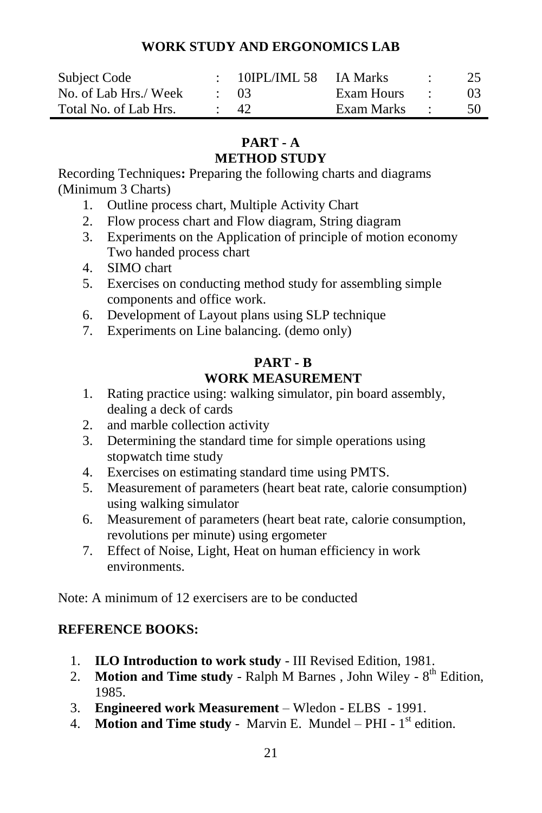# **WORK STUDY AND ERGONOMICS LAB**

| Subject Code          | 10IPL/IML 58 IA Marks |            | 25  |
|-----------------------|-----------------------|------------|-----|
| No. of Lab Hrs./ Week | $\cdot$ 03            | Exam Hours |     |
| Total No. of Lab Hrs. | -42.                  | Exam Marks | 50. |

# **PART - A METHOD STUDY**

Recording Techniques**:** Preparing the following charts and diagrams (Minimum 3 Charts)

- 1. Outline process chart, Multiple Activity Chart
- 2. Flow process chart and Flow diagram, String diagram
- 3. Experiments on the Application of principle of motion economy Two handed process chart
- 4. SIMO chart
- 5. Exercises on conducting method study for assembling simple components and office work.
- 6. Development of Layout plans using SLP technique
- 7. Experiments on Line balancing. (demo only)

# **PART - B WORK MEASUREMENT**

- 1. Rating practice using: walking simulator, pin board assembly, dealing a deck of cards
- 2. and marble collection activity
- 3. Determining the standard time for simple operations using stopwatch time study
- 4. Exercises on estimating standard time using PMTS.
- 5. Measurement of parameters (heart beat rate, calorie consumption) using walking simulator
- 6. Measurement of parameters (heart beat rate, calorie consumption, revolutions per minute) using ergometer
- 7. Effect of Noise, Light, Heat on human efficiency in work environments.

Note: A minimum of 12 exercisers are to be conducted

- 1. **ILO Introduction to work study** III Revised Edition, 1981.
- 2. **Motion and Time study** Ralph M Barnes, John Wiley  $8<sup>th</sup>$  Edition, 1985.
- 3. **Engineered work Measurement** Wledon ELBS 1991.
- 4. **Motion and Time study** Marvin E. Mundel PHI  $1<sup>st</sup>$  edition.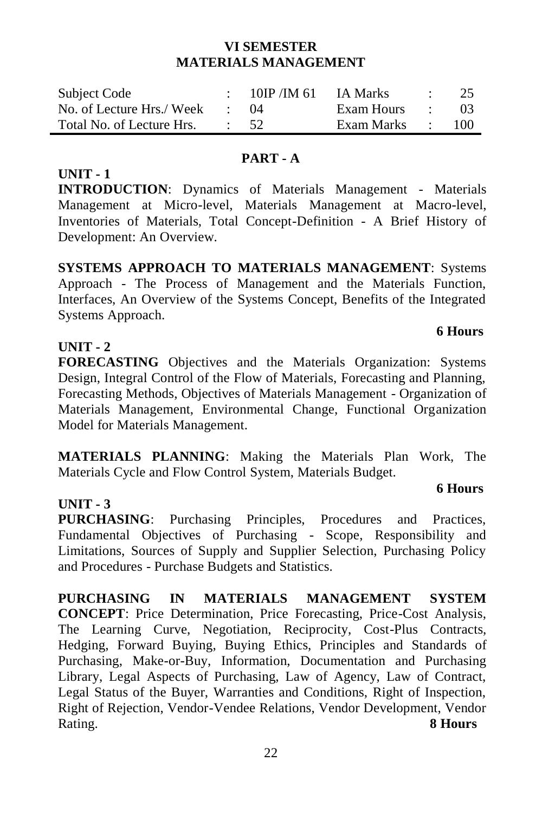## **VI SEMESTER MATERIALS MANAGEMENT**

| Subject Code              | $10$ IP /IM 61  | IA Marks   | 25  |
|---------------------------|-----------------|------------|-----|
| No. of Lecture Hrs./ Week | (1)4            | Exam Hours | 03  |
| Total No. of Lecture Hrs. | $\therefore$ 52 | Exam Marks | 100 |

## **PART - A**

## **UNIT - 1**

**INTRODUCTION**: Dynamics of Materials Management - Materials Management at Micro-level, Materials Management at Macro-level, Inventories of Materials, Total Concept-Definition - A Brief History of Development: An Overview.

**SYSTEMS APPROACH TO MATERIALS MANAGEMENT**: Systems Approach - The Process of Management and the Materials Function, Interfaces, An Overview of the Systems Concept, Benefits of the Integrated Systems Approach.

# **UNIT - 2**

**FORECASTING** Objectives and the Materials Organization: Systems Design, Integral Control of the Flow of Materials, Forecasting and Planning, Forecasting Methods, Objectives of Materials Management - Organization of Materials Management, Environmental Change, Functional Organization Model for Materials Management.

**MATERIALS PLANNING**: Making the Materials Plan Work, The Materials Cycle and Flow Control System, Materials Budget.

# **UNIT - 3**

**PURCHASING**: Purchasing Principles, Procedures and Practices, Fundamental Objectives of Purchasing - Scope, Responsibility and Limitations, Sources of Supply and Supplier Selection, Purchasing Policy and Procedures - Purchase Budgets and Statistics.

**PURCHASING IN MATERIALS MANAGEMENT SYSTEM CONCEPT**: Price Determination, Price Forecasting, Price-Cost Analysis, The Learning Curve, Negotiation, Reciprocity, Cost-Plus Contracts, Hedging, Forward Buying, Buying Ethics, Principles and Standards of Purchasing, Make-or-Buy, Information, Documentation and Purchasing Library, Legal Aspects of Purchasing, Law of Agency, Law of Contract, Legal Status of the Buyer, Warranties and Conditions, Right of Inspection, Right of Rejection, Vendor-Vendee Relations, Vendor Development, Vendor Rating. **8 Hours**

# **6 Hours**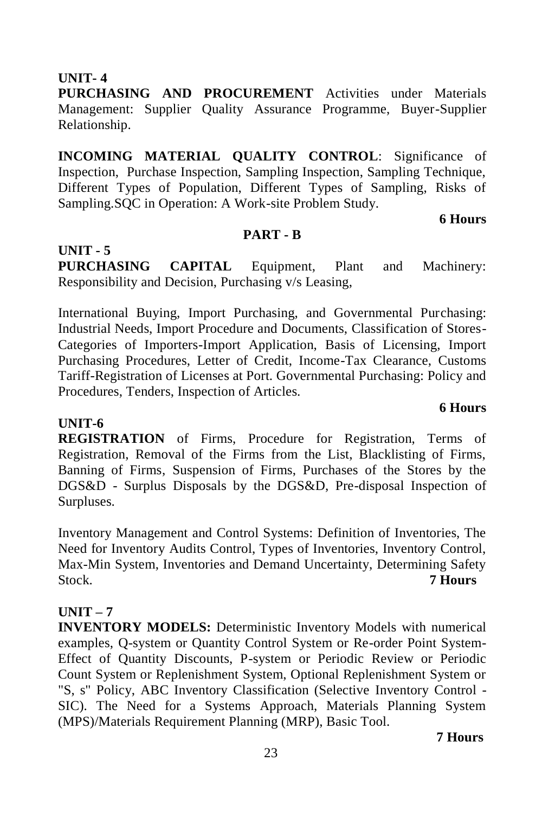**UNIT- 4**

**UNIT - 5**

**PURCHASING AND PROCUREMENT** Activities under Materials Management: Supplier Quality Assurance Programme, Buyer-Supplier Relationship.

**INCOMING MATERIAL QUALITY CONTROL**: Significance of Inspection, Purchase Inspection, Sampling Inspection, Sampling Technique, Different Types of Population, Different Types of Sampling, Risks of Sampling.SQC in Operation: A Work-site Problem Study.

**6 Hours**

**6 Hours**

#### **PART - B**

**PURCHASING CAPITAL** Equipment, Plant and Machinery: Responsibility and Decision, Purchasing v/s Leasing,

International Buying, Import Purchasing, and Governmental Purchasing: Industrial Needs, Import Procedure and Documents, Classification of Stores-Categories of Importers-Import Application, Basis of Licensing, Import Purchasing Procedures, Letter of Credit, Income-Tax Clearance, Customs Tariff-Registration of Licenses at Port. Governmental Purchasing: Policy and Procedures, Tenders, Inspection of Articles.

# **UNIT-6**

**REGISTRATION** of Firms, Procedure for Registration, Terms of Registration, Removal of the Firms from the List, Blacklisting of Firms, Banning of Firms, Suspension of Firms, Purchases of the Stores by the DGS&D - Surplus Disposals by the DGS&D, Pre-disposal Inspection of Surpluses.

Inventory Management and Control Systems: Definition of Inventories, The Need for Inventory Audits Control, Types of Inventories, Inventory Control, Max-Min System, Inventories and Demand Uncertainty, Determining Safety Stock. **7 Hours**

# **UNIT – 7**

**INVENTORY MODELS:** Deterministic Inventory Models with numerical examples, Q-system or Quantity Control System or Re-order Point System-Effect of Quantity Discounts, P-system or Periodic Review or Periodic Count System or Replenishment System, Optional Replenishment System or "S, s" Policy, ABC Inventory Classification (Selective Inventory Control - SIC). The Need for a Systems Approach, Materials Planning System (MPS)/Materials Requirement Planning (MRP), Basic Tool.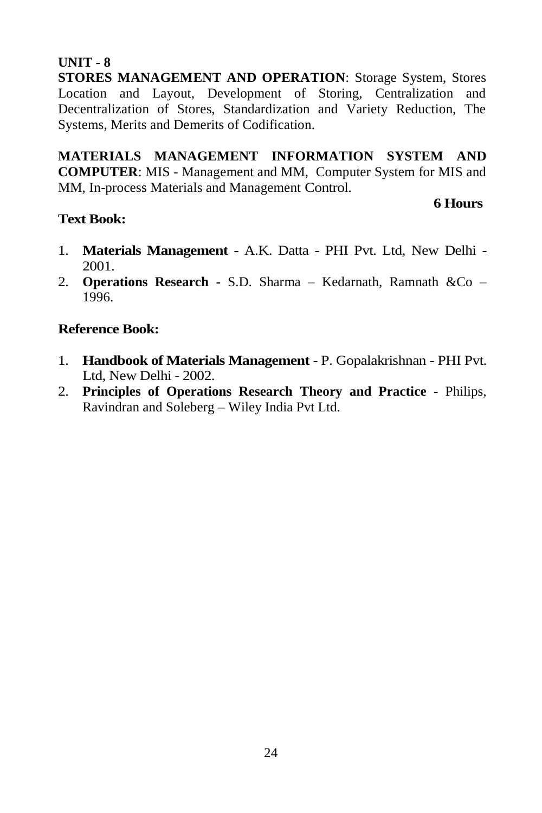# **UNIT - 8**

**STORES MANAGEMENT AND OPERATION**: Storage System, Stores Location and Layout, Development of Storing, Centralization and Decentralization of Stores, Standardization and Variety Reduction, The Systems, Merits and Demerits of Codification.

**MATERIALS MANAGEMENT INFORMATION SYSTEM AND COMPUTER**: MIS - Management and MM, Computer System for MIS and MM, In-process Materials and Management Control.

# **Text Book:**

# **6 Hours**

- 1. **Materials Management -** A.K. Datta PHI Pvt. Ltd, New Delhi 2001.
- 2. **Operations Research -** S.D. Sharma Kedarnath, Ramnath &Co 1996.

# **Reference Book:**

- 1. **Handbook of Materials Management** P. Gopalakrishnan PHI Pvt. Ltd, New Delhi - 2002.
- 2. **Principles of Operations Research Theory and Practice -** Philips, Ravindran and Soleberg – Wiley India Pvt Ltd.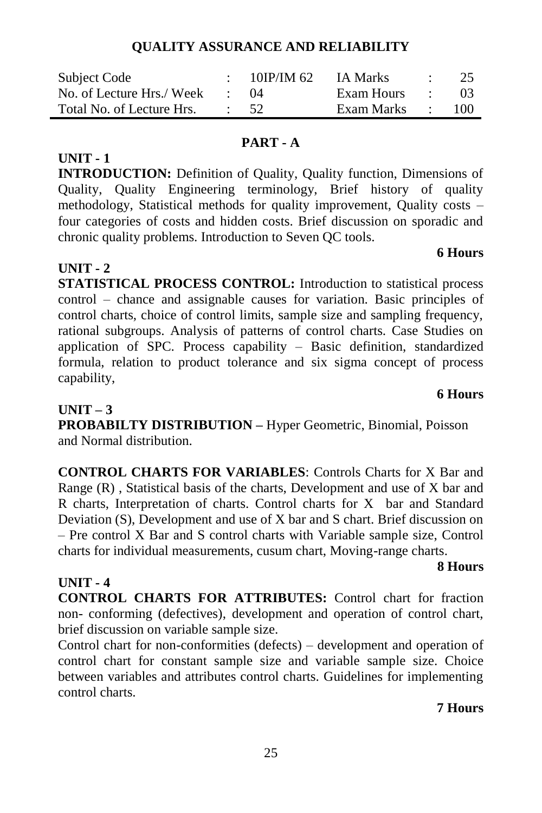chronic quality problems. Introduction to Seven QC tools.

**STATISTICAL PROCESS CONTROL:** Introduction to statistical process control – chance and assignable causes for variation. Basic principles of control charts, choice of control limits, sample size and sampling frequency, rational subgroups. Analysis of patterns of control charts. Case Studies on application of SPC. Process capability – Basic definition, standardized formula, relation to product tolerance and six sigma concept of process capability,

# **UNIT – 3**

**UNIT - 1**

**UNIT - 2**

**PROBABILTY DISTRIBUTION –** Hyper Geometric, Binomial, Poisson and Normal distribution.

**CONTROL CHARTS FOR VARIABLES**: Controls Charts for X Bar and Range (R) , Statistical basis of the charts, Development and use of X bar and R charts, Interpretation of charts. Control charts for X bar and Standard Deviation (S), Development and use of X bar and S chart. Brief discussion on – Pre control X Bar and S control charts with Variable sample size, Control charts for individual measurements, cusum chart, Moving-range charts.

#### **8 Hours UNIT - 4**

**CONTROL CHARTS FOR ATTRIBUTES:** Control chart for fraction non- conforming (defectives), development and operation of control chart, brief discussion on variable sample size.

Control chart for non-conformities (defects) – development and operation of control chart for constant sample size and variable sample size. Choice between variables and attributes control charts. Guidelines for implementing control charts.

25

# **7 Hours**

# **6 Hours**

# **6 Hours**

# **PART - A**

**INTRODUCTION:** Definition of Quality, Quality function, Dimensions of Quality, Quality Engineering terminology, Brief history of quality methodology, Statistical methods for quality improvement, Quality costs – four categories of costs and hidden costs. Brief discussion on sporadic and

# Total No. of Lecture Hrs. : 52 Exam Marks : 100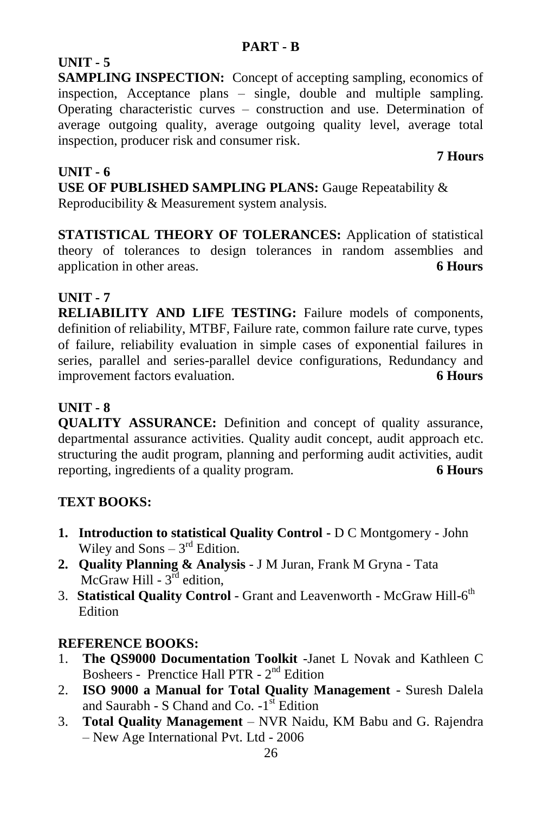# **UNIT - 5**

**SAMPLING INSPECTION:** Concept of accepting sampling, economics of inspection, Acceptance plans – single, double and multiple sampling. Operating characteristic curves – construction and use. Determination of average outgoing quality, average outgoing quality level, average total inspection, producer risk and consumer risk.

 **7 Hours** 

# **UNIT - 6**

**USE OF PUBLISHED SAMPLING PLANS:** Gauge Repeatability & Reproducibility & Measurement system analysis.

**STATISTICAL THEORY OF TOLERANCES:** Application of statistical theory of tolerances to design tolerances in random assemblies and application in other areas. **6 Hours**

# **UNIT - 7**

**RELIABILITY AND LIFE TESTING:** Failure models of components, definition of reliability, MTBF, Failure rate, common failure rate curve, types of failure, reliability evaluation in simple cases of exponential failures in series, parallel and series-parallel device configurations, Redundancy and improvement factors evaluation. **6 Hours**

# **UNIT - 8**

**QUALITY ASSURANCE:** Definition and concept of quality assurance, departmental assurance activities. Quality audit concept, audit approach etc. structuring the audit program, planning and performing audit activities, audit reporting, ingredients of a quality program. **6 Hours**

# **TEXT BOOKS:**

- **1. Introduction to statistical Quality Control -** D C Montgomery John Wiley and  $Sons - 3<sup>rd</sup>$  Edition.
- **2. Quality Planning & Analysis** J M Juran, Frank M Gryna Tata McGraw Hill -  $3^{\text{rd}}$  edition,
- 3. Statistical Quality Control Grant and Leavenworth McGraw Hill-6<sup>th</sup> Edition

- 1. **The QS9000 Documentation Toolkit** -Janet L Novak and Kathleen C Bosheers - Prenctice Hall PTR - 2<sup>nd</sup> Edition
- 2. **ISO 9000 a Manual for Total Quality Management** Suresh Dalela and Saurabh - S Chand and Co.  $-1$ <sup>st</sup> Edition
- 3. **Total Quality Management**  NVR Naidu, KM Babu and G. Rajendra – New Age International Pvt. Ltd - 2006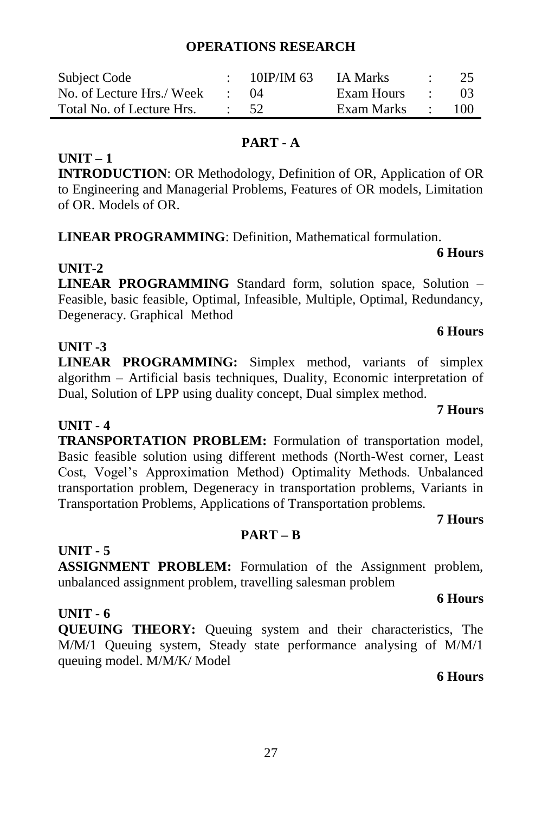#### **OPERATIONS RESEARCH**

| Subject Code              |         | $10$ IP/IM 63 | IA Marks   |                          | 25  |
|---------------------------|---------|---------------|------------|--------------------------|-----|
| No. of Lecture Hrs./ Week |         | (1)4          | Exam Hours | <b>Contract Contract</b> | 03  |
| Total No. of Lecture Hrs. | $\cdot$ | - 52.         | Exam Marks |                          | 100 |

### **PART - A**

### **UNIT – 1**

**INTRODUCTION**: OR Methodology, Definition of OR, Application of OR to Engineering and Managerial Problems, Features of OR models, Limitation of OR. Models of OR.

**LINEAR PROGRAMMING**: Definition, Mathematical formulation.

# **UNIT-2**

**LINEAR PROGRAMMING** Standard form, solution space, Solution – Feasible, basic feasible, Optimal, Infeasible, Multiple, Optimal, Redundancy, Degeneracy. Graphical Method

# **UNIT -3**

**LINEAR PROGRAMMING:** Simplex method, variants of simplex algorithm – Artificial basis techniques, Duality, Economic interpretation of Dual, Solution of LPP using duality concept, Dual simplex method.

# **UNIT - 4**

**TRANSPORTATION PROBLEM:** Formulation of transportation model, Basic feasible solution using different methods (North-West corner, Least Cost, Vogel's Approximation Method) Optimality Methods. Unbalanced transportation problem, Degeneracy in transportation problems, Variants in Transportation Problems, Applications of Transportation problems.

# **7 Hours**

**6 Hours**

# **PART – B**

#### **UNIT - 5**

**ASSIGNMENT PROBLEM:** Formulation of the Assignment problem, unbalanced assignment problem, travelling salesman problem

#### **UNIT - 6**

**QUEUING THEORY:** Queuing system and their characteristics, The M/M/1 Queuing system, Steady state performance analysing of M/M/1 queuing model. M/M/K/ Model

#### **6 Hours**

# **6 Hours**

**6 Hours**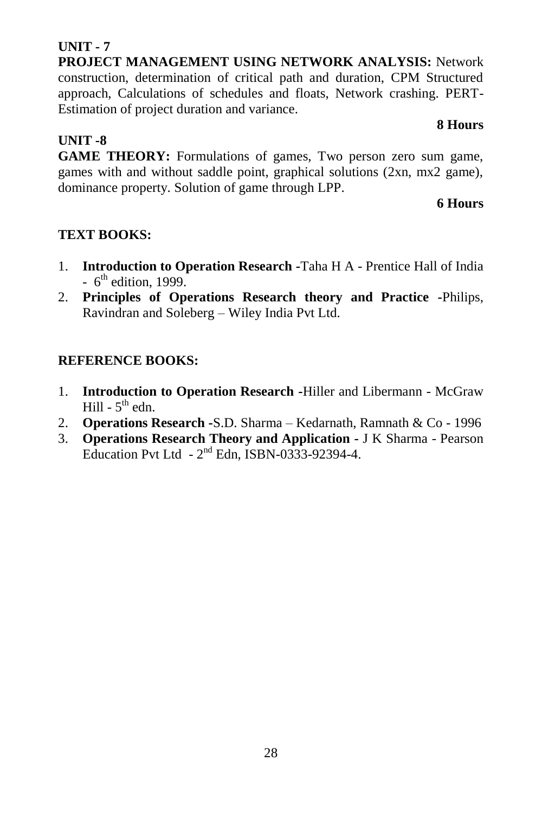# **UNIT - 7**

**UNIT -8**

**PROJECT MANAGEMENT USING NETWORK ANALYSIS:** Network construction, determination of critical path and duration, CPM Structured approach, Calculations of schedules and floats, Network crashing. PERT-Estimation of project duration and variance.

# **8 Hours**

**GAME THEORY:** Formulations of games, Two person zero sum game, games with and without saddle point, graphical solutions (2xn, mx2 game), dominance property. Solution of game through LPP.

# **6 Hours**

# **TEXT BOOKS:**

- 1. **Introduction to Operation Research -**Taha H A Prentice Hall of India  $-6<sup>th</sup>$  edition, 1999.
- 2. **Principles of Operations Research theory and Practice -**Philips, Ravindran and Soleberg – Wiley India Pvt Ltd.

- 1. **Introduction to Operation Research -**Hiller and Libermann McGraw Hill -  $5^{\text{th}}$  edn.
- 2. **Operations Research -**S.D. Sharma Kedarnath, Ramnath & Co 1996
- 3. **Operations Research Theory and Application -** J K Sharma Pearson Education Pvt Ltd  $-2^{nd}$  Edn, ISBN-0333-92394-4.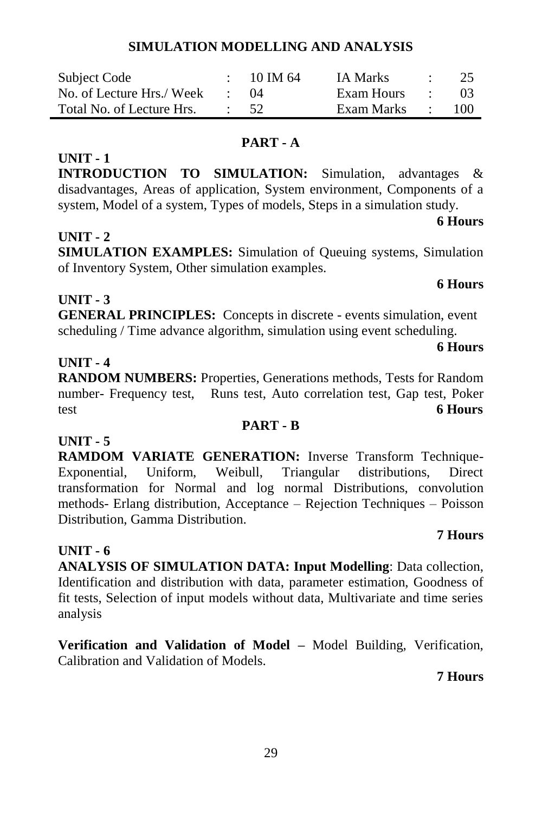# **SIMULATION MODELLING AND ANALYSIS**

| Subject Code              | 10 IM 64 | <b>IA Marks</b> | 25  |
|---------------------------|----------|-----------------|-----|
| No. of Lecture Hrs./ Week | (14      | Exam Hours      |     |
| Total No. of Lecture Hrs. | - 52     | Exam Marks      | 100 |

#### **PART - A**

**INTRODUCTION TO SIMULATION:** Simulation, advantages & disadvantages, Areas of application, System environment, Components of a system, Model of a system, Types of models, Steps in a simulation study.

# **UNIT - 2**

**UNIT - 1**

**SIMULATION EXAMPLES:** Simulation of Queuing systems, Simulation of Inventory System, Other simulation examples.

# **UNIT - 3**

**GENERAL PRINCIPLES:** Concepts in discrete - events simulation, event scheduling / Time advance algorithm, simulation using event scheduling.

#### **UNIT - 4**

**RANDOM NUMBERS:** Properties, Generations methods, Tests for Random number- Frequency test, Runs test, Auto correlation test, Gap test, Poker test **6 Hours**

## **PART - B**

**UNIT - 5 RAMDOM VARIATE GENERATION:** Inverse Transform Technique-Exponential, Uniform, Weibull, Triangular distributions, Direct transformation for Normal and log normal Distributions, convolution methods- Erlang distribution, Acceptance – Rejection Techniques – Poisson Distribution, Gamma Distribution.

# **UNIT - 6**

**ANALYSIS OF SIMULATION DATA: Input Modelling**: Data collection, Identification and distribution with data, parameter estimation, Goodness of fit tests, Selection of input models without data, Multivariate and time series analysis

**Verification and Validation of Model –** Model Building, Verification, Calibration and Validation of Models.

**7 Hours**

**7 Hours**

# **6 Hours**

**6 Hours**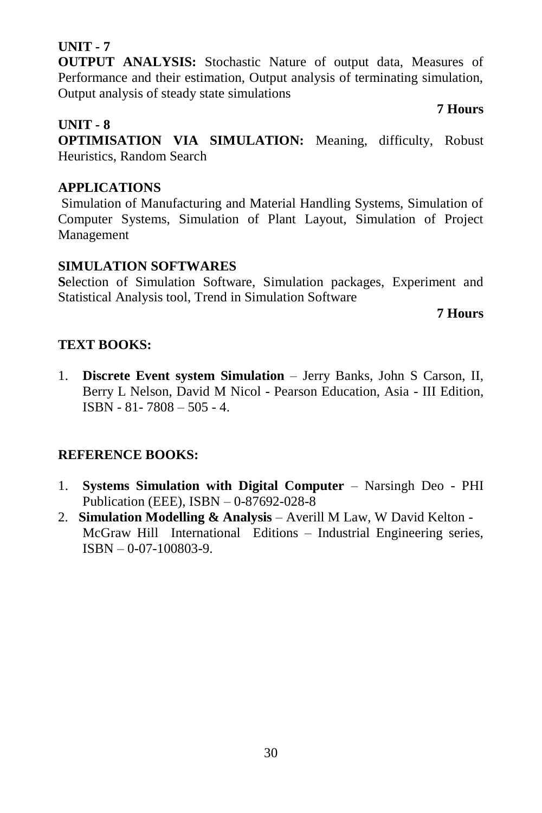# **UNIT - 7**

**OUTPUT ANALYSIS:** Stochastic Nature of output data, Measures of Performance and their estimation, Output analysis of terminating simulation, Output analysis of steady state simulations

**UNIT - 8 OPTIMISATION VIA SIMULATION:** Meaning, difficulty, Robust Heuristics, Random Search

# **APPLICATIONS**

Simulation of Manufacturing and Material Handling Systems, Simulation of Computer Systems, Simulation of Plant Layout, Simulation of Project Management

# **SIMULATION SOFTWARES**

**S**election of Simulation Software, Simulation packages, Experiment and Statistical Analysis tool, Trend in Simulation Software

**7 Hours**

# **TEXT BOOKS:**

1. **Discrete Event system Simulation** – Jerry Banks, John S Carson, II, Berry L Nelson, David M Nicol - Pearson Education, Asia - III Edition, ISBN - 81- 7808 – 505 - 4.

# **REFERENCE BOOKS:**

- 1. **Systems Simulation with Digital Computer** Narsingh Deo PHI Publication (EEE), ISBN – 0-87692-028-8
- 2. **Simulation Modelling & Analysis** Averill M Law, W David Kelton McGraw Hill International Editions – Industrial Engineering series, ISBN – 0-07-100803-9.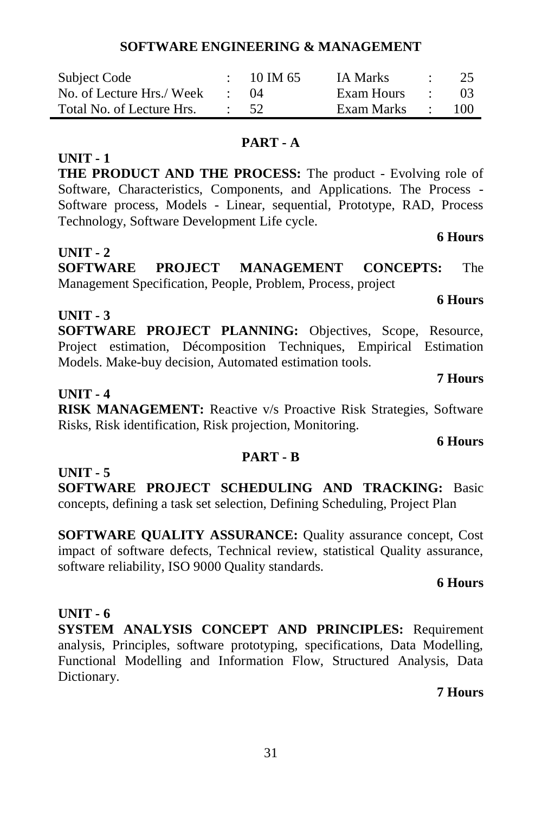# **SOFTWARE ENGINEERING & MANAGEMENT**

| Subject Code              | $10 \text{ IM } 65$ | <b>IA Marks</b> | <b>State Street</b> | -25 |
|---------------------------|---------------------|-----------------|---------------------|-----|
| No. of Lecture Hrs./ Week | (1)4                | Exam Hours      |                     | -03 |
| Total No. of Lecture Hrs. | $\cdot$ 52          | Exam Marks      |                     | 100 |

#### **PART - A**

**THE PRODUCT AND THE PROCESS:** The product - Evolving role of Software, Characteristics, Components, and Applications. The Process - Software process, Models - Linear, sequential, Prototype, RAD, Process Technology, Software Development Life cycle.

#### **UNIT - 2**

**UNIT - 1**

**SOFTWARE PROJECT MANAGEMENT CONCEPTS:** The Management Specification, People, Problem, Process, project

# **UNIT - 3**

**SOFTWARE PROJECT PLANNING:** Objectives, Scope, Resource, Project estimation, Décomposition Techniques, Empirical Estimation Models. Make-buy decision, Automated estimation tools.

#### **UNIT - 4**

**RISK MANAGEMENT:** Reactive v/s Proactive Risk Strategies, Software Risks, Risk identification, Risk projection, Monitoring.

#### **PART - B**

**UNIT - 5 SOFTWARE PROJECT SCHEDULING AND TRACKING:** Basic concepts, defining a task set selection, Defining Scheduling, Project Plan

**SOFTWARE QUALITY ASSURANCE:** Quality assurance concept, Cost impact of software defects, Technical review, statistical Quality assurance, software reliability, ISO 9000 Quality standards.

#### **6 Hours**

# **UNIT - 6**

**SYSTEM ANALYSIS CONCEPT AND PRINCIPLES:** Requirement analysis, Principles, software prototyping, specifications, Data Modelling, Functional Modelling and Information Flow, Structured Analysis, Data Dictionary.

# **7 Hours**

# **6 Hours**

# **6 Hours**

# **6 Hours**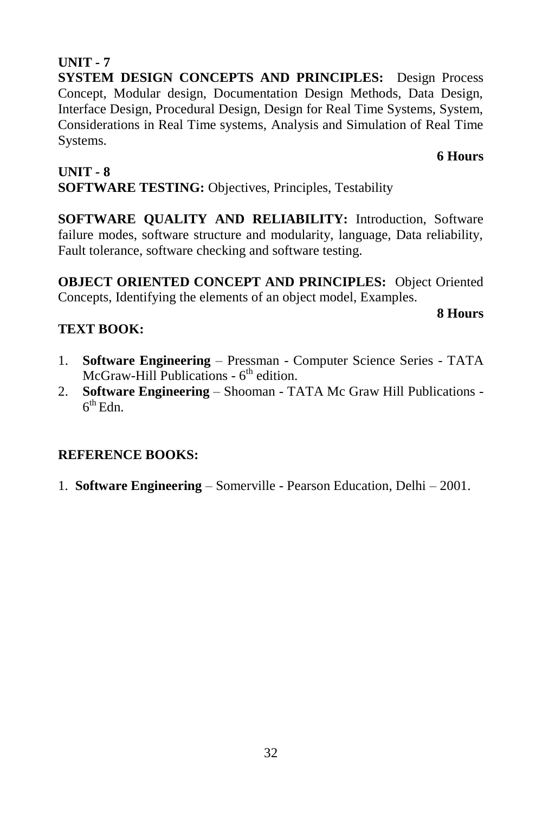# 32

#### **UNIT - 7**

**SYSTEM DESIGN CONCEPTS AND PRINCIPLES:** Design Process Concept, Modular design, Documentation Design Methods, Data Design, Interface Design, Procedural Design, Design for Real Time Systems, System, Considerations in Real Time systems, Analysis and Simulation of Real Time Systems.

#### **6 Hours**

## **UNIT - 8**

# **SOFTWARE TESTING:** Objectives, Principles, Testability

**SOFTWARE QUALITY AND RELIABILITY:** Introduction, Software failure modes, software structure and modularity, language, Data reliability, Fault tolerance, software checking and software testing.

**OBJECT ORIENTED CONCEPT AND PRINCIPLES:** Object Oriented Concepts, Identifying the elements of an object model, Examples.

#### **8 Hours**

# **TEXT BOOK:**

- 1. **Software Engineering** Pressman Computer Science Series TATA McGraw-Hill Publications - 6<sup>th</sup> edition.
- 2. **Software Engineering** Shooman TATA Mc Graw Hill Publications  $6<sup>th</sup>$  Edn.

# **REFERENCE BOOKS:**

1. **Software Engineering** – Somerville - Pearson Education, Delhi – 2001.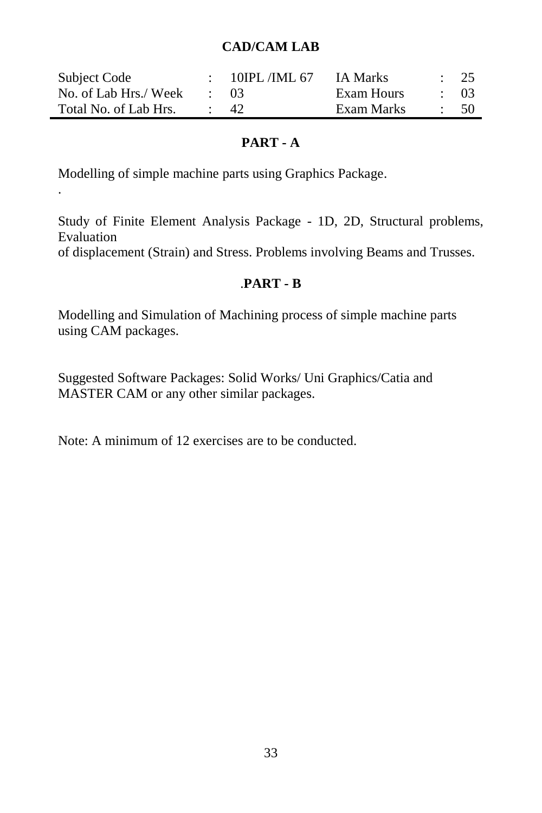# **CAD/CAM LAB**

| Subject Code          | 10IPL/IML 67 | IA Marks   |           | $\frac{1}{25}$ |
|-----------------------|--------------|------------|-----------|----------------|
| No. of Lab Hrs./ Week | $\cdot$ 03   | Exam Hours | $\div$ 03 |                |
| Total No. of Lab Hrs. | -42          | Exam Marks |           | - 50           |

# **PART - A**

Modelling of simple machine parts using Graphics Package.

.

Study of Finite Element Analysis Package - 1D, 2D, Structural problems, Evaluation

of displacement (Strain) and Stress. Problems involving Beams and Trusses.

# .**PART - B**

Modelling and Simulation of Machining process of simple machine parts using CAM packages.

Suggested Software Packages: Solid Works/ Uni Graphics/Catia and MASTER CAM or any other similar packages.

Note: A minimum of 12 exercises are to be conducted.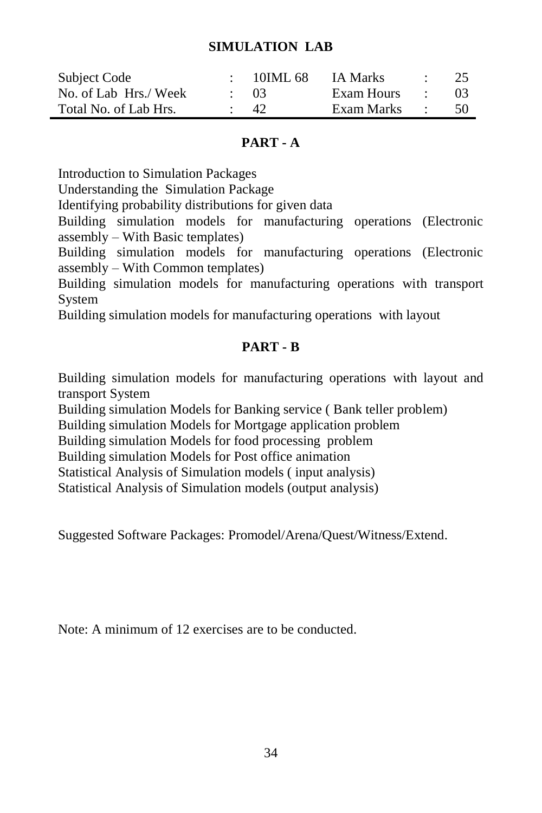### **SIMULATION LAB**

| Subject Code          | 10IML 68   | IA Marks   | $\cdot$ | -25            |
|-----------------------|------------|------------|---------|----------------|
| No. of Lab Hrs./ Week | $\cdot$ 03 | Exam Hours |         | 0 <sup>3</sup> |
| Total No. of Lab Hrs. | -42        | Exam Marks |         | -50            |

## **PART - A**

Introduction to Simulation Packages

Understanding theSimulation Package

Identifying probability distributions for given data

Building simulation models for manufacturing operations (Electronic assembly – With Basic templates)

Building simulation models for manufacturing operations (Electronic assembly – With Common templates)

Building simulation models for manufacturing operations with transport System

Building simulation models for manufacturing operations with layout

# **PART - B**

Building simulation models for manufacturing operations with layout and transport System

Building simulation Models for Banking service ( Bank teller problem)

Building simulation Models for Mortgage application problem

Building simulation Models for food processing problem

Building simulation Models for Post office animation

Statistical Analysis of Simulation models ( input analysis)

Statistical Analysis of Simulation models (output analysis)

Suggested Software Packages: Promodel/Arena/Quest/Witness/Extend.

Note: A minimum of 12 exercises are to be conducted.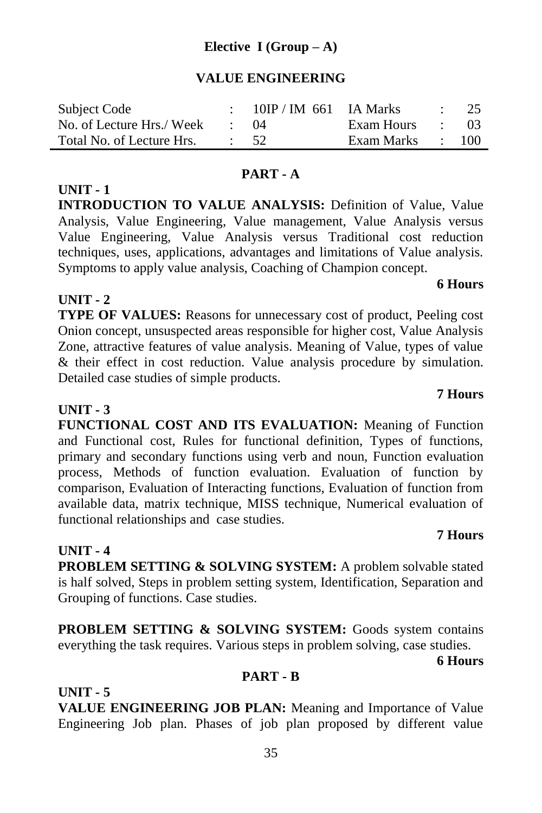# **Elective I (Group – A)**

### **VALUE ENGINEERING**

| Subject Code              | $10$ IP / IM 661 IA Marks |                  | $\therefore$ 25 |
|---------------------------|---------------------------|------------------|-----------------|
| No. of Lecture Hrs./ Week | $\cdot$ ()4               | Exam Hours : 03  |                 |
| Total No. of Lecture Hrs. | $\cdot$ 52                | Exam Marks : 100 |                 |

#### **PART - A**

**INTRODUCTION TO VALUE ANALYSIS:** Definition of Value, Value Analysis, Value Engineering, Value management, Value Analysis versus Value Engineering, Value Analysis versus Traditional cost reduction techniques, uses, applications, advantages and limitations of Value analysis. Symptoms to apply value analysis, Coaching of Champion concept.

# **UNIT - 2**

**UNIT - 1**

**TYPE OF VALUES:** Reasons for unnecessary cost of product, Peeling cost Onion concept, unsuspected areas responsible for higher cost, Value Analysis Zone, attractive features of value analysis. Meaning of Value, types of value & their effect in cost reduction. Value analysis procedure by simulation. Detailed case studies of simple products.

## **UNIT - 3**

**FUNCTIONAL COST AND ITS EVALUATION:** Meaning of Function and Functional cost, Rules for functional definition, Types of functions, primary and secondary functions using verb and noun, Function evaluation process, Methods of function evaluation. Evaluation of function by comparison, Evaluation of Interacting functions, Evaluation of function from available data, matrix technique, MISS technique, Numerical evaluation of functional relationships and case studies.

#### **UNIT - 4**

**PROBLEM SETTING & SOLVING SYSTEM:** A problem solvable stated is half solved, Steps in problem setting system, Identification, Separation and Grouping of functions. Case studies.

**PROBLEM SETTING & SOLVING SYSTEM:** Goods system contains everything the task requires. Various steps in problem solving, case studies.

**6 Hours**

**7 Hours**

#### **PART - B**

# **UNIT - 5**

**VALUE ENGINEERING JOB PLAN:** Meaning and Importance of Value Engineering Job plan. Phases of job plan proposed by different value

#### **7 Hours**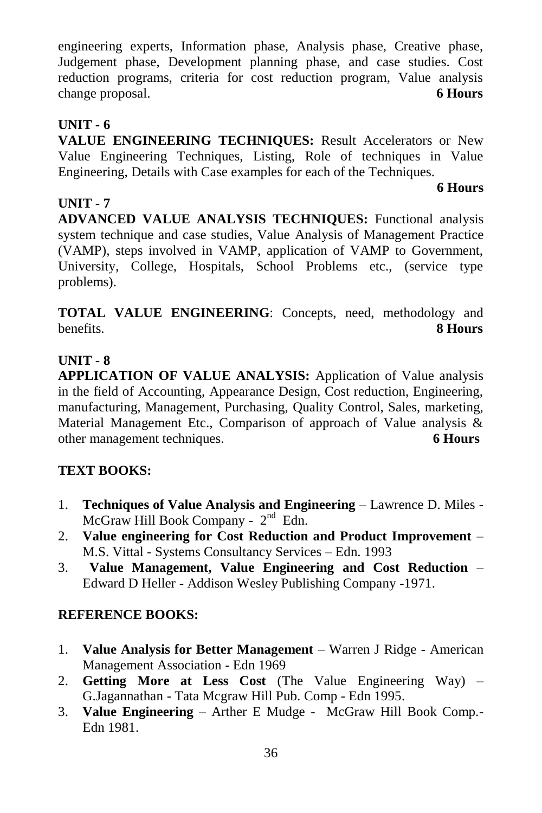engineering experts, Information phase, Analysis phase, Creative phase, Judgement phase, Development planning phase, and case studies. Cost reduction programs, criteria for cost reduction program, Value analysis change proposal. **6 Hours**

# **UNIT - 6**

**VALUE ENGINEERING TECHNIQUES:** Result Accelerators or New Value Engineering Techniques, Listing, Role of techniques in Value Engineering, Details with Case examples for each of the Techniques.

# **UNIT - 7**

# **6 Hours**

**ADVANCED VALUE ANALYSIS TECHNIQUES:** Functional analysis system technique and case studies, Value Analysis of Management Practice (VAMP), steps involved in VAMP, application of VAMP to Government, University, College, Hospitals, School Problems etc., (service type problems).

**TOTAL VALUE ENGINEERING**: Concepts, need, methodology and benefits. **8 Hours**

# **UNIT - 8**

**APPLICATION OF VALUE ANALYSIS:** Application of Value analysis in the field of Accounting, Appearance Design, Cost reduction, Engineering, manufacturing, Management, Purchasing, Quality Control, Sales, marketing, Material Management Etc., Comparison of approach of Value analysis & other management techniques. **6 Hours**

# **TEXT BOOKS:**

- 1. **Techniques of Value Analysis and Engineering** Lawrence D. Miles  $McGraw$  Hill Book Company -  $2<sup>nd</sup>$  Edn.
- 2. **Value engineering for Cost Reduction and Product Improvement** M.S. Vittal - Systems Consultancy Services – Edn. 1993
- 3. **Value Management, Value Engineering and Cost Reduction** Edward D Heller - Addison Wesley Publishing Company -1971.

- 1. **Value Analysis for Better Management** Warren J Ridge American Management Association - Edn 1969
- 2. **Getting More at Less Cost** (The Value Engineering Way) G.Jagannathan - Tata Mcgraw Hill Pub. Comp - Edn 1995.
- 3. **Value Engineering** Arther E Mudge McGraw Hill Book Comp.- Edn 1981.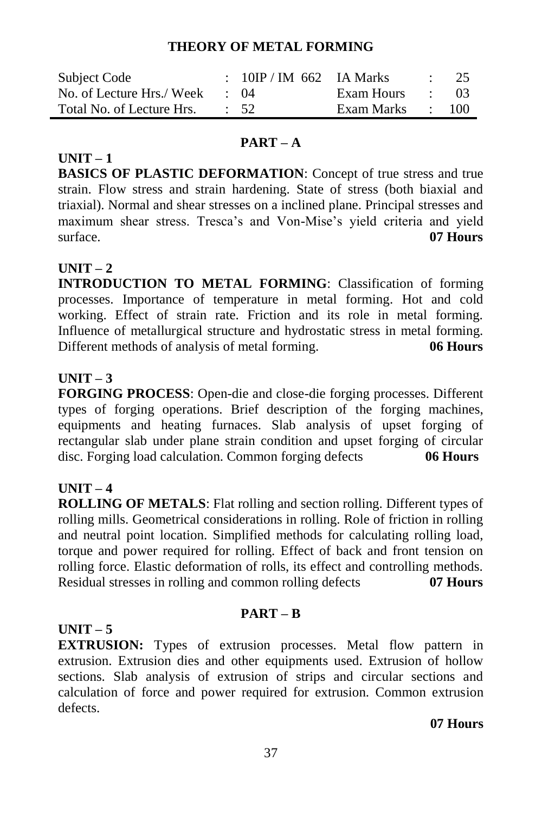#### **THEORY OF METAL FORMING**

| Subject Code              | : $10IP / IM$ 662 IA Marks |                  | $\therefore$ 25 |
|---------------------------|----------------------------|------------------|-----------------|
| No. of Lecture Hrs./ Week | $\cdot$ ()4                | Exam Hours :     | - 03            |
| Total No. of Lecture Hrs. | $\therefore$ 52            | Exam Marks : 100 |                 |

#### **PART – A**

**UNIT – 1 BASICS OF PLASTIC DEFORMATION**: Concept of true stress and true strain. Flow stress and strain hardening. State of stress (both biaxial and triaxial). Normal and shear stresses on a inclined plane. Principal stresses and maximum shear stress. Tresca's and Von-Mise's yield criteria and yield surface. **07 Hours**

#### **UNIT – 2**

**INTRODUCTION TO METAL FORMING**: Classification of forming processes. Importance of temperature in metal forming. Hot and cold working. Effect of strain rate. Friction and its role in metal forming. Influence of metallurgical structure and hydrostatic stress in metal forming. Different methods of analysis of metal forming. **06 Hours**

#### **UNIT – 3**

**FORGING PROCESS**: Open-die and close-die forging processes. Different types of forging operations. Brief description of the forging machines, equipments and heating furnaces. Slab analysis of upset forging of rectangular slab under plane strain condition and upset forging of circular disc. Forging load calculation. Common forging defects **06 Hours**

#### **UNIT – 4**

**ROLLING OF METALS**: Flat rolling and section rolling. Different types of rolling mills. Geometrical considerations in rolling. Role of friction in rolling and neutral point location. Simplified methods for calculating rolling load, torque and power required for rolling. Effect of back and front tension on rolling force. Elastic deformation of rolls, its effect and controlling methods. Residual stresses in rolling and common rolling defects **07 Hours**

#### **UNIT – 5**

#### **PART – B**

**EXTRUSION:** Types of extrusion processes. Metal flow pattern in extrusion. Extrusion dies and other equipments used. Extrusion of hollow sections. Slab analysis of extrusion of strips and circular sections and calculation of force and power required for extrusion. Common extrusion defects.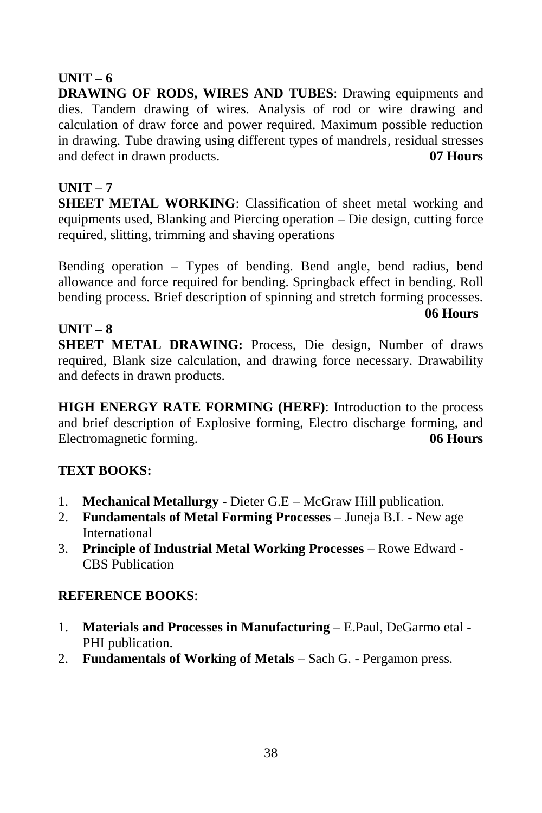#### **UNIT – 6**

**DRAWING OF RODS, WIRES AND TUBES**: Drawing equipments and dies. Tandem drawing of wires. Analysis of rod or wire drawing and calculation of draw force and power required. Maximum possible reduction in drawing. Tube drawing using different types of mandrels, residual stresses and defect in drawn products. **07 Hours**

### **UNIT – 7**

**SHEET METAL WORKING:** Classification of sheet metal working and equipments used, Blanking and Piercing operation – Die design, cutting force required, slitting, trimming and shaving operations

Bending operation – Types of bending. Bend angle, bend radius, bend allowance and force required for bending. Springback effect in bending. Roll bending process. Brief description of spinning and stretch forming processes.

 **06 Hours**

### **UNIT – 8**

**SHEET METAL DRAWING:** Process, Die design, Number of draws required, Blank size calculation, and drawing force necessary. Drawability and defects in drawn products.

**HIGH ENERGY RATE FORMING (HERF)**: Introduction to the process and brief description of Explosive forming, Electro discharge forming, and Electromagnetic forming. **06 Hours**

### **TEXT BOOKS:**

- 1. **Mechanical Metallurgy** Dieter G.E McGraw Hill publication.
- 2. **Fundamentals of Metal Forming Processes** Juneja B.L New age International
- 3. **Principle of Industrial Metal Working Processes** Rowe Edward CBS Publication

- 1. **Materials and Processes in Manufacturing** E.Paul, DeGarmo etal PHI publication.
- 2. **Fundamentals of Working of Metals** Sach G. Pergamon press.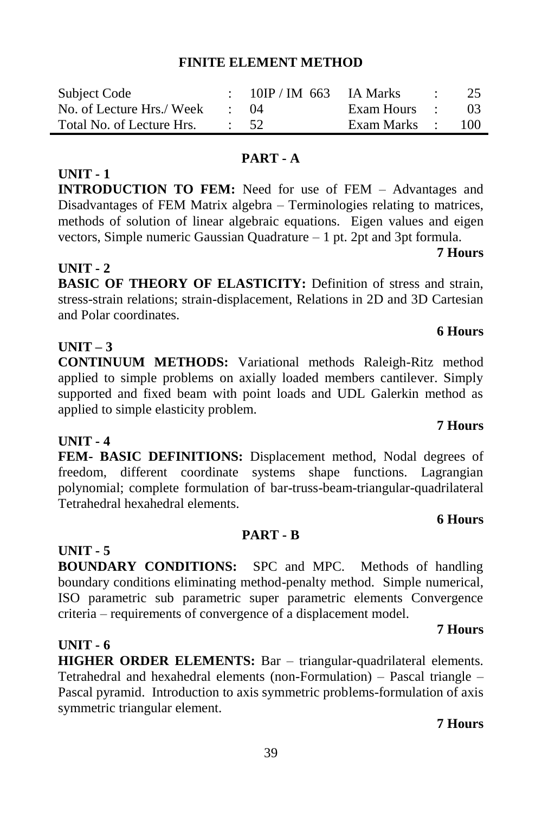#### **FINITE ELEMENT METHOD**

| Subject Code              |             | $10IP / IM$ 663 IA Marks |              | <b>Contract Contract</b> | -25 |
|---------------------------|-------------|--------------------------|--------------|--------------------------|-----|
| No. of Lecture Hrs./ Week | $\cdot$ ()4 |                          | Exam Hours : |                          | -03 |
| Total No. of Lecture Hrs. |             | $\cdot$ 52               | Exam Marks : |                          | 100 |

#### **PART - A**

**INTRODUCTION TO FEM:** Need for use of FEM – Advantages and Disadvantages of FEM Matrix algebra – Terminologies relating to matrices, methods of solution of linear algebraic equations. Eigen values and eigen vectors, Simple numeric Gaussian Quadrature – 1 pt. 2pt and 3pt formula.

#### **UNIT - 2**

**UNIT - 1**

**BASIC OF THEORY OF ELASTICITY:** Definition of stress and strain, stress-strain relations; strain-displacement, Relations in 2D and 3D Cartesian and Polar coordinates.

#### **UNIT – 3**

**CONTINUUM METHODS:** Variational methods Raleigh-Ritz method applied to simple problems on axially loaded members cantilever. Simply supported and fixed beam with point loads and UDL Galerkin method as applied to simple elasticity problem.

#### **UNIT - 4**

**FEM- BASIC DEFINITIONS:** Displacement method, Nodal degrees of freedom, different coordinate systems shape functions. Lagrangian polynomial; complete formulation of bar-truss-beam-triangular-quadrilateral Tetrahedral hexahedral elements.

#### **PART - B**

#### **UNIT - 5**

**BOUNDARY CONDITIONS:** SPC and MPC. Methods of handling boundary conditions eliminating method-penalty method. Simple numerical, ISO parametric sub parametric super parametric elements Convergence criteria – requirements of convergence of a displacement model.

#### **UNIT - 6**

**HIGHER ORDER ELEMENTS:** Bar – triangular-quadrilateral elements. Tetrahedral and hexahedral elements (non-Formulation) – Pascal triangle – Pascal pyramid. Introduction to axis symmetric problems-formulation of axis symmetric triangular element.

#### **7 Hours**

# **6 Hours**

# **6 Hours**

#### **7 Hours**

# **7 Hours**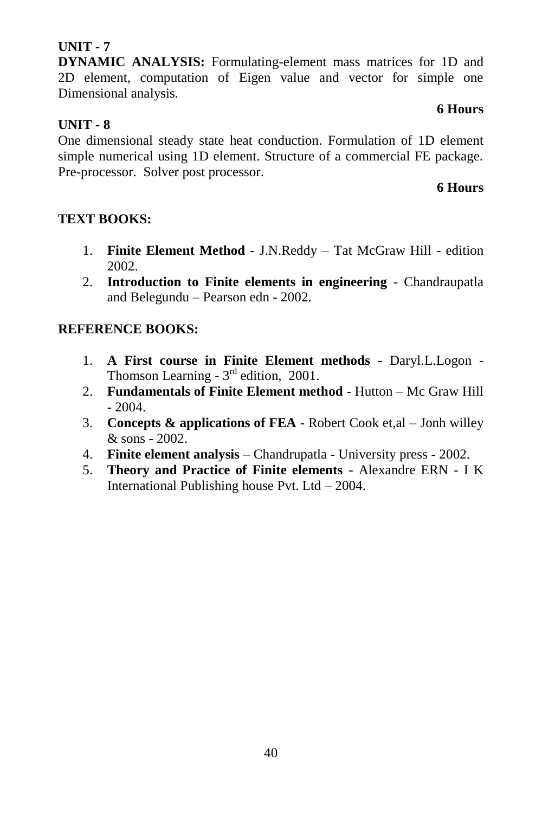**DYNAMIC ANALYSIS:** Formulating-element mass matrices for 1D and 2D element, computation of Eigen value and vector for simple one Dimensional analysis.

#### **6 Hours**

### **UNIT - 8**

One dimensional steady state heat conduction. Formulation of 1D element simple numerical using 1D element. Structure of a commercial FE package. Pre-processor. Solver post processor.

#### **6 Hours**

#### **TEXT BOOKS:**

- 1. **Finite Element Method** J.N.Reddy Tat McGraw Hill edition 2002.
- 2. **Introduction to Finite elements in engineering** Chandraupatla and Belegundu – Pearson edn - 2002.

- 1. **A First course in Finite Element methods** Daryl.L.Logon Thomson Learning -  $3<sup>rd</sup>$  edition, 2001.
- 2. **Fundamentals of Finite Element method** Hutton Mc Graw Hill  $-2004.$
- 3. **Concepts & applications of FEA** Robert Cook et,al Jonh willey  $&$  sons - 2002.
- 4. **Finite element analysis** Chandrupatla University press 2002.
- 5. **Theory and Practice of Finite elements** Alexandre ERN I K International Publishing house Pvt. Ltd – 2004.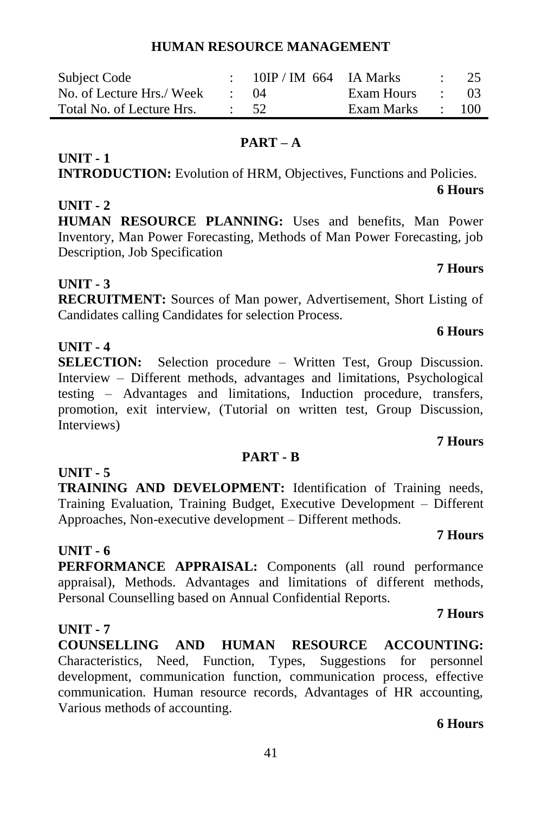#### **HUMAN RESOURCE MANAGEMENT**

| Subject Code              | $10$ IP / IM 664 IA Marks |            | 25               |
|---------------------------|---------------------------|------------|------------------|
| No. of Lecture Hrs./ Week | (1)4                      | Exam Hours | -03              |
| Total No. of Lecture Hrs. | $\cdot$ 52                | Exam Marks | $\therefore$ 100 |

#### **PART – A**

**INTRODUCTION:** Evolution of HRM, Objectives, Functions and Policies.

#### **UNIT - 2**

**UNIT - 1**

**HUMAN RESOURCE PLANNING:** Uses and benefits, Man Power Inventory, Man Power Forecasting, Methods of Man Power Forecasting, job Description, Job Specification

#### **UNIT - 3**

**RECRUITMENT:** Sources of Man power, Advertisement, Short Listing of Candidates calling Candidates for selection Process.

#### **UNIT - 4**

**SELECTION:** Selection procedure – Written Test, Group Discussion. Interview – Different methods, advantages and limitations, Psychological testing – Advantages and limitations, Induction procedure, transfers, promotion, exit interview, (Tutorial on written test, Group Discussion, Interviews)

#### **PART - B**

**TRAINING AND DEVELOPMENT:** Identification of Training needs, Training Evaluation, Training Budget, Executive Development – Different Approaches, Non-executive development – Different methods.

#### **UNIT - 6**

**UNIT - 5**

**PERFORMANCE APPRAISAL:** Components (all round performance appraisal), Methods. Advantages and limitations of different methods, Personal Counselling based on Annual Confidential Reports.

#### **UNIT - 7**

**COUNSELLING AND HUMAN RESOURCE ACCOUNTING:**  Characteristics, Need, Function, Types, Suggestions for personnel development, communication function, communication process, effective communication. Human resource records, Advantages of HR accounting, Various methods of accounting.

#### **6 Hours**

**7 Hours**

#### **7 Hours**

**7 Hours**

### **7 Hours**

**6 Hours**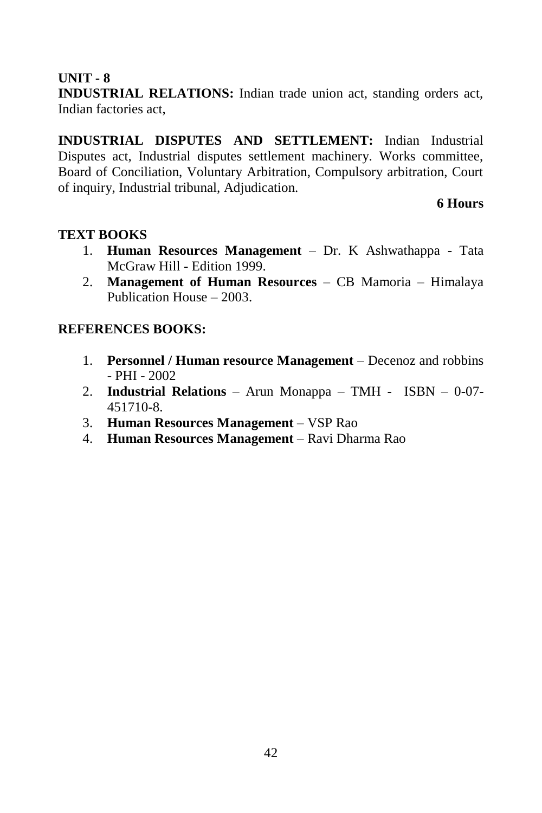**INDUSTRIAL RELATIONS:** Indian trade union act, standing orders act, Indian factories act,

**INDUSTRIAL DISPUTES AND SETTLEMENT:** Indian Industrial Disputes act, Industrial disputes settlement machinery. Works committee, Board of Conciliation, Voluntary Arbitration, Compulsory arbitration, Court of inquiry, Industrial tribunal, Adjudication.

#### **6 Hours**

#### **TEXT BOOKS**

- 1. **Human Resources Management** Dr. K Ashwathappa Tata McGraw Hill - Edition 1999.
- 2. **Management of Human Resources** CB Mamoria Himalaya Publication House – 2003.

- 1. **Personnel / Human resource Management** Decenoz and robbins  $-$  PHI  $-$  2002
- 2. **Industrial Relations** Arun Monappa TMH ISBN 0-07- 451710-8.
- 3. **Human Resources Management** VSP Rao
- 4. **Human Resources Management** Ravi Dharma Rao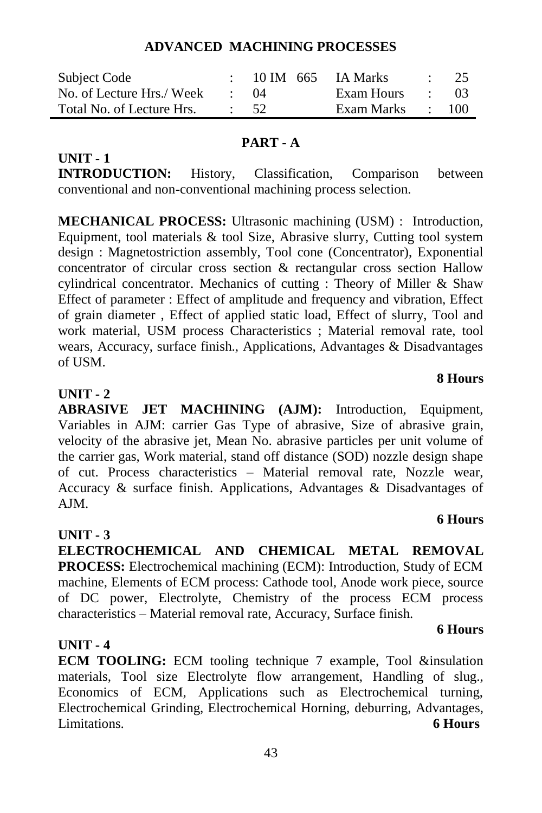#### **ADVANCED MACHINING PROCESSES**

| Subject Code              |            | $: 10 \text{ IM} 665$ | IA Marks   |                          | $\therefore$ 25 |
|---------------------------|------------|-----------------------|------------|--------------------------|-----------------|
| No. of Lecture Hrs./ Week | $\cdot$ 04 |                       | Exam Hours | and the state of the     | - 03            |
| Total No. of Lecture Hrs. | $\div$ 52  |                       | Exam Marks | <b>Contract Contract</b> | 100             |

#### **PART - A**

**INTRODUCTION:** History, Classification, Comparison between conventional and non-conventional machining process selection.

**MECHANICAL PROCESS:** Ultrasonic machining (USM) : Introduction, Equipment, tool materials & tool Size, Abrasive slurry, Cutting tool system design : Magnetostriction assembly, Tool cone (Concentrator), Exponential concentrator of circular cross section & rectangular cross section Hallow cylindrical concentrator. Mechanics of cutting : Theory of Miller & Shaw Effect of parameter : Effect of amplitude and frequency and vibration, Effect of grain diameter , Effect of applied static load, Effect of slurry, Tool and work material, USM process Characteristics ; Material removal rate, tool wears, Accuracy, surface finish., Applications, Advantages & Disadvantages of USM.

#### **UNIT - 2**

**UNIT - 1**

**ABRASIVE JET MACHINING (AJM):** Introduction, Equipment, Variables in AJM: carrier Gas Type of abrasive, Size of abrasive grain, velocity of the abrasive jet, Mean No. abrasive particles per unit volume of the carrier gas, Work material, stand off distance (SOD) nozzle design shape of cut. Process characteristics – Material removal rate, Nozzle wear, Accuracy & surface finish. Applications, Advantages & Disadvantages of  $AIM$ 

#### **UNIT - 3**

**ELECTROCHEMICAL AND CHEMICAL METAL REMOVAL PROCESS:** Electrochemical machining (ECM): Introduction, Study of ECM machine, Elements of ECM process: Cathode tool, Anode work piece, source of DC power, Electrolyte, Chemistry of the process ECM process characteristics – Material removal rate, Accuracy, Surface finish.

#### **UNIT - 4**

**ECM TOOLING:** ECM tooling technique 7 example, Tool &insulation materials, Tool size Electrolyte flow arrangement, Handling of slug., Economics of ECM, Applications such as Electrochemical turning, Electrochemical Grinding, Electrochemical Horning, deburring, Advantages, Limitations. **6 Hours**

#### **8 Hours**

#### **6 Hours**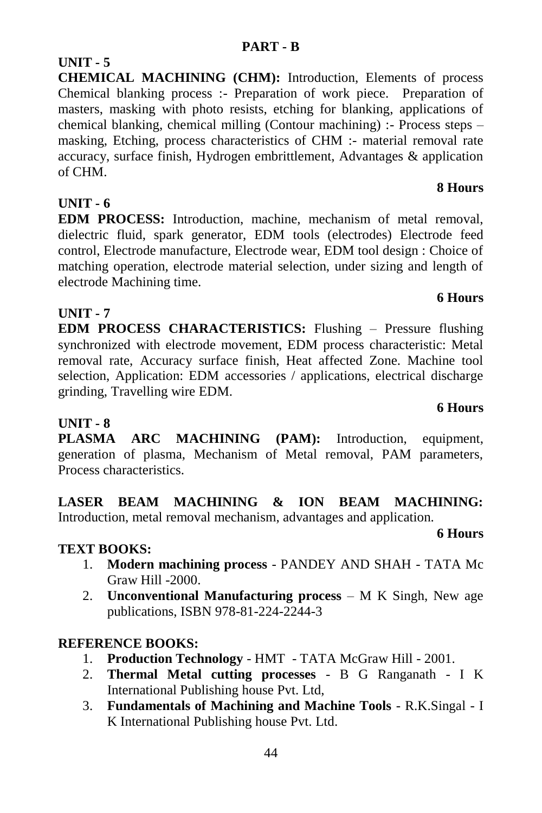**CHEMICAL MACHINING (CHM):** Introduction, Elements of process Chemical blanking process :- Preparation of work piece. Preparation of masters, masking with photo resists, etching for blanking, applications of chemical blanking, chemical milling (Contour machining) :- Process steps – masking, Etching, process characteristics of CHM :- material removal rate accuracy, surface finish, Hydrogen embrittlement, Advantages & application of CHM.

### **UNIT - 6**

**UNIT - 5**

**EDM PROCESS:** Introduction, machine, mechanism of metal removal, dielectric fluid, spark generator, EDM tools (electrodes) Electrode feed control, Electrode manufacture, Electrode wear, EDM tool design : Choice of matching operation, electrode material selection, under sizing and length of electrode Machining time.

#### **UNIT - 7**

**EDM PROCESS CHARACTERISTICS:** Flushing – Pressure flushing synchronized with electrode movement, EDM process characteristic: Metal removal rate, Accuracy surface finish, Heat affected Zone. Machine tool selection, Application: EDM accessories / applications, electrical discharge grinding, Travelling wire EDM.

### **UNIT - 8**

**PLASMA ARC MACHINING (PAM):** Introduction, equipment, generation of plasma, Mechanism of Metal removal, PAM parameters, Process characteristics.

**LASER BEAM MACHINING & ION BEAM MACHINING:**  Introduction, metal removal mechanism, advantages and application. **6 Hours**

#### **TEXT BOOKS:**

- 1. **Modern machining process** PANDEY AND SHAH TATA Mc Graw Hill -2000.
- 2. **Unconventional Manufacturing process**  M K Singh, New age publications, ISBN 978-81-224-2244-3

### **REFERENCE BOOKS:**

- 1. **Production Technology** HMT TATA McGraw Hill 2001.
- 2. **Thermal Metal cutting processes** B G Ranganath I K International Publishing house Pvt. Ltd,
- 3. **Fundamentals of Machining and Machine Tools** R.K.Singal I K International Publishing house Pvt. Ltd.

#### **6 Hours**

### **8 Hours**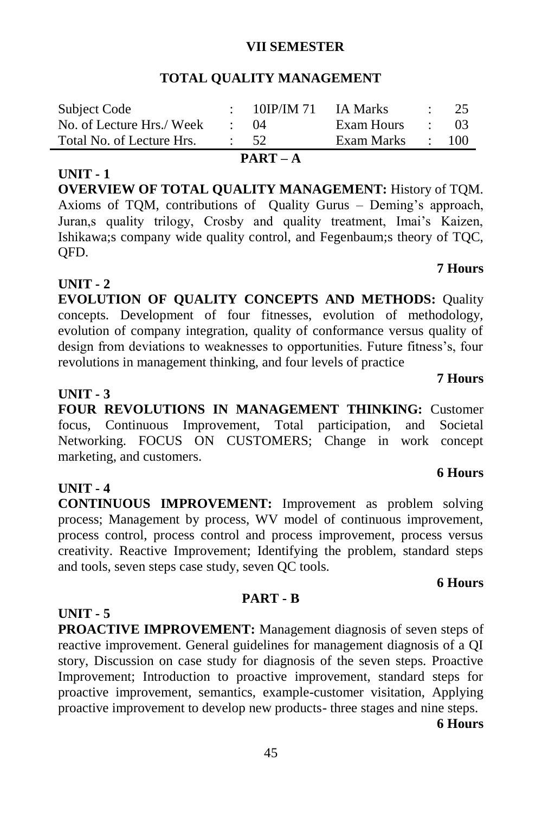#### **VII SEMESTER**

#### **TOTAL QUALITY MANAGEMENT**

| Subject Code              |            | $\div$ 10IP/IM 71 | IA Marks   |                                                       | $\therefore$ 25 |
|---------------------------|------------|-------------------|------------|-------------------------------------------------------|-----------------|
| No. of Lecture Hrs./ Week |            | $\cdot$ ()4       | Exam Hours | <b>Contract Contract</b>                              | 03              |
| Total No. of Lecture Hrs. | $\cdot$ 52 |                   | Exam Marks | $\mathcal{L} = \mathcal{L} \mathcal{L} = \mathcal{L}$ | - 100           |

#### **UNIT - 1**

**OVERVIEW OF TOTAL OUALITY MANAGEMENT: History of TOM.** Axioms of TQM, contributions of Quality Gurus – Deming's approach, Juran,s quality trilogy, Crosby and quality treatment, Imai's Kaizen, Ishikawa;s company wide quality control, and Fegenbaum;s theory of TQC, QFD.

#### **UNIT - 2**

**EVOLUTION OF QUALITY CONCEPTS AND METHODS:** Quality concepts. Development of four fitnesses, evolution of methodology, evolution of company integration, quality of conformance versus quality of design from deviations to weaknesses to opportunities. Future fitness's, four revolutions in management thinking, and four levels of practice

#### **UNIT - 3**

**FOUR REVOLUTIONS IN MANAGEMENT THINKING:** Customer focus, Continuous Improvement, Total participation, and Societal Networking. FOCUS ON CUSTOMERS; Change in work concept marketing, and customers.

#### **UNIT - 4**

**CONTINUOUS IMPROVEMENT:** Improvement as problem solving process; Management by process, WV model of continuous improvement, process control, process control and process improvement, process versus creativity. Reactive Improvement; Identifying the problem, standard steps and tools, seven steps case study, seven QC tools.

#### **6 Hours**

#### **PART - B**

#### **UNIT - 5**

**PROACTIVE IMPROVEMENT:** Management diagnosis of seven steps of reactive improvement. General guidelines for management diagnosis of a QI story, Discussion on case study for diagnosis of the seven steps. Proactive Improvement; Introduction to proactive improvement, standard steps for proactive improvement, semantics, example-customer visitation, Applying proactive improvement to develop new products- three stages and nine steps.

**6 Hours**

#### **7 Hours**

#### **7 Hours**

**6 Hours**

# **PART – A**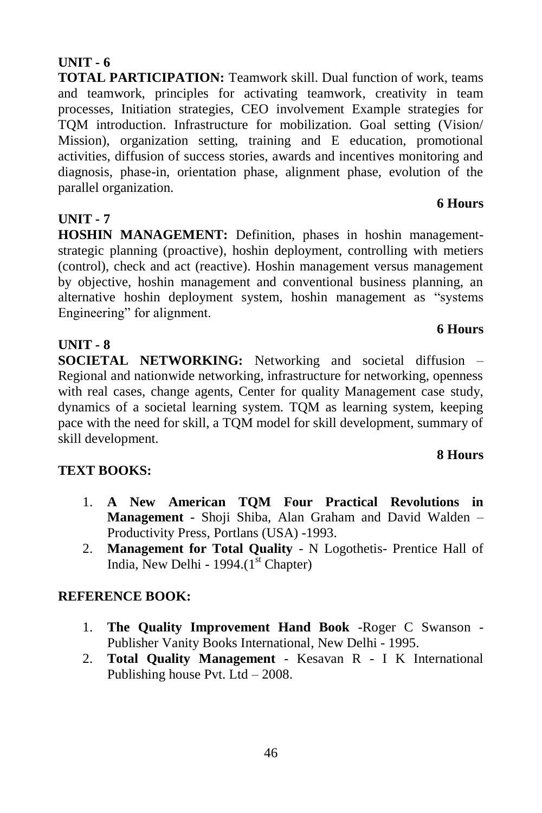**TOTAL PARTICIPATION:** Teamwork skill. Dual function of work, teams and teamwork, principles for activating teamwork, creativity in team processes, Initiation strategies, CEO involvement Example strategies for TQM introduction. Infrastructure for mobilization. Goal setting (Vision/ Mission), organization setting, training and E education, promotional activities, diffusion of success stories, awards and incentives monitoring and diagnosis, phase-in, orientation phase, alignment phase, evolution of the parallel organization.

#### **UNIT - 7**

**HOSHIN MANAGEMENT:** Definition, phases in hoshin managementstrategic planning (proactive), hoshin deployment, controlling with metiers (control), check and act (reactive). Hoshin management versus management by objective, hoshin management and conventional business planning, an alternative hoshin deployment system, hoshin management as "systems" Engineering" for alignment.

#### **UNIT - 8**

**SOCIETAL NETWORKING:** Networking and societal diffusion – Regional and nationwide networking, infrastructure for networking, openness with real cases, change agents, Center for quality Management case study, dynamics of a societal learning system. TQM as learning system, keeping pace with the need for skill, a TQM model for skill development, summary of skill development.

#### **TEXT BOOKS:**

- 1. **A New American TQM Four Practical Revolutions in Management** - Shoji Shiba, Alan Graham and David Walden – Productivity Press, Portlans (USA) -1993.
- 2. **Management for Total Quality** N Logothetis- Prentice Hall of India, New Delhi - 1994. $(I<sup>st</sup> Chapter)$

#### **REFERENCE BOOK:**

- 1. **The Quality Improvement Hand Book** -Roger C Swanson Publisher Vanity Books International, New Delhi - 1995.
- 2. **Total Quality Management** Kesavan R I K International Publishing house Pvt. Ltd – 2008.

#### **8 Hours**

**6 Hours**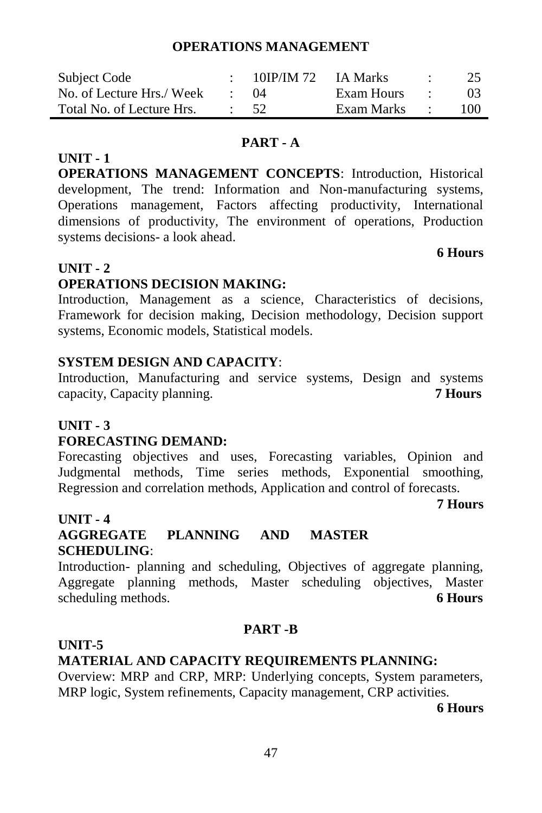#### **OPERATIONS MANAGEMENT**

| Subject Code              | 10IP/IM 72 IA Marks |              |                          | 25             |
|---------------------------|---------------------|--------------|--------------------------|----------------|
| No. of Lecture Hrs./ Week | (1)4                | Exam Hours   | <b>Contract Contract</b> | 0 <sup>3</sup> |
| Total No. of Lecture Hrs. | $\cdot$ 52          | Exam Marks : |                          | 100            |

#### **PART - A**

**OPERATIONS MANAGEMENT CONCEPTS**: Introduction, Historical development, The trend: Information and Non-manufacturing systems, Operations management, Factors affecting productivity, International dimensions of productivity, The environment of operations, Production systems decisions- a look ahead.

**6 Hours**

#### **UNIT - 2**

**UNIT - 1**

#### **OPERATIONS DECISION MAKING:**

Introduction, Management as a science, Characteristics of decisions, Framework for decision making, Decision methodology, Decision support systems, Economic models, Statistical models.

#### **SYSTEM DESIGN AND CAPACITY**:

Introduction, Manufacturing and service systems, Design and systems capacity, Capacity planning. **7 Hours**

#### **UNIT - 3**

#### **FORECASTING DEMAND:**

Forecasting objectives and uses, Forecasting variables, Opinion and Judgmental methods, Time series methods, Exponential smoothing, Regression and correlation methods, Application and control of forecasts.

#### **7 Hours**

#### **UNIT - 4**

### **AGGREGATE PLANNING AND MASTER SCHEDULING**:

Introduction- planning and scheduling, Objectives of aggregate planning, Aggregate planning methods, Master scheduling objectives, Master scheduling methods. **6 Hours**

#### **PART -B**

#### **UNIT-5**

#### **MATERIAL AND CAPACITY REQUIREMENTS PLANNING:**

Overview: MRP and CRP, MRP: Underlying concepts, System parameters, MRP logic, System refinements, Capacity management, CRP activities.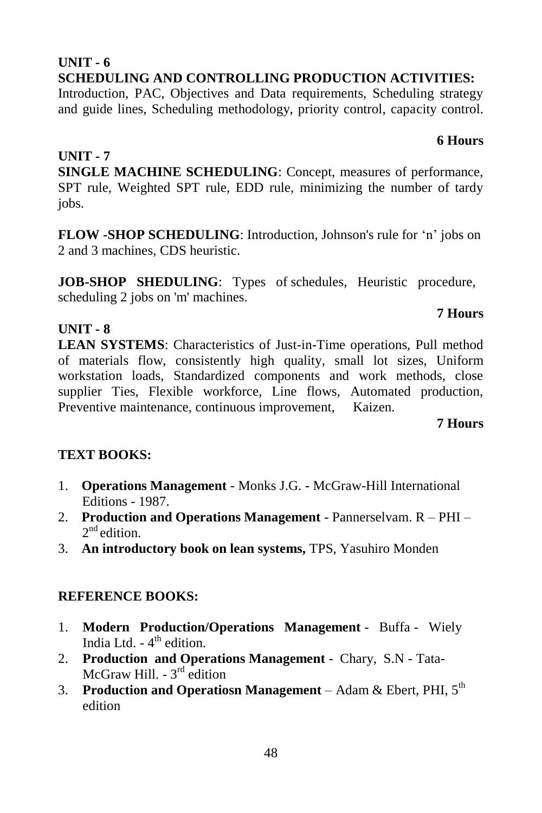#### **UNIT - 6 SCHEDULING AND CONTROLLING PRODUCTION ACTIVITIES:**

Introduction, PAC, Objectives and Data requirements, Scheduling strategy and guide lines, Scheduling methodology, priority control, capacity control.

#### **UNIT - 7**

**UNIT - 8**

**SINGLE MACHINE SCHEDULING**: Concept, measures of performance, SPT rule, Weighted SPT rule, EDD rule, minimizing the number of tardy iobs.

**FLOW -SHOP SCHEDULING**: Introduction, Johnson's rule for 'n' jobs on 2 and 3 machines, CDS heuristic.

**JOB-SHOP SHEDULING**: Types of schedules, Heuristic procedure, scheduling 2 jobs on 'm' machines.

**LEAN SYSTEMS**: Characteristics of Just-in-Time operations, Pull method of materials flow, consistently high quality, small lot sizes, Uniform workstation loads, Standardized components and work methods, close supplier Ties, Flexible workforce, Line flows, Automated production, Preventive maintenance, continuous improvement, Kaizen.

**7 Hours**

### **TEXT BOOKS:**

- 1. **Operations Management**  Monks J.G. McGraw-Hill International Editions - 1987.
- 2. **Production and Operations Management**  Pannerselvam. R PHI 2<sup>nd</sup> edition.
- 3. **An introductory book on lean systems,** TPS, Yasuhiro Monden

#### **REFERENCE BOOKS:**

- 1. **Modern Production/Operations Management**  Buffa Wiely India Ltd. - 4<sup>th</sup> edition.
- 2. **Production and Operations Management**  Chary, S.N Tata-McGraw Hill. - 3<sup>rd</sup> edition
- 3. **Production and Operatiosn Management** Adam & Ebert, PHI, 5th edition

#### **7 Hours**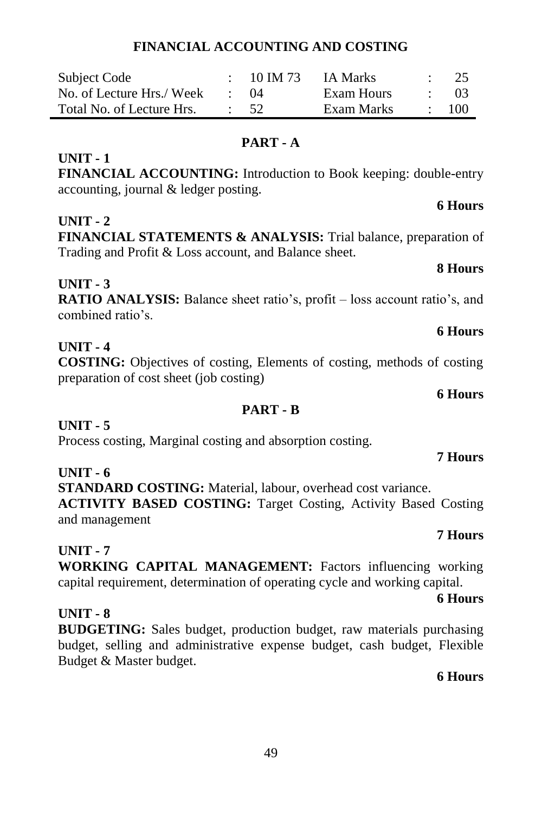#### **FINANCIAL ACCOUNTING AND COSTING**

| Subject Code              | 10 IM 73   | IA Marks   | -25  |
|---------------------------|------------|------------|------|
| No. of Lecture Hrs./ Week | (1)4       | Exam Hours | -03- |
| Total No. of Lecture Hrs. | $\cdot$ 52 | Exam Marks | 100  |

#### **PART - A**

#### **UNIT - 1**

**FINANCIAL ACCOUNTING:** Introduction to Book keeping: double-entry accounting, journal & ledger posting.

#### **UNIT - 2**

**FINANCIAL STATEMENTS & ANALYSIS:** Trial balance, preparation of Trading and Profit & Loss account, and Balance sheet.

#### **UNIT - 3**

**RATIO ANALYSIS:** Balance sheet ratio's, profit – loss account ratio's, and combined ratio's.

#### **UNIT - 4**

**COSTING:** Objectives of costing, Elements of costing, methods of costing preparation of cost sheet (job costing)

**PART - B**

#### **UNIT - 5**

Process costing, Marginal costing and absorption costing.

#### **UNIT - 6**

**STANDARD COSTING:** Material, labour, overhead cost variance. **ACTIVITY BASED COSTING:** Target Costing, Activity Based Costing and management

#### **UNIT - 7**

**WORKING CAPITAL MANAGEMENT:** Factors influencing working capital requirement, determination of operating cycle and working capital.

#### **UNIT - 8**

**BUDGETING:** Sales budget, production budget, raw materials purchasing budget, selling and administrative expense budget, cash budget, Flexible Budget & Master budget.

#### **6 Hours**

## **6 Hours**

#### **6 Hours**

#### **7 Hours**

**7 Hours**

**6 Hours**

#### **6 Hours**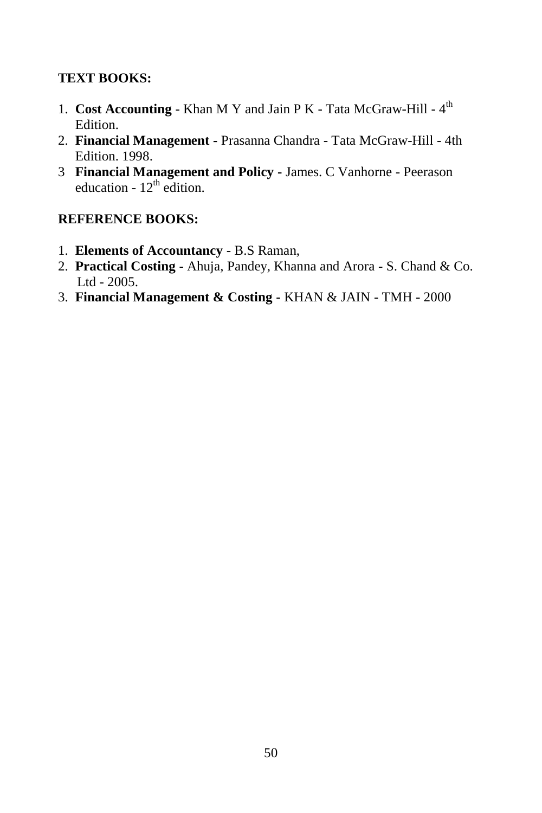#### **TEXT BOOKS:**

- 1. Cost Accounting Khan M Y and Jain P K Tata McGraw-Hill 4<sup>th</sup> Edition.
- 2. **Financial Management -** Prasanna Chandra Tata McGraw-Hill 4th Edition. 1998.
- 3 **Financial Management and Policy -** James. C Vanhorne Peerason education -  $12<sup>th</sup>$  edition.

- 1. **Elements of Accountancy** B.S Raman,
- 2. **Practical Costing**  Ahuja, Pandey, Khanna and Arora S. Chand & Co. Ltd - 2005.
- 3. **Financial Management & Costing -** KHAN & JAIN TMH 2000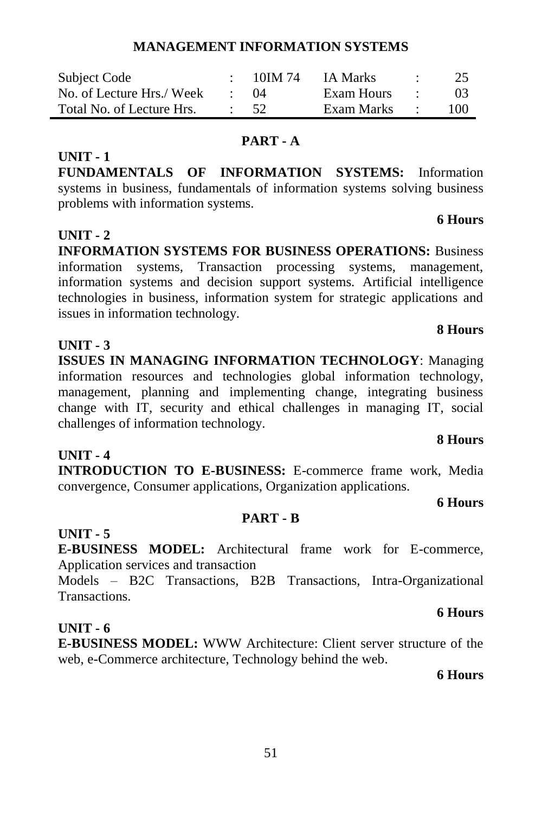#### **MANAGEMENT INFORMATION SYSTEMS**

| Subject Code              | 10JM 74 | IA Marks   |        | 25             |
|---------------------------|---------|------------|--------|----------------|
| No. of Lecture Hrs./ Week | (1)4    | Exam Hours |        | 0 <sup>3</sup> |
| Total No. of Lecture Hrs. | - 52    | Exam Marks | $\sim$ | 100            |

#### **PART - A**

**FUNDAMENTALS OF INFORMATION SYSTEMS:** Information systems in business, fundamentals of information systems solving business problems with information systems.

#### **UNIT - 2**

**UNIT - 1**

**INFORMATION SYSTEMS FOR BUSINESS OPERATIONS:** Business information systems, Transaction processing systems, management, information systems and decision support systems. Artificial intelligence technologies in business, information system for strategic applications and issues in information technology.

#### **UNIT - 3**

**ISSUES IN MANAGING INFORMATION TECHNOLOGY**: Managing information resources and technologies global information technology, management, planning and implementing change, integrating business change with IT, security and ethical challenges in managing IT, social challenges of information technology.

**INTRODUCTION TO E-BUSINESS:** E-commerce frame work, Media convergence, Consumer applications, Organization applications.

#### **6 Hours**

#### **PART - B**

#### **UNIT - 5**

**UNIT - 4**

**E-BUSINESS MODEL:** Architectural frame work for E-commerce, Application services and transaction

Models – B2C Transactions, B2B Transactions, Intra-Organizational Transactions.

#### **UNIT - 6**

**E-BUSINESS MODEL:** WWW Architecture: Client server structure of the web, e-Commerce architecture, Technology behind the web.

**6 Hours**

#### **8 Hours**

**6 Hours**

# **8 Hours**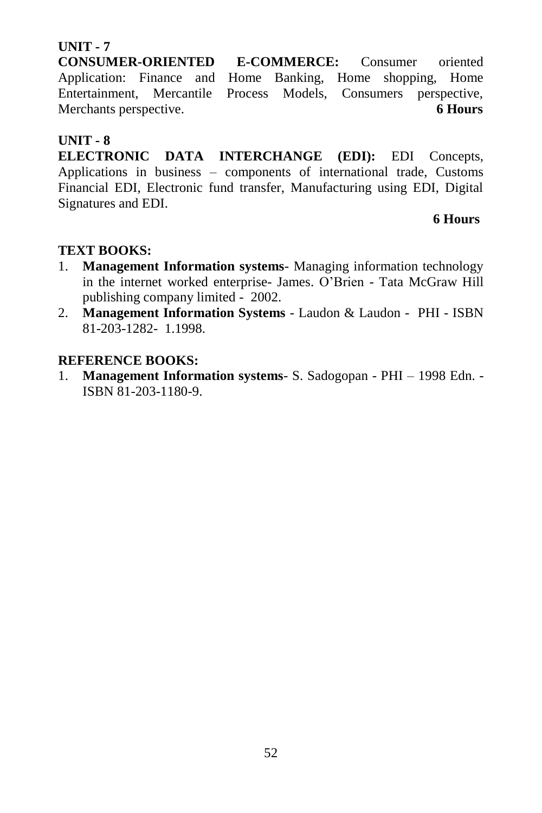**CONSUMER-ORIENTED E-COMMERCE:** Consumer oriented Application: Finance and Home Banking, Home shopping, Home Entertainment, Mercantile Process Models, Consumers perspective, Merchants perspective. **6 Hours** 

#### **UNIT - 8**

**ELECTRONIC DATA INTERCHANGE (EDI):** EDI Concepts, Applications in business – components of international trade, Customs Financial EDI, Electronic fund transfer, Manufacturing using EDI, Digital Signatures and EDI.

#### **6 Hours**

#### **TEXT BOOKS:**

- 1. **Management Information systems** Managing information technology in the internet worked enterprise- James. O'Brien - Tata McGraw Hill publishing company limited - 2002.
- 2. **Management Information Systems** Laudon & Laudon PHI ISBN 81-203-1282- 1.1998.

#### **REFERENCE BOOKS:**

1. **Management Information systems**- S. Sadogopan - PHI – 1998 Edn. - ISBN 81-203-1180-9.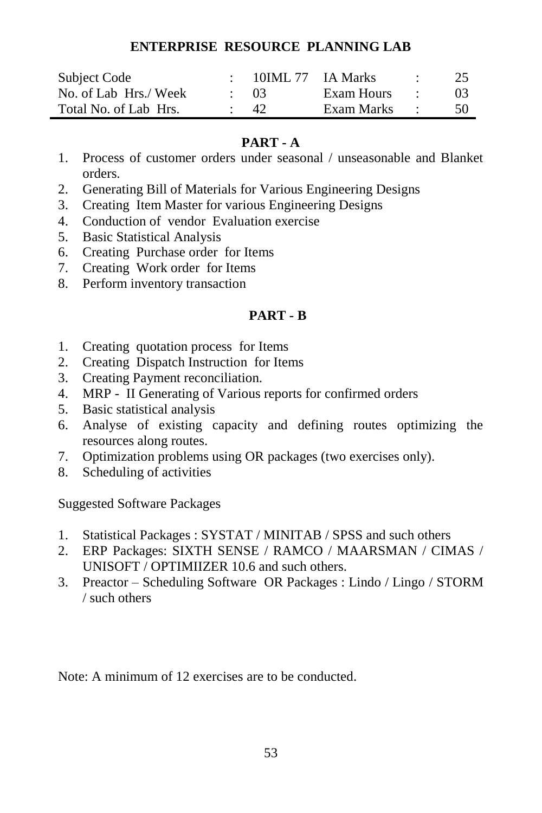#### **ENTERPRISE RESOURCE PLANNING LAB**

| Subject Code          | 10IML 77 IA Marks |            | $\cdot$ | 25              |
|-----------------------|-------------------|------------|---------|-----------------|
| No. of Lab Hrs./ Week | $\cdot$ 03        | Exam Hours | $\cdot$ | 03 <sup>2</sup> |
| Total No. of Lab Hrs. | -42               | Exam Marks | $\sim$  | 50              |

#### **PART - A**

- 1. Process of customer orders under seasonal / unseasonable and Blanket orders.
- 2. Generating Bill of Materials for Various Engineering Designs
- 3. Creating Item Master for various Engineering Designs
- 4. Conduction of vendor Evaluation exercise
- 5. Basic Statistical Analysis
- 6. Creating Purchase order for Items
- 7. Creating Work order for Items
- 8. Perform inventory transaction

#### **PART - B**

- 1. Creating quotation process for Items
- 2. Creating Dispatch Instruction for Items
- 3. Creating Payment reconciliation.
- 4. MRP II Generating of Various reports for confirmed orders
- 5. Basic statistical analysis
- 6. Analyse of existing capacity and defining routes optimizing the resources along routes.
- 7. Optimization problems using OR packages (two exercises only).
- 8. Scheduling of activities

Suggested Software Packages

- 1. Statistical Packages : SYSTAT / MINITAB / SPSS and such others
- 2. ERP Packages: SIXTH SENSE / RAMCO / MAARSMAN / CIMAS / UNISOFT / OPTIMIIZER 10.6 and such others.
- 3. Preactor Scheduling Software OR Packages : Lindo / Lingo / STORM / such others

Note: A minimum of 12 exercises are to be conducted.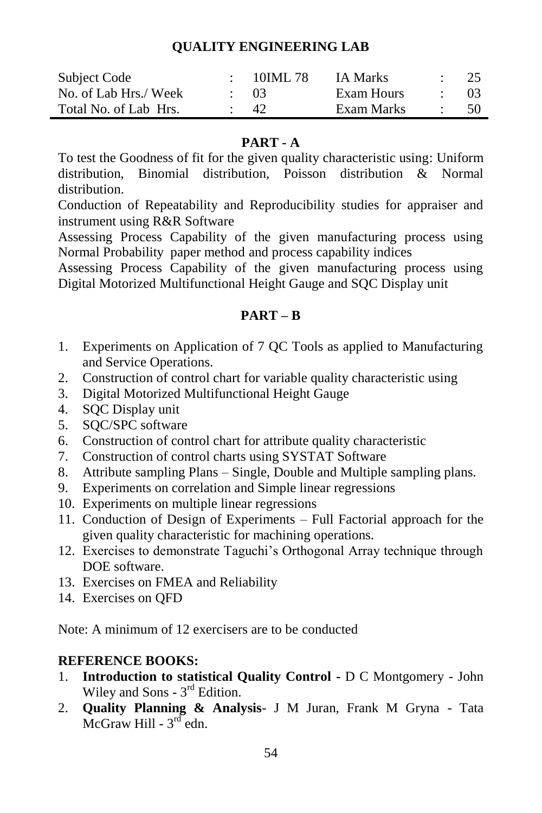#### **QUALITY ENGINEERING LAB**

| Subject Code          | 10IML 78  | <b>IA Marks</b> | 25     |
|-----------------------|-----------|-----------------|--------|
| No. of Lab Hrs./ Week | $\sim 03$ | Exam Hours      | - 03 - |
| Total No. of Lab Hrs. | 42.       | Exam Marks      | -50    |

#### **PART - A**

To test the Goodness of fit for the given quality characteristic using: Uniform distribution, Binomial distribution, Poisson distribution & Normal distribution.

Conduction of Repeatability and Reproducibility studies for appraiser and instrument using R&R Software

Assessing Process Capability of the given manufacturing process using Normal Probability paper method and process capability indices

Assessing Process Capability of the given manufacturing process using Digital Motorized Multifunctional Height Gauge and SQC Display unit

#### **PART – B**

- 1. Experiments on Application of 7 QC Tools as applied to Manufacturing and Service Operations.
- 2. Construction of control chart for variable quality characteristic using
- 3. Digital Motorized Multifunctional Height Gauge
- 4. SQC Display unit
- 5. SQC/SPC software
- 6. Construction of control chart for attribute quality characteristic
- 7. Construction of control charts using SYSTAT Software
- 8. Attribute sampling Plans Single, Double and Multiple sampling plans.
- 9. Experiments on correlation and Simple linear regressions
- 10. Experiments on multiple linear regressions
- 11. Conduction of Design of Experiments Full Factorial approach for the given quality characteristic for machining operations.
- 12. Exercises to demonstrate Taguchi's Orthogonal Array technique through DOE software.
- 13. Exercises on FMEA and Reliability
- 14. Exercises on QFD

Note: A minimum of 12 exercisers are to be conducted

- 1. **Introduction to statistical Quality Control -** D C Montgomery John Wiley and Sons -  $3<sup>rd</sup>$  Edition.
- 2. **Quality Planning & Analysis** J M Juran, Frank M Gryna Tata  $McGraw Hill - 3<sup>rd</sup> edn.$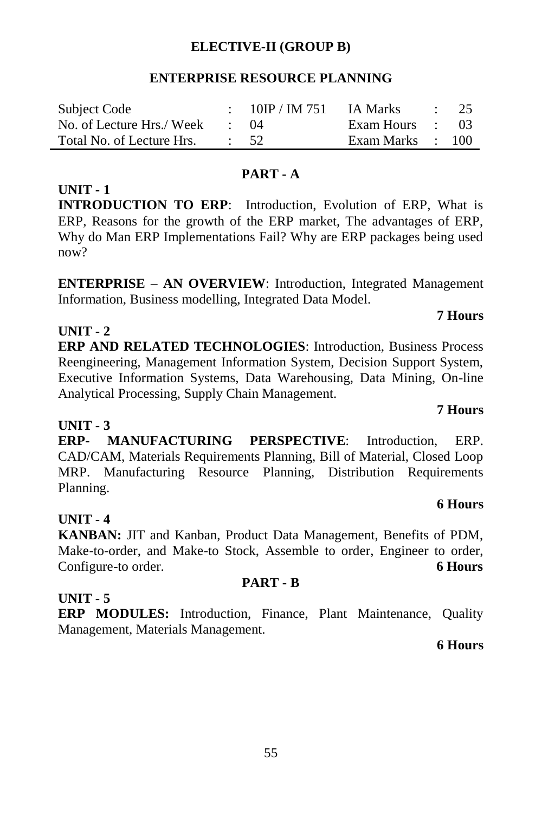#### **ELECTIVE-II (GROUP B)**

#### **ENTERPRISE RESOURCE PLANNING**

| Subject Code                             | 10IP / IM 751 | IA Marks         | $\cdot$ 25 |
|------------------------------------------|---------------|------------------|------------|
| No. of Lecture Hrs./Week $\therefore$ 04 |               | Exam Hours : 03  |            |
| Total No. of Lecture Hrs. : 52           |               | Exam Marks : 100 |            |

#### **PART - A**

#### **INTRODUCTION TO ERP**: Introduction, Evolution of ERP, What is ERP, Reasons for the growth of the ERP market, The advantages of ERP, Why do Man ERP Implementations Fail? Why are ERP packages being used now?

**ENTERPRISE – AN OVERVIEW**: Introduction, Integrated Management Information, Business modelling, Integrated Data Model.

### **7 Hours**

#### **UNIT - 2**

**UNIT - 1**

**ERP AND RELATED TECHNOLOGIES**: Introduction, Business Process Reengineering, Management Information System, Decision Support System, Executive Information Systems, Data Warehousing, Data Mining, On-line Analytical Processing, Supply Chain Management.

#### **UNIT - 3**

**ERP- MANUFACTURING PERSPECTIVE**: Introduction, ERP. CAD/CAM, Materials Requirements Planning, Bill of Material, Closed Loop MRP. Manufacturing Resource Planning, Distribution Requirements Planning.

#### **UNIT - 4**

**KANBAN:** JIT and Kanban, Product Data Management, Benefits of PDM, Make-to-order, and Make-to Stock, Assemble to order, Engineer to order, Configure-to order. **6 Hours**

#### **PART - B**

#### **UNIT - 5**

**ERP MODULES:** Introduction, Finance, Plant Maintenance, Quality Management, Materials Management.

#### **6 Hours**

#### 55

#### **7 Hours**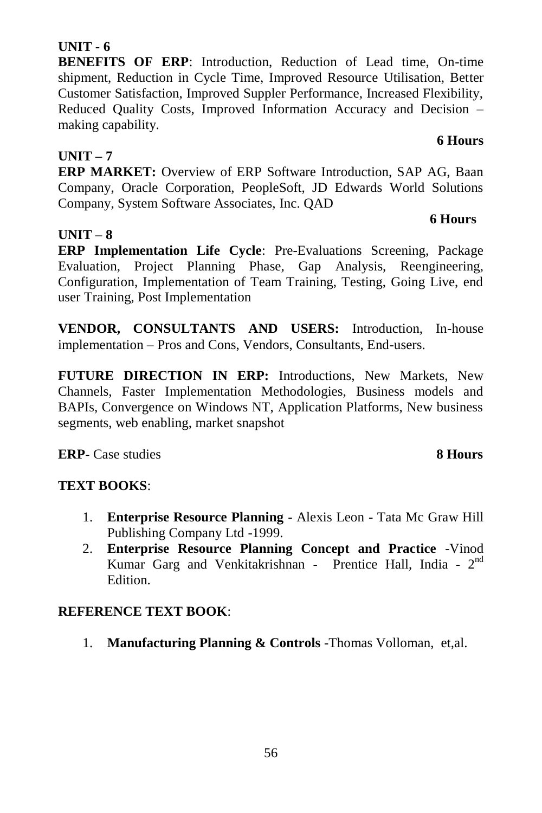**ERP Implementation Life Cycle**: Pre-Evaluations Screening, Package Evaluation, Project Planning Phase, Gap Analysis, Reengineering, Configuration, Implementation of Team Training, Testing, Going Live, end user Training, Post Implementation

**VENDOR, CONSULTANTS AND USERS:** Introduction, In-house implementation – Pros and Cons, Vendors, Consultants, End-users.

**FUTURE DIRECTION IN ERP:** Introductions, New Markets, New Channels, Faster Implementation Methodologies, Business models and BAPIs, Convergence on Windows NT, Application Platforms, New business segments, web enabling, market snapshot

**ERP-** Case studies **8 Hours**

#### **TEXT BOOKS**:

- 1. **Enterprise Resource Planning** Alexis Leon Tata Mc Graw Hill Publishing Company Ltd -1999.
- 2. **Enterprise Resource Planning Concept and Practice** -Vinod Kumar Garg and Venkitakrishnan - Prentice Hall, India - 2<sup>nd</sup> Edition.

#### **REFERENCE TEXT BOOK**:

1. **Manufacturing Planning & Controls** -Thomas Volloman, et,al.

#### **UNIT - 6**

**BENEFITS OF ERP**: Introduction, Reduction of Lead time, On-time shipment, Reduction in Cycle Time, Improved Resource Utilisation, Better Customer Satisfaction, Improved Suppler Performance, Increased Flexibility, Reduced Quality Costs, Improved Information Accuracy and Decision – making capability.

#### **UNIT – 7**

**UNIT – 8**

**ERP MARKET:** Overview of ERP Software Introduction, SAP AG, Baan Company, Oracle Corporation, PeopleSoft, JD Edwards World Solutions Company, System Software Associates, Inc. QAD

#### **6 Hours**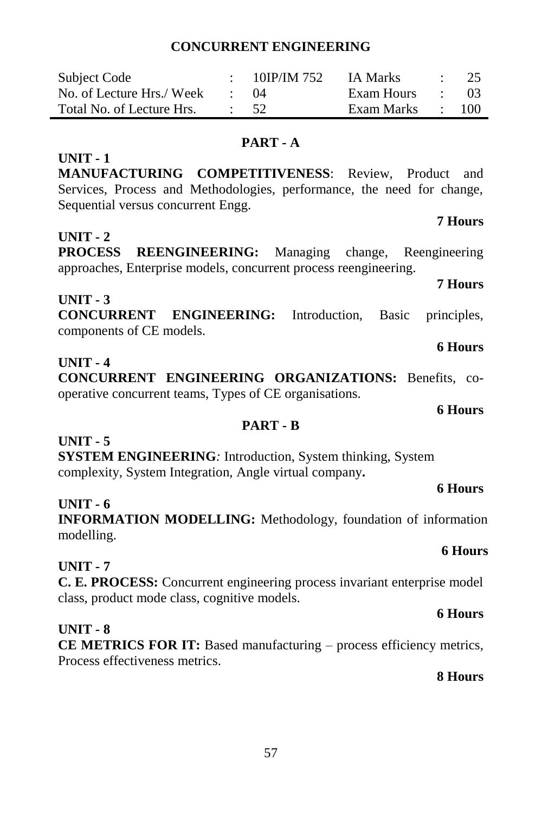#### **CONCURRENT ENGINEERING**

| Subject Code              | 10IP/IM 752 | IA Marks   |                          | $\therefore$ 25 |
|---------------------------|-------------|------------|--------------------------|-----------------|
| No. of Lecture Hrs./ Week | (1)4        | Exam Hours | <b>Contract Contract</b> | -03             |
| Total No. of Lecture Hrs. | - 52        | Exam Marks |                          | $\cdot$ 100     |

#### **PART - A**

**MANUFACTURING COMPETITIVENESS**: Review, Product and Services, Process and Methodologies, performance, the need for change, Sequential versus concurrent Engg.

#### **UNIT - 2**

**UNIT - 1**

**PROCESS REENGINEERING:** Managing change, Reengineering approaches, Enterprise models, concurrent process reengineering.

**UNIT - 3**

**CONCURRENT ENGINEERING:** Introduction, Basic principles, components of CE models.

#### **UNIT - 4**

**CONCURRENT ENGINEERING ORGANIZATIONS:** Benefits, cooperative concurrent teams, Types of CE organisations.

#### **PART - B**

#### **UNIT - 5**

**SYSTEM ENGINEERING***:* Introduction, System thinking, System complexity, System Integration, Angle virtual company*.*

#### **UNIT - 6**

**INFORMATION MODELLING:** Methodology, foundation of information modelling.

#### **UNIT - 7**

**C. E. PROCESS:** Concurrent engineering process invariant enterprise model class, product mode class, cognitive models.

#### **UNIT - 8**

**CE METRICS FOR IT:** Based manufacturing – process efficiency metrics, Process effectiveness metrics.

#### **8 Hours**

**7 Hours**

**7 Hours**

#### **6 Hours**

**6 Hours**

# **6 Hours**

# **6 Hours**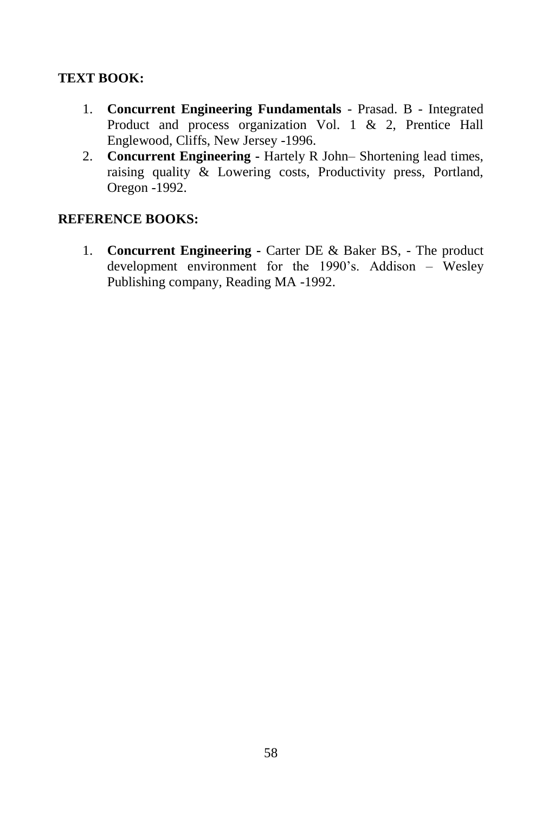#### **TEXT BOOK:**

- 1. **Concurrent Engineering Fundamentals** Prasad. B Integrated Product and process organization Vol. 1 & 2, Prentice Hall Englewood, Cliffs, New Jersey -1996.
- 2. **Concurrent Engineering -** Hartely R John– Shortening lead times, raising quality & Lowering costs, Productivity press, Portland, Oregon -1992.

#### **REFERENCE BOOKS:**

1. **Concurrent Engineering -** Carter DE & Baker BS, - The product development environment for the 1990's. Addison – Wesley Publishing company, Reading MA -1992.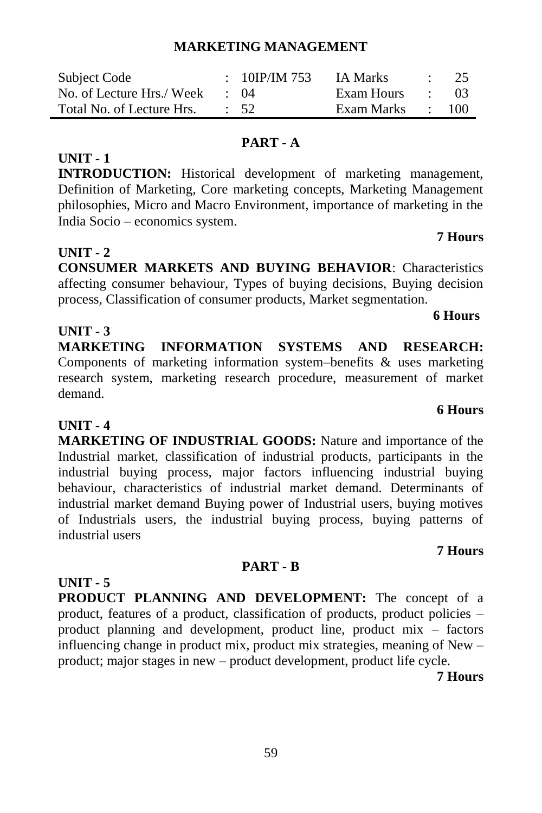#### **MARKETING MANAGEMENT**

| Subject Code              | : 10IP/IM 753   | IA Marks   |                   | $\cdot$ 25 |
|---------------------------|-----------------|------------|-------------------|------------|
| No. of Lecture Hrs./ Week | $\cdot$ ()4     | Exam Hours | <b>Contractor</b> | -03        |
| Total No. of Lecture Hrs. | $\therefore$ 52 | Exam Marks |                   | 100        |

#### **PART - A**

**UNIT - 1**

**INTRODUCTION:** Historical development of marketing management, Definition of Marketing, Core marketing concepts, Marketing Management philosophies, Micro and Macro Environment, importance of marketing in the India Socio – economics system.

#### **UNIT - 2**

**UNIT - 3**

**CONSUMER MARKETS AND BUYING BEHAVIOR**: Characteristics affecting consumer behaviour, Types of buying decisions, Buying decision process, Classification of consumer products, Market segmentation.

#### **6 Hours**

**6 Hours**

**7 Hours**

**MARKETING INFORMATION SYSTEMS AND RESEARCH:**  Components of marketing information system–benefits & uses marketing research system, marketing research procedure, measurement of market demand.

#### **UNIT - 4**

**MARKETING OF INDUSTRIAL GOODS:** Nature and importance of the Industrial market, classification of industrial products, participants in the industrial buying process, major factors influencing industrial buying behaviour, characteristics of industrial market demand. Determinants of industrial market demand Buying power of Industrial users, buying motives of Industrials users, the industrial buying process, buying patterns of industrial users

#### **PART - B**

**UNIT - 5 PRODUCT PLANNING AND DEVELOPMENT:** The concept of a product, features of a product, classification of products, product policies – product planning and development, product line, product mix – factors influencing change in product mix, product mix strategies, meaning of New – product; major stages in new – product development, product life cycle.

**7 Hours**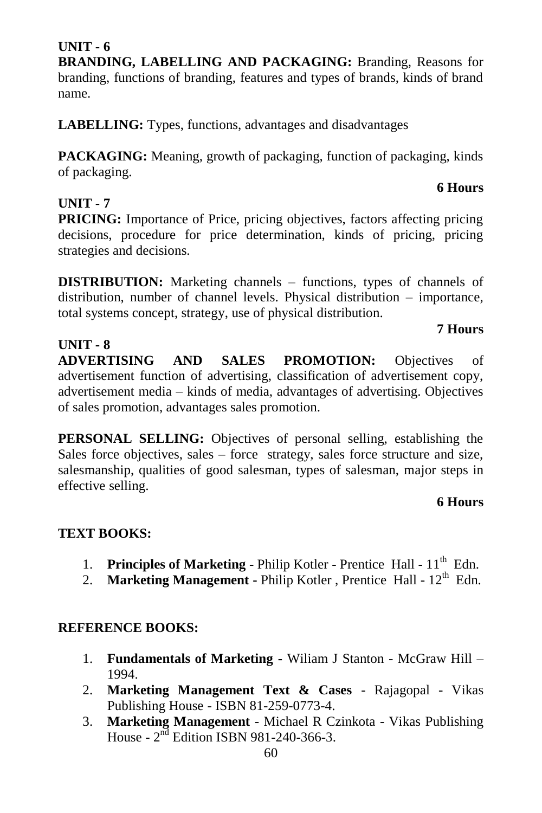#### 60

#### **UNIT - 6**

**BRANDING, LABELLING AND PACKAGING:** Branding, Reasons for branding, functions of branding, features and types of brands, kinds of brand name.

**LABELLING:** Types, functions, advantages and disadvantages

**PACKAGING:** Meaning, growth of packaging, function of packaging, kinds of packaging.

#### **UNIT - 7**

**PRICING:** Importance of Price, pricing objectives, factors affecting pricing decisions, procedure for price determination, kinds of pricing, pricing strategies and decisions.

**DISTRIBUTION:** Marketing channels – functions, types of channels of distribution, number of channel levels. Physical distribution – importance, total systems concept, strategy, use of physical distribution.

## **7 Hours**

**6 Hours**

**UNIT - 8 ADVERTISING AND SALES PROMOTION:** Objectives of advertisement function of advertising, classification of advertisement copy, advertisement media – kinds of media, advantages of advertising. Objectives of sales promotion, advantages sales promotion.

**PERSONAL SELLING:** Objectives of personal selling, establishing the Sales force objectives, sales – force strategy, sales force structure and size, salesmanship, qualities of good salesman, types of salesman, major steps in effective selling.

#### **6 Hours**

#### **TEXT BOOKS:**

- 1. Principles of Marketing Philip Kotler Prentice Hall 11<sup>th</sup> Edn.
- 2. **Marketing Management Philip Kotler**, Prentice Hall 12<sup>th</sup> Edn.

- 1. **Fundamentals of Marketing -** Wiliam J Stanton McGraw Hill 1994.
- 2. **Marketing Management Text & Cases** Rajagopal Vikas Publishing House - ISBN 81-259-0773-4.
- 3. **Marketing Management** Michael R Czinkota Vikas Publishing House -  $2<sup>nd</sup>$  Edition ISBN 981-240-366-3.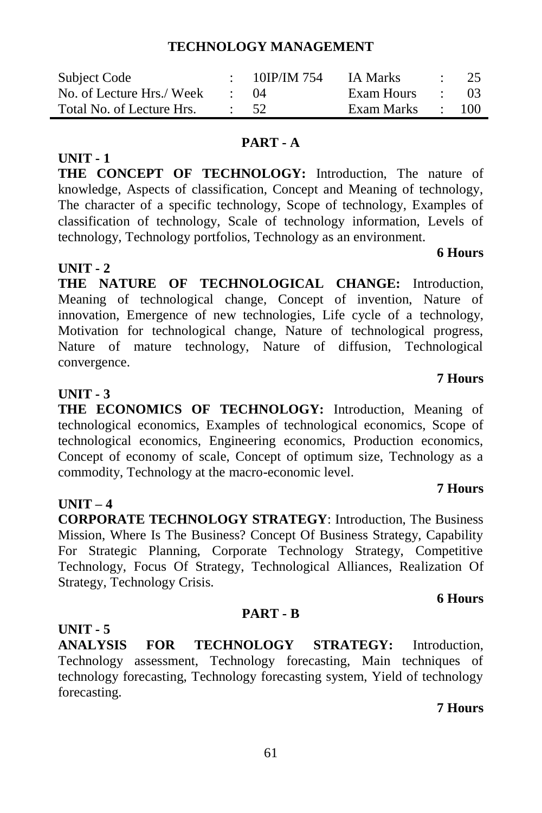#### **TECHNOLOGY MANAGEMENT**

| Subject Code              | 10IP/IM 754 | <b>IA Marks</b> |                  | $\cdot$ 25 |
|---------------------------|-------------|-----------------|------------------|------------|
| No. of Lecture Hrs./ Week | (1)4        | Exam Hours      | and the state of | -03        |
| Total No. of Lecture Hrs. | $\cdot$ 52  | Exam Marks      |                  | 100        |

#### **PART - A**

**THE CONCEPT OF TECHNOLOGY:** Introduction, The nature of knowledge, Aspects of classification, Concept and Meaning of technology, The character of a specific technology, Scope of technology, Examples of classification of technology, Scale of technology information, Levels of technology, Technology portfolios, Technology as an environment.

#### **UNIT - 2**

**UNIT - 1**

**THE NATURE OF TECHNOLOGICAL CHANGE:** Introduction, Meaning of technological change, Concept of invention, Nature of innovation, Emergence of new technologies, Life cycle of a technology, Motivation for technological change, Nature of technological progress, Nature of mature technology, Nature of diffusion, Technological convergence.

#### **UNIT - 3**

**THE ECONOMICS OF TECHNOLOGY:** Introduction, Meaning of technological economics, Examples of technological economics, Scope of technological economics, Engineering economics, Production economics, Concept of economy of scale, Concept of optimum size, Technology as a commodity, Technology at the macro-economic level.

#### **UNIT – 4**

**CORPORATE TECHNOLOGY STRATEGY**: Introduction, The Business Mission, Where Is The Business? Concept Of Business Strategy, Capability For Strategic Planning, Corporate Technology Strategy, Competitive Technology, Focus Of Strategy, Technological Alliances, Realization Of Strategy, Technology Crisis.

#### **6 Hours**

**UNIT - 5 ANALYSIS FOR TECHNOLOGY STRATEGY:** Introduction, Technology assessment, Technology forecasting, Main techniques of technology forecasting, Technology forecasting system, Yield of technology forecasting.

**PART - B**

#### **7 Hours**

#### **6 Hours**

### **7 Hours**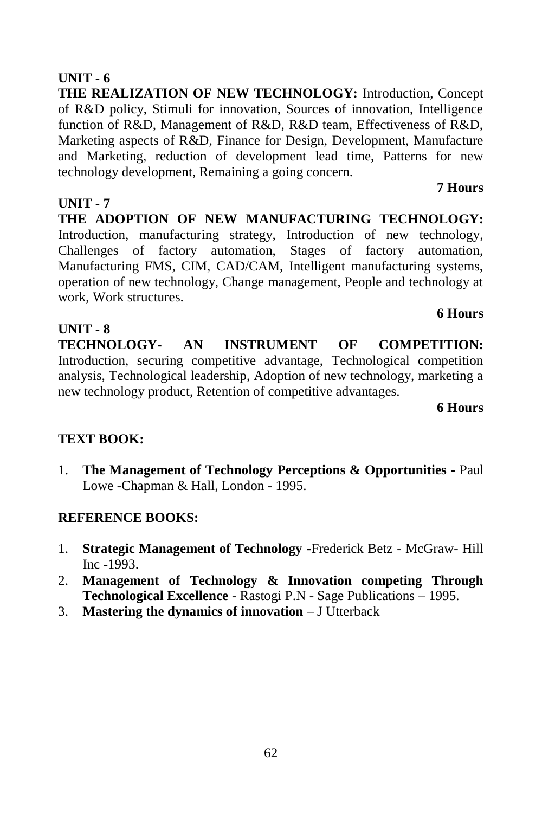**THE REALIZATION OF NEW TECHNOLOGY:** Introduction, Concept of R&D policy, Stimuli for innovation, Sources of innovation, Intelligence function of R&D, Management of R&D, R&D team, Effectiveness of R&D, Marketing aspects of R&D, Finance for Design, Development, Manufacture and Marketing, reduction of development lead time, Patterns for new technology development, Remaining a going concern.

#### **UNIT - 7**

**THE ADOPTION OF NEW MANUFACTURING TECHNOLOGY:**  Introduction, manufacturing strategy, Introduction of new technology, Challenges of factory automation, Stages of factory automation, Manufacturing FMS, CIM, CAD/CAM, Intelligent manufacturing systems, operation of new technology, Change management, People and technology at work, Work structures.

#### **UNIT - 8**

**TECHNOLOGY- AN INSTRUMENT OF COMPETITION:**  Introduction, securing competitive advantage, Technological competition analysis, Technological leadership, Adoption of new technology, marketing a new technology product, Retention of competitive advantages.

**6 Hours**

**6 Hours**

**7 Hours**

#### **TEXT BOOK:**

1. **The Management of Technology Perceptions & Opportunities -** Paul Lowe -Chapman & Hall, London - 1995.

- 1. **Strategic Management of Technology -**Frederick Betz McGraw- Hill Inc -1993.
- 2. **Management of Technology & Innovation competing Through Technological Excellence** - Rastogi P.N - Sage Publications – 1995.
- 3. **Mastering the dynamics of innovation**  J Utterback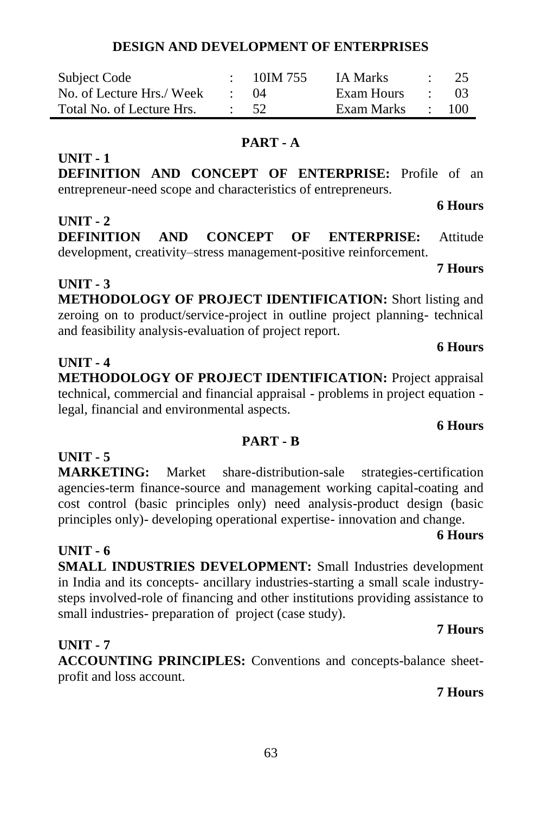#### **DESIGN AND DEVELOPMENT OF ENTERPRISES**

| Subject Code              | 10IM 755 | <b>IA Marks</b> | - 25 |
|---------------------------|----------|-----------------|------|
| No. of Lecture Hrs./ Week | (1)4     | Exam Hours      | -03  |
| Total No. of Lecture Hrs. | - 52     | Exam Marks      | 100  |

#### **PART - A**

**DEFINITION AND CONCEPT OF ENTERPRISE:** Profile of an entrepreneur-need scope and characteristics of entrepreneurs.

#### **UNIT - 2**

**UNIT - 1**

**DEFINITION AND CONCEPT OF ENTERPRISE:** Attitude development, creativity–stress management-positive reinforcement. **7 Hours**

**UNIT - 3 METHODOLOGY OF PROJECT IDENTIFICATION:** Short listing and zeroing on to product/service-project in outline project planning- technical and feasibility analysis-evaluation of project report.

#### **UNIT - 4**

**METHODOLOGY OF PROJECT IDENTIFICATION:** Project appraisal technical, commercial and financial appraisal - problems in project equation legal, financial and environmental aspects.

#### **PART - B**

#### **UNIT - 5**

**MARKETING:** Market share-distribution-sale strategies-certification agencies-term finance-source and management working capital-coating and cost control (basic principles only) need analysis-product design (basic principles only)- developing operational expertise- innovation and change.

#### **UNIT - 6**

**SMALL INDUSTRIES DEVELOPMENT:** Small Industries development in India and its concepts- ancillary industries-starting a small scale industrysteps involved-role of financing and other institutions providing assistance to small industries- preparation of project (case study).

#### **UNIT - 7**

**ACCOUNTING PRINCIPLES:** Conventions and concepts-balance sheetprofit and loss account.

#### **7 Hours**

**7 Hours**

### **6 Hours**

**6 Hours**

**6 Hours**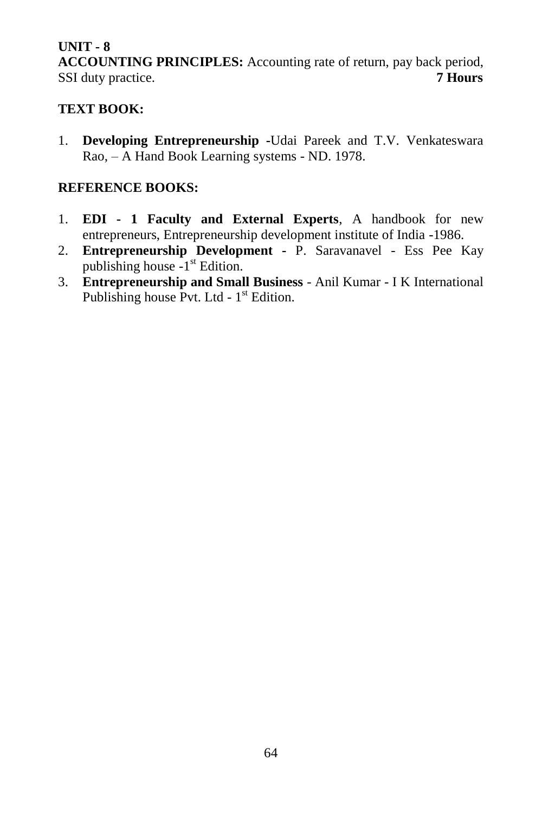**ACCOUNTING PRINCIPLES:** Accounting rate of return, pay back period, SSI duty practice. **7 Hours**

#### **TEXT BOOK:**

1. **Developing Entrepreneurship -**Udai Pareek and T.V. Venkateswara Rao, – A Hand Book Learning systems - ND. 1978.

- 1. **EDI - 1 Faculty and External Experts**, A handbook for new entrepreneurs, Entrepreneurship development institute of India -1986.
- 2. **Entrepreneurship Development -** P. Saravanavel Ess Pee Kay publishing house -1<sup>st</sup> Edition.
- 3. **Entrepreneurship and Small Business** Anil Kumar I K International Publishing house Pvt. Ltd - 1<sup>st</sup> Edition.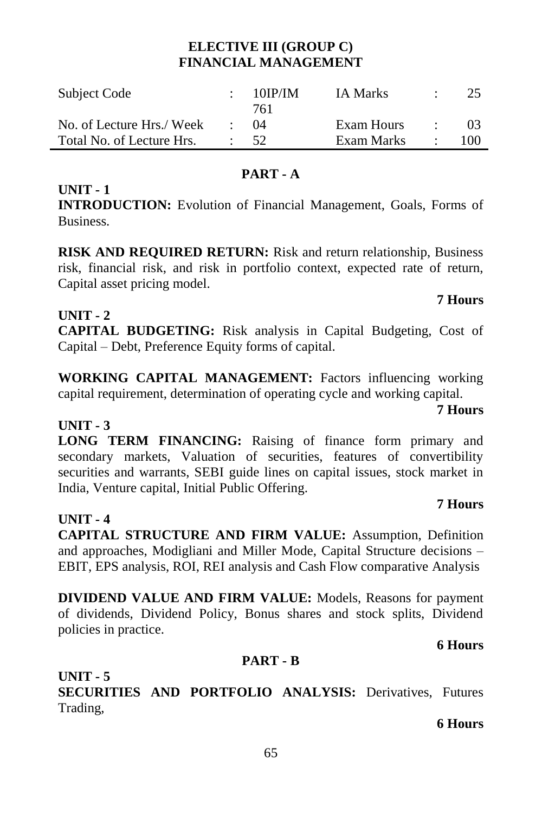#### **ELECTIVE III (GROUP C) FINANCIAL MANAGEMENT**

| Subject Code              | $10$ IP/IM | <b>IA Marks</b> | 25  |
|---------------------------|------------|-----------------|-----|
|                           | 761        |                 |     |
| No. of Lecture Hrs./ Week | $^{(14)}$  | Exam Hours      |     |
| Total No. of Lecture Hrs. | 52         | Exam Marks      | 100 |

#### **PART - A**

### **INTRODUCTION:** Evolution of Financial Management, Goals, Forms of Business.

**RISK AND REQUIRED RETURN:** Risk and return relationship, Business risk, financial risk, and risk in portfolio context, expected rate of return, Capital asset pricing model.

#### **UNIT - 2**

**UNIT - 1**

**CAPITAL BUDGETING:** Risk analysis in Capital Budgeting, Cost of Capital – Debt, Preference Equity forms of capital.

**WORKING CAPITAL MANAGEMENT:** Factors influencing working capital requirement, determination of operating cycle and working capital.

#### **UNIT - 3**

**LONG TERM FINANCING:** Raising of finance form primary and secondary markets, Valuation of securities, features of convertibility securities and warrants, SEBI guide lines on capital issues, stock market in India, Venture capital, Initial Public Offering.

#### **UNIT - 4**

**CAPITAL STRUCTURE AND FIRM VALUE:** Assumption, Definition and approaches, Modigliani and Miller Mode, Capital Structure decisions – EBIT, EPS analysis, ROI, REI analysis and Cash Flow comparative Analysis

**DIVIDEND VALUE AND FIRM VALUE:** Models, Reasons for payment of dividends, Dividend Policy, Bonus shares and stock splits, Dividend policies in practice.

#### **6 Hours**

#### **PART - B**

**UNIT - 5 SECURITIES AND PORTFOLIO ANALYSIS:** Derivatives, Futures Trading,

#### **6 Hours**

#### 65

### **7 Hours**

# **7 Hours**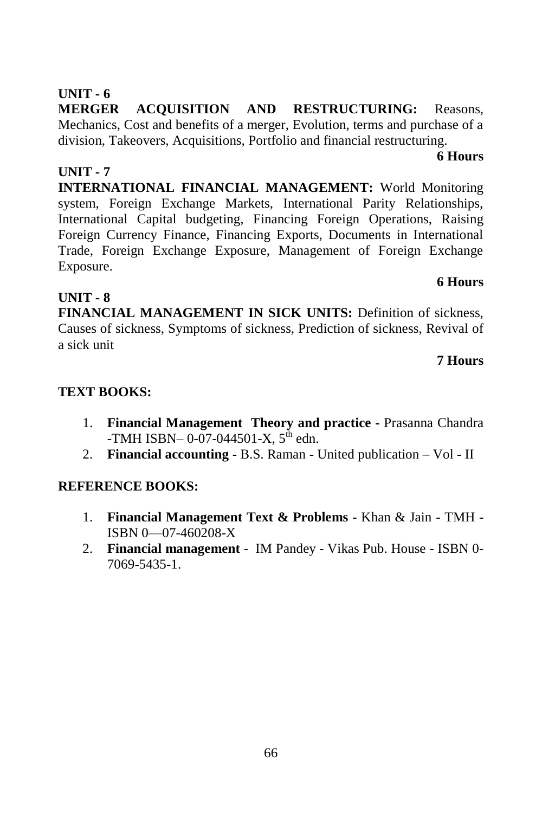**MERGER ACQUISITION AND RESTRUCTURING:** Reasons, Mechanics, Cost and benefits of a merger, Evolution, terms and purchase of a division, Takeovers, Acquisitions, Portfolio and financial restructuring.

#### **UNIT - 7**

**INTERNATIONAL FINANCIAL MANAGEMENT:** World Monitoring system, Foreign Exchange Markets, International Parity Relationships, International Capital budgeting, Financing Foreign Operations, Raising Foreign Currency Finance, Financing Exports, Documents in International Trade, Foreign Exchange Exposure, Management of Foreign Exchange Exposure.

#### **UNIT - 8**

**FINANCIAL MANAGEMENT IN SICK UNITS:** Definition of sickness, Causes of sickness, Symptoms of sickness, Prediction of sickness, Revival of a sick unit

#### **7 Hours**

**6 Hours**

#### **TEXT BOOKS:**

- 1. **Financial Management Theory and practice -** Prasanna Chandra  $-TMH$  ISBN– 0-07-044501-X,  $5^{th}$  edn.
- 2. **Financial accounting** B.S. Raman United publication Vol II

#### **REFERENCE BOOKS:**

- 1. **Financial Management Text & Problems** Khan & Jain TMH ISBN 0—07-460208-X
- 2. **Financial management** IM Pandey Vikas Pub. House ISBN 0- 7069-5435-1.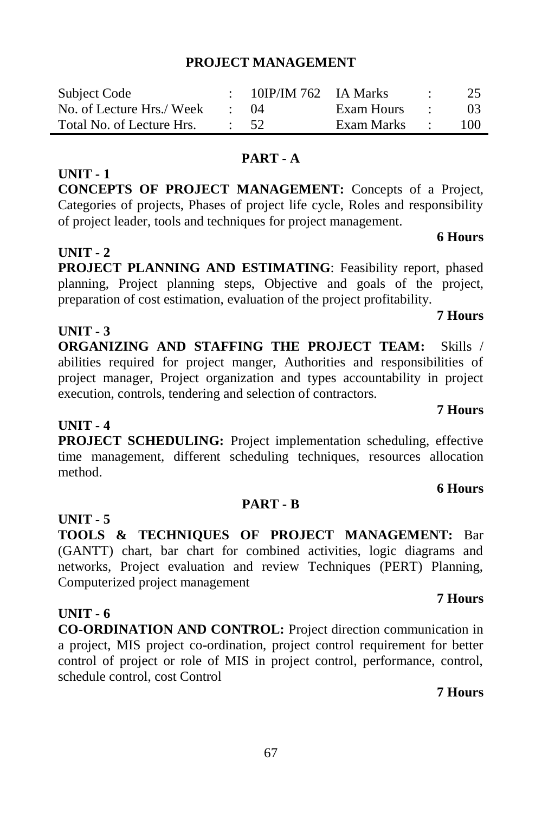#### 67

#### **PROJECT MANAGEMENT**

| Subject Code              | $10IP/IM$ 762 IA Marks |            |                          | 25              |
|---------------------------|------------------------|------------|--------------------------|-----------------|
| No. of Lecture Hrs./ Week | (1)4                   | Exam Hours | <b>Contract Contract</b> | 03 <sup>2</sup> |
| Total No. of Lecture Hrs. | - 52.                  | Exam Marks | and the state            | 100             |

#### **PART - A**

**CONCEPTS OF PROJECT MANAGEMENT:** Concepts of a Project, Categories of projects, Phases of project life cycle, Roles and responsibility of project leader, tools and techniques for project management.

#### **UNIT - 2**

**UNIT - 1**

**PROJECT PLANNING AND ESTIMATING**: Feasibility report, phased planning, Project planning steps, Objective and goals of the project, preparation of cost estimation, evaluation of the project profitability.

#### **UNIT - 3**

**ORGANIZING AND STAFFING THE PROJECT TEAM: Skills /** abilities required for project manger, Authorities and responsibilities of project manager, Project organization and types accountability in project execution, controls, tendering and selection of contractors.

#### **UNIT - 4**

**PROJECT SCHEDULING:** Project implementation scheduling, effective time management, different scheduling techniques, resources allocation method.

#### **PART - B**

**UNIT - 5**

**TOOLS & TECHNIQUES OF PROJECT MANAGEMENT:** Bar (GANTT) chart, bar chart for combined activities, logic diagrams and networks, Project evaluation and review Techniques (PERT) Planning, Computerized project management

#### **UNIT - 6**

**CO-ORDINATION AND CONTROL:** Project direction communication in a project, MIS project co-ordination, project control requirement for better control of project or role of MIS in project control, performance, control, schedule control, cost Control

#### **7 Hours**

**7 Hours**

## **7 Hours**

**6 Hours**

# **7 Hours**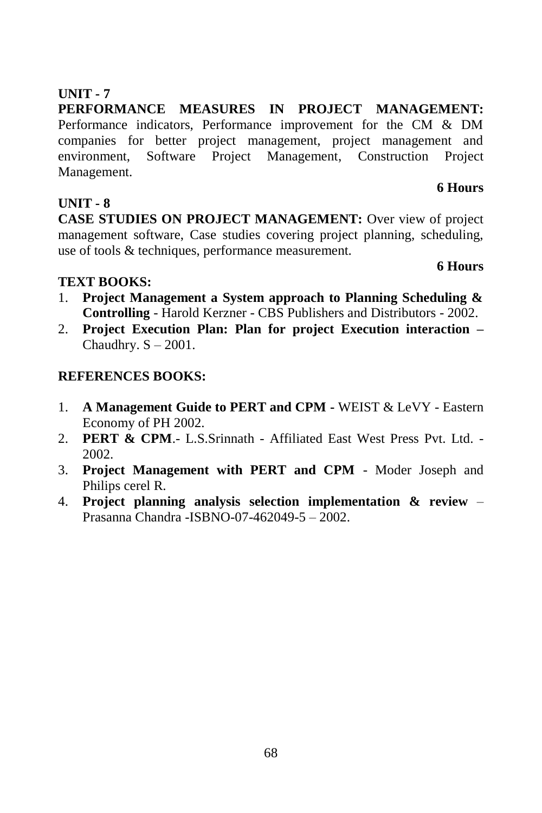**PERFORMANCE MEASURES IN PROJECT MANAGEMENT:**  Performance indicators, Performance improvement for the CM & DM companies for better project management, project management and environment, Software Project Management, Construction Project Management.

#### **UNIT - 8**

**CASE STUDIES ON PROJECT MANAGEMENT:** Over view of project management software, Case studies covering project planning, scheduling, use of tools & techniques, performance measurement.

#### **TEXT BOOKS:**

- 1. **Project Management a System approach to Planning Scheduling & Controlling** - Harold Kerzner - CBS Publishers and Distributors - 2002.
- 2. **Project Execution Plan: Plan for project Execution interaction –** Chaudhry.  $S - 2001$ .

#### **REFERENCES BOOKS:**

- 1. **A Management Guide to PERT and CPM -** WEIST & LeVY Eastern Economy of PH 2002.
- 2. **PERT & CPM**.- L.S.Srinnath Affiliated East West Press Pvt. Ltd. 2002.
- 3. **Project Management with PERT and CPM** Moder Joseph and Philips cerel R.
- 4. **Project planning analysis selection implementation & review** Prasanna Chandra -ISBNO-07-462049-5 – 2002.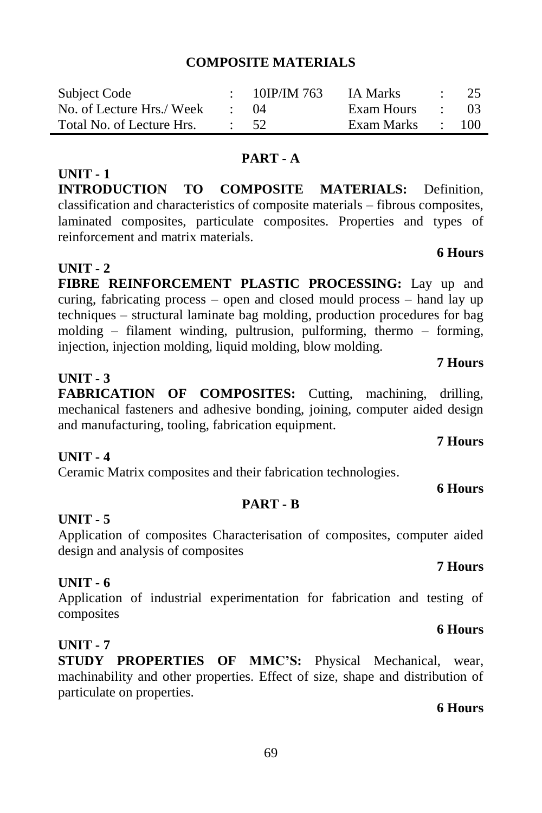#### 69

#### **COMPOSITE MATERIALS**

| Subject Code              | $10$ IP/IM 763 | IA Marks   |                          | - 25 |
|---------------------------|----------------|------------|--------------------------|------|
| No. of Lecture Hrs./ Week | $\cdot$ ()4    | Exam Hours | <b>Contract Contract</b> | - 03 |
| Total No. of Lecture Hrs. | 52.            | Exam Marks |                          | 100  |

#### **PART - A**

**INTRODUCTION TO COMPOSITE MATERIALS:** Definition, classification and characteristics of composite materials – fibrous composites, laminated composites, particulate composites. Properties and types of reinforcement and matrix materials.

#### **UNIT - 2**

**UNIT - 1**

**FIBRE REINFORCEMENT PLASTIC PROCESSING:** Lay up and curing, fabricating process – open and closed mould process – hand lay up techniques – structural laminate bag molding, production procedures for bag molding – filament winding, pultrusion, pulforming, thermo – forming, injection, injection molding, liquid molding, blow molding.

#### **UNIT - 3**

**FABRICATION OF COMPOSITES:** Cutting, machining, drilling, mechanical fasteners and adhesive bonding, joining, computer aided design and manufacturing, tooling, fabrication equipment.

#### **UNIT - 4**

Ceramic Matrix composites and their fabrication technologies.

#### **UNIT - 5**

Application of composites Characterisation of composites, computer aided design and analysis of composites

**PART - B**

#### **UNIT - 6**

Application of industrial experimentation for fabrication and testing of composites

#### **UNIT - 7**

**STUDY PROPERTIES OF MMC'S:** Physical Mechanical, wear, machinability and other properties. Effect of size, shape and distribution of particulate on properties.

#### **6 Hours**

# **6 Hours**

### **6 Hours**

### **7 Hours**

**7 Hours**

# **7 Hours**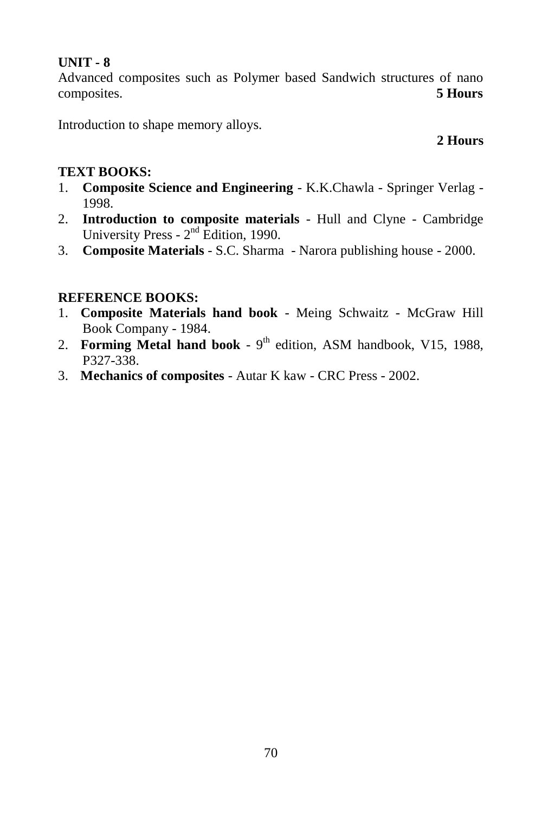Advanced composites such as Polymer based Sandwich structures of nano composites. **5 Hours**

Introduction to shape memory alloys.

### **2 Hours**

#### **TEXT BOOKS:**

- 1. **Composite Science and Engineering** K.K.Chawla Springer Verlag 1998.
- 2. **Introduction to composite materials** Hull and Clyne Cambridge University Press -  $2<sup>nd</sup>$  Edition, 1990.
- 3. **Composite Materials** S.C. Sharma Narora publishing house 2000.

- 1. **Composite Materials hand book** Meing Schwaitz McGraw Hill Book Company - 1984.
- 2. Forming Metal hand book 9<sup>th</sup> edition, ASM handbook, V15, 1988, P327-338.
- 3. **Mechanics of composites** Autar K kaw CRC Press 2002.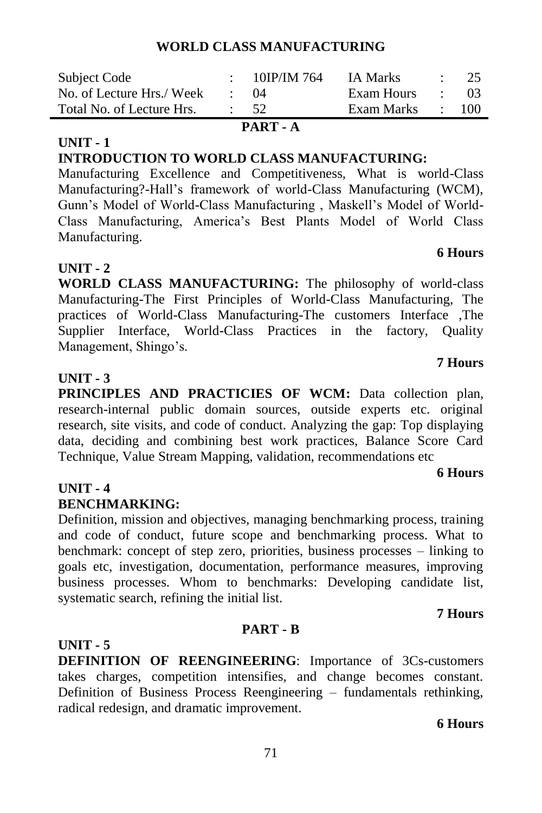| PART - A                  |  |                  |            |                          |                  |  |
|---------------------------|--|------------------|------------|--------------------------|------------------|--|
| Total No. of Lecture Hrs. |  | $\cdot$ 52       | Exam Marks |                          | $\therefore$ 100 |  |
| No. of Lecture Hrs./ Week |  | $^{(14)}$        | Exam Hours | <b>Contract Contract</b> | (1)              |  |
| Subject Code              |  | : $10$ IP/IM 764 | IA Marks   |                          | $\therefore$ 25  |  |

#### **INTRODUCTION TO WORLD CLASS MANUFACTURING:**

Manufacturing Excellence and Competitiveness, What is world-Class Manufacturing?-Hall's framework of world-Class Manufacturing (WCM), Gunn's Model of World-Class Manufacturing , Maskell's Model of World-Class Manufacturing, America's Best Plants Model of World Class Manufacturing.

#### **UNIT - 2**

**UNIT - 1**

**WORLD CLASS MANUFACTURING:** The philosophy of world-class Manufacturing-The First Principles of World-Class Manufacturing, The practices of World-Class Manufacturing-The customers Interface ,The Supplier Interface, World-Class Practices in the factory, Quality Management, Shingo's.

#### **UNIT - 3**

**PRINCIPLES AND PRACTICIES OF WCM:** Data collection plan, research-internal public domain sources, outside experts etc. original research, site visits, and code of conduct. Analyzing the gap: Top displaying data, deciding and combining best work practices, Balance Score Card Technique, Value Stream Mapping, validation, recommendations etc

#### **UNIT - 4**

#### **BENCHMARKING:**

Definition, mission and objectives, managing benchmarking process, training and code of conduct, future scope and benchmarking process. What to benchmark: concept of step zero, priorities, business processes – linking to goals etc, investigation, documentation, performance measures, improving business processes. Whom to benchmarks: Developing candidate list, systematic search, refining the initial list.

## **UNIT - 5**

**DEFINITION OF REENGINEERING**: Importance of 3Cs-customers takes charges, competition intensifies, and change becomes constant. Definition of Business Process Reengineering – fundamentals rethinking, radical redesign, and dramatic improvement.

**PART - B**

#### **6 Hours**

**7 Hours** 

**6 Hours** 

#### **6 Hours**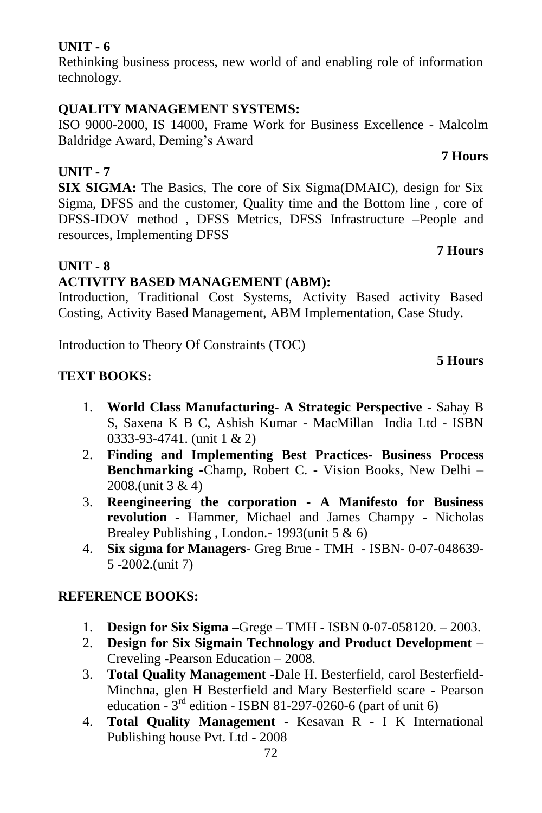Rethinking business process, new world of and enabling role of information technology.

#### **QUALITY MANAGEMENT SYSTEMS:**

ISO 9000-2000, IS 14000, Frame Work for Business Excellence - Malcolm Baldridge Award, Deming's Award

### **UNIT - 7**

**SIX SIGMA:** The Basics, The core of Six Sigma(DMAIC), design for Six Sigma, DFSS and the customer, Quality time and the Bottom line , core of DFSS-IDOV method , DFSS Metrics, DFSS Infrastructure –People and resources, Implementing DFSS

#### **UNIT - 8**

#### **ACTIVITY BASED MANAGEMENT (ABM):**

Introduction, Traditional Cost Systems, Activity Based activity Based Costing, Activity Based Management, ABM Implementation, Case Study.

Introduction to Theory Of Constraints (TOC)

#### **TEXT BOOKS:**

- 1. **World Class Manufacturing- A Strategic Perspective -** Sahay B S, Saxena K B C, Ashish Kumar - MacMillan India Ltd - ISBN 0333-93-4741. (unit 1 & 2)
- 2. **Finding and Implementing Best Practices- Business Process Benchmarking -**Champ, Robert C. - Vision Books, New Delhi – 2008.(unit 3 & 4)
- 3. **Reengineering the corporation - A Manifesto for Business revolution -** Hammer, Michael and James Champy - Nicholas Brealey Publishing , London.- 1993(unit 5 & 6)
- 4. **Six sigma for Managers** Greg Brue TMH ISBN- 0-07-048639- 5 -2002.(unit 7)

#### **REFERENCE BOOKS:**

- 1. **Design for Six Sigma –**Grege TMH ISBN 0-07-058120. 2003.
- 2. **Design for Six Sigmain Technology and Product Development** Creveling **-**Pearson Education – 2008.
- 3. **Total Quality Management** -Dale H. Besterfield, carol Besterfield-Minchna, glen H Besterfield and Mary Besterfield scare - Pearson education -  $3<sup>rd</sup>$  edition - ISBN 81-297-0260-6 (part of unit 6)
- 4. **Total Quality Management** Kesavan R I K International Publishing house Pvt. Ltd - 2008

## **7 Hours**

#### **5 Hours**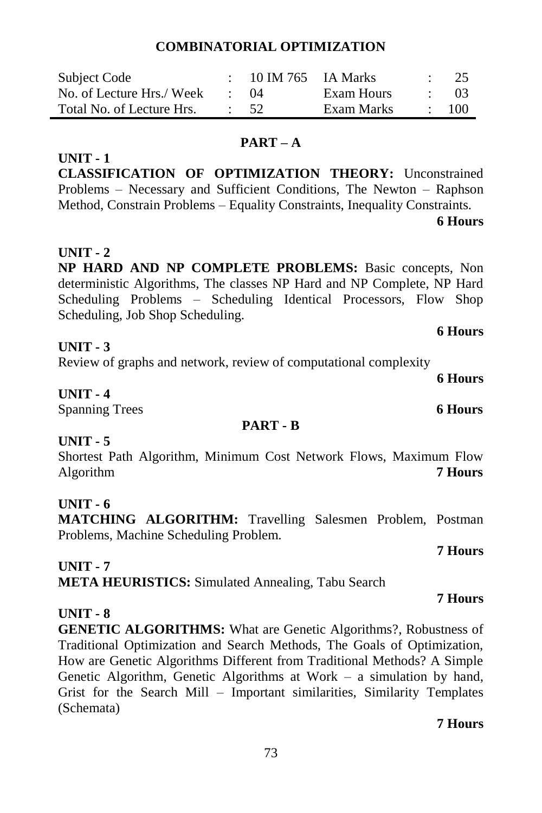# **COMBINATORIAL OPTIMIZATION**

| Subject Code              | 10 IM 765 IA Marks |            | 25         |
|---------------------------|--------------------|------------|------------|
| No. of Lecture Hrs./ Week | $\cdot$ ()4        | Exam Hours | - 03       |
| Total No. of Lecture Hrs. | $\therefore$ 52    | Exam Marks | $\div$ 100 |

#### **PART – A**

**CLASSIFICATION OF OPTIMIZATION THEORY:** Unconstrained Problems – Necessary and Sufficient Conditions, The Newton – Raphson Method, Constrain Problems – Equality Constraints, Inequality Constraints.

**6 Hours** 

### **UNIT - 2**

**UNIT - 1**

**NP HARD AND NP COMPLETE PROBLEMS:** Basic concepts, Non deterministic Algorithms, The classes NP Hard and NP Complete, NP Hard Scheduling Problems – Scheduling Identical Processors, Flow Shop Scheduling, Job Shop Scheduling.

# **UNIT - 3**

Review of graphs and network, review of computational complexity

#### **UNIT - 4**

Spanning Trees **6 Hours**

#### **PART - B**

### **UNIT - 5**

Shortest Path Algorithm, Minimum Cost Network Flows, Maximum Flow Algorithm **7 Hours**

### **UNIT - 6**

**MATCHING ALGORITHM:** Travelling Salesmen Problem, Postman Problems, Machine Scheduling Problem.

### **UNIT - 7**

**META HEURISTICS:** Simulated Annealing, Tabu Search

### **UNIT - 8**

**GENETIC ALGORITHMS:** What are Genetic Algorithms?, Robustness of Traditional Optimization and Search Methods, The Goals of Optimization, How are Genetic Algorithms Different from Traditional Methods? A Simple Genetic Algorithm, Genetic Algorithms at Work – a simulation by hand, Grist for the Search Mill – Important similarities, Similarity Templates (Schemata)

### **7 Hours**

# **7 Hours**

### **7 Hours**

**6 Hours**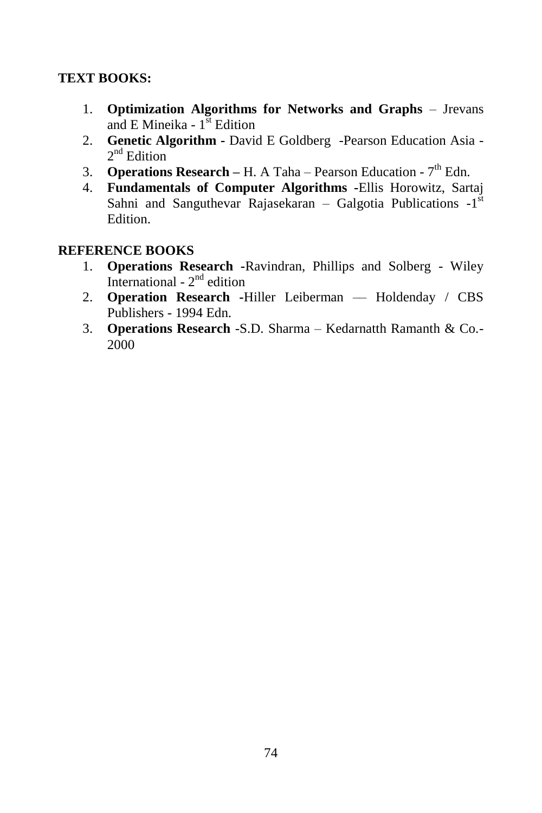# **TEXT BOOKS:**

- 1. **Optimization Algorithms for Networks and Graphs** Jrevans and E Mineika - 1<sup>st</sup> Edition
- 2. **Genetic Algorithm -** David E Goldberg -Pearson Education Asia 2<sup>nd</sup> Edition
- 3. **Operations Research** H. A Taha Pearson Education 7<sup>th</sup> Edn.
- 4. **Fundamentals of Computer Algorithms -**Ellis Horowitz, Sartaj Sahni and Sanguthevar Rajasekaran - Galgotia Publications -1<sup>st</sup> Edition.

# **REFERENCE BOOKS**

- 1. **Operations Research -**Ravindran, Phillips and Solberg Wiley International -  $2<sup>nd</sup>$  edition
- 2. **Operation Research -**Hiller Leiberman –– Holdenday / CBS Publishers - 1994 Edn.
- 3. **Operations Research** -S.D. Sharma Kedarnatth Ramanth & Co.- 2000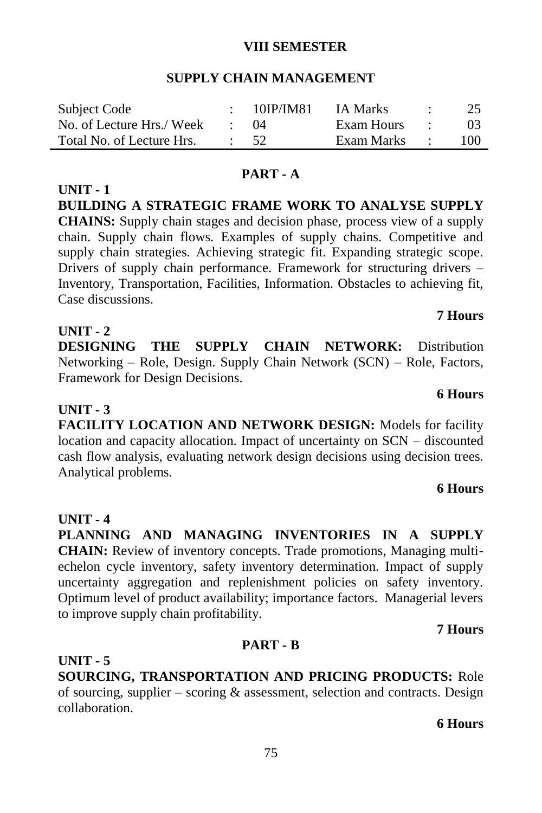#### **VIII SEMESTER**

#### **SUPPLY CHAIN MANAGEMENT**

| Subject Code              | - 10IP/IM81 | IA Marks     | $\sim$ $\sim$ | 25  |
|---------------------------|-------------|--------------|---------------|-----|
| No. of Lecture Hrs./ Week | (1)4        | Exam Hours   | $\sim$ $\sim$ |     |
| Total No. of Lecture Hrs. | $\cdot$ 52  | Exam Marks : |               | 100 |

#### **PART - A**

**BUILDING A STRATEGIC FRAME WORK TO ANALYSE SUPPLY CHAINS:** Supply chain stages and decision phase, process view of a supply chain. Supply chain flows. Examples of supply chains. Competitive and supply chain strategies. Achieving strategic fit. Expanding strategic scope. Drivers of supply chain performance. Framework for structuring drivers – Inventory, Transportation, Facilities, Information. Obstacles to achieving fit, Case discussions.

#### **UNIT - 2**

**UNIT - 1**

**DESIGNING THE SUPPLY CHAIN NETWORK:** Distribution Networking – Role, Design. Supply Chain Network (SCN) – Role, Factors, Framework for Design Decisions.

### **UNIT - 3**

**FACILITY LOCATION AND NETWORK DESIGN:** Models for facility location and capacity allocation. Impact of uncertainty on SCN – discounted cash flow analysis, evaluating network design decisions using decision trees. Analytical problems.

### **6 Hours**

# **UNIT - 4**

**PLANNING AND MANAGING INVENTORIES IN A SUPPLY CHAIN:** Review of inventory concepts. Trade promotions, Managing multiechelon cycle inventory, safety inventory determination. Impact of supply uncertainty aggregation and replenishment policies on safety inventory. Optimum level of product availability; importance factors. Managerial levers to improve supply chain profitability.

#### **7 Hours**

#### **PART - B**

**UNIT - 5 SOURCING, TRANSPORTATION AND PRICING PRODUCTS:** Role of sourcing, supplier – scoring  $\&$  assessment, selection and contracts. Design collaboration.

**6 Hours** 

# **7 Hours**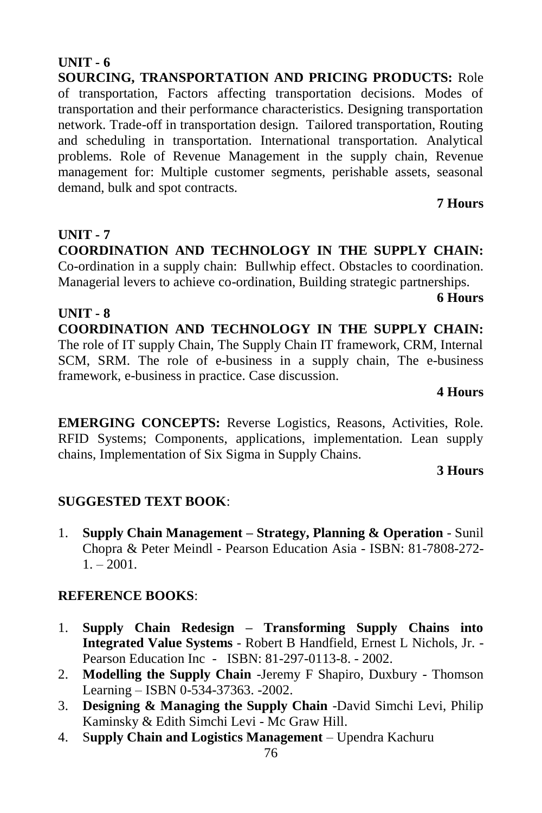# **UNIT - 6**

**SOURCING, TRANSPORTATION AND PRICING PRODUCTS:** Role of transportation, Factors affecting transportation decisions. Modes of transportation and their performance characteristics. Designing transportation network. Trade-off in transportation design. Tailored transportation, Routing and scheduling in transportation. International transportation. Analytical problems. Role of Revenue Management in the supply chain, Revenue management for: Multiple customer segments, perishable assets, seasonal demand, bulk and spot contracts.

# **7 Hours**

**UNIT - 7 COORDINATION AND TECHNOLOGY IN THE SUPPLY CHAIN:**  Co-ordination in a supply chain: Bullwhip effect. Obstacles to coordination. Managerial levers to achieve co-ordination, Building strategic partnerships.

#### **6 Hours**

**UNIT - 8 COORDINATION AND TECHNOLOGY IN THE SUPPLY CHAIN:**  The role of IT supply Chain, The Supply Chain IT framework, CRM, Internal SCM, SRM. The role of e-business in a supply chain, The e-business framework, e-business in practice. Case discussion.

#### **4 Hours**

**EMERGING CONCEPTS:** Reverse Logistics, Reasons, Activities, Role. RFID Systems; Components, applications, implementation. Lean supply chains, Implementation of Six Sigma in Supply Chains.

### **3 Hours**

# **SUGGESTED TEXT BOOK**:

1. **Supply Chain Management – Strategy, Planning & Operation** - Sunil Chopra & Peter Meindl - Pearson Education Asia - ISBN: 81-7808-272-  $1. - 2001.$ 

# **REFERENCE BOOKS**:

- 1. **Supply Chain Redesign – Transforming Supply Chains into Integrated Value Systems** - Robert B Handfield, Ernest L Nichols, Jr. - Pearson Education Inc - ISBN: 81-297-0113-8. - 2002.
- 2. **Modelling the Supply Chain** -Jeremy F Shapiro, Duxbury Thomson Learning – ISBN 0-534-37363. -2002.
- 3. **Designing & Managing the Supply Chain** -David Simchi Levi, Philip Kaminsky & Edith Simchi Levi - Mc Graw Hill.
- 4. S**upply Chain and Logistics Management**  Upendra Kachuru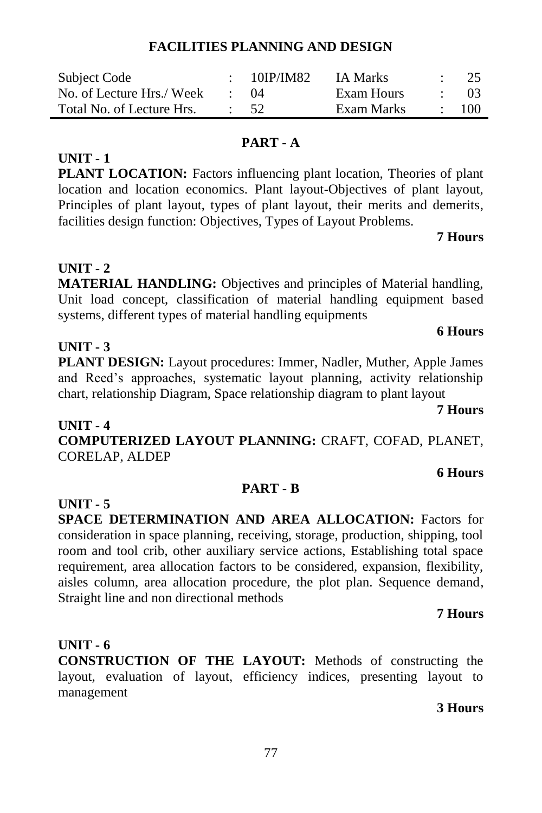# **FACILITIES PLANNING AND DESIGN**

| Subject Code              | 10IP/IM82 | <b>IA Marks</b> | 25   |
|---------------------------|-----------|-----------------|------|
| No. of Lecture Hrs./ Week | (1)4      | Exam Hours      | (1)3 |
| Total No. of Lecture Hrs. | - 52.     | Exam Marks      | 100  |

#### **PART - A**

**PLANT LOCATION:** Factors influencing plant location, Theories of plant location and location economics. Plant layout-Objectives of plant layout, Principles of plant layout, types of plant layout, their merits and demerits, facilities design function: Objectives, Types of Layout Problems.

#### **7 Hours**

# **UNIT - 2**

**UNIT - 3**

**UNIT - 1**

**MATERIAL HANDLING:** Objectives and principles of Material handling, Unit load concept, classification of material handling equipment based systems, different types of material handling equipments

# **6 Hours**

**PLANT DESIGN:** Layout procedures: Immer, Nadler, Muther, Apple James and Reed's approaches, systematic layout planning, activity relationship chart, relationship Diagram, Space relationship diagram to plant layout

**UNIT - 4 COMPUTERIZED LAYOUT PLANNING:** CRAFT, COFAD, PLANET, CORELAP, ALDEP

#### **6 Hours**

**7 Hours**

#### **PART - B**

**SPACE DETERMINATION AND AREA ALLOCATION:** Factors for consideration in space planning, receiving, storage, production, shipping, tool room and tool crib, other auxiliary service actions, Establishing total space requirement, area allocation factors to be considered, expansion, flexibility, aisles column, area allocation procedure, the plot plan. Sequence demand, Straight line and non directional methods

### **7 Hours**

# **UNIT - 6**

**UNIT - 5**

**CONSTRUCTION OF THE LAYOUT:** Methods of constructing the layout, evaluation of layout, efficiency indices, presenting layout to management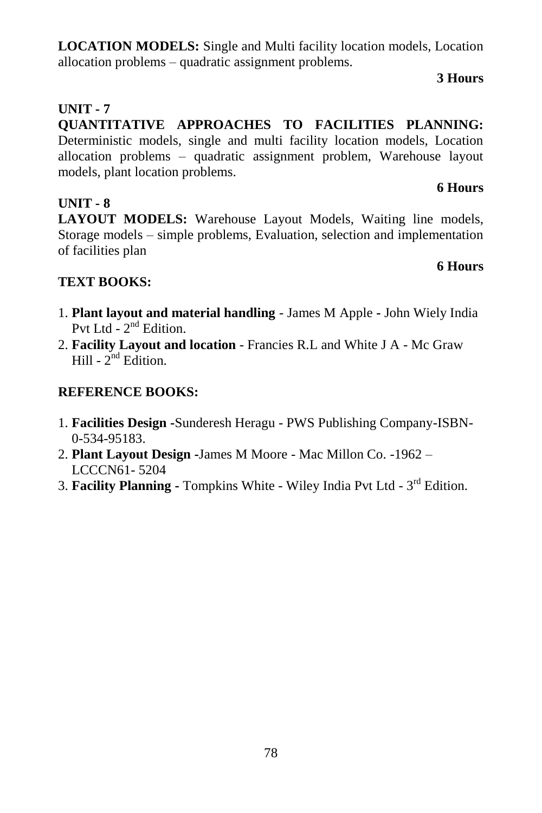# 78

**LOCATION MODELS:** Single and Multi facility location models, Location allocation problems – quadratic assignment problems.

### **3 Hours**

**6 Hours**

**6 Hours**

# **UNIT - 7**

**QUANTITATIVE APPROACHES TO FACILITIES PLANNING:**  Deterministic models, single and multi facility location models, Location allocation problems – quadratic assignment problem, Warehouse layout models, plant location problems.

# **UNIT - 8**

**LAYOUT MODELS:** Warehouse Layout Models, Waiting line models, Storage models – simple problems, Evaluation, selection and implementation of facilities plan

# **TEXT BOOKS:**

- 1. **Plant layout and material handling** James M Apple **-** John Wiely India Pvt Ltd - 2<sup>nd</sup> Edition.
- 2. **Facility Layout and location** Francies R.L and White J A Mc Graw Hill -  $2^{nd}$  Edition.

# **REFERENCE BOOKS:**

- 1. **Facilities Design -**Sunderesh Heragu PWS Publishing Company-ISBN- 0-534-95183.
- 2. **Plant Layout Design -**James M Moore Mac Millon Co. -1962 LCCCN61- 5204
- 3. Facility Planning Tompkins White Wiley India Pvt Ltd 3<sup>rd</sup> Edition.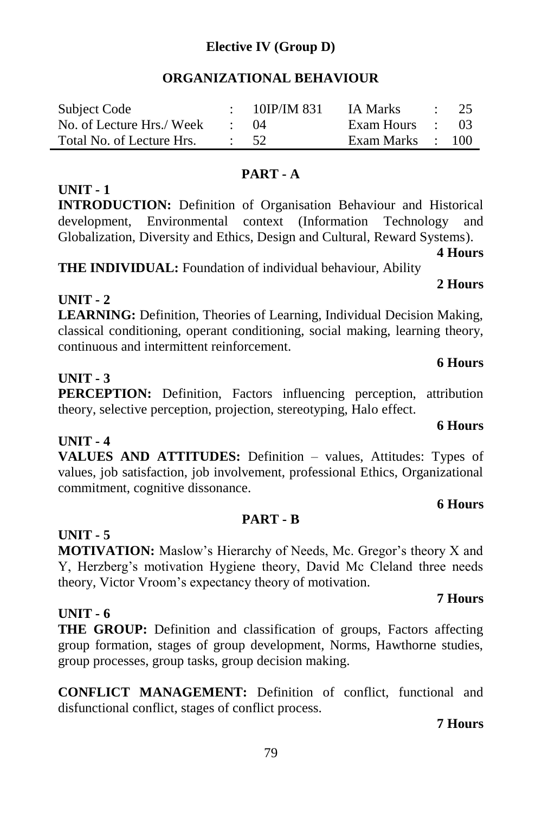# **Elective IV (Group D)**

### **ORGANIZATIONAL BEHAVIOUR**

| Subject Code              | $\div$ 10IP/IM 831 | IA Marks         | $\therefore$ 25 |
|---------------------------|--------------------|------------------|-----------------|
| No. of Lecture Hrs./ Week | $\cdot$ 04         | Exam Hours : 03  |                 |
| Total No. of Lecture Hrs. | $\therefore$ 52    | Exam Marks : 100 |                 |

#### **PART - A**

#### **UNIT - 1**

**INTRODUCTION:** Definition of Organisation Behaviour and Historical development, Environmental context (Information Technology and Globalization, Diversity and Ethics, Design and Cultural, Reward Systems).

**4 Hours**

**2 Hours**

**THE INDIVIDUAL:** Foundation of individual behaviour, Ability

### **UNIT - 2**

**LEARNING:** Definition, Theories of Learning, Individual Decision Making, classical conditioning, operant conditioning, social making, learning theory, continuous and intermittent reinforcement.

#### **UNIT - 3**

**PERCEPTION:** Definition, Factors influencing perception, attribution theory, selective perception, projection, stereotyping, Halo effect.

### **UNIT - 4**

**VALUES AND ATTITUDES:** Definition – values, Attitudes: Types of values, job satisfaction, job involvement, professional Ethics, Organizational commitment, cognitive dissonance.

#### **6 Hours PART - B**

# **UNIT - 5**

**MOTIVATION:** Maslow's Hierarchy of Needs, Mc. Gregor's theory X and Y, Herzberg's motivation Hygiene theory, David Mc Cleland three needs theory, Victor Vroom's expectancy theory of motivation.

### **UNIT - 6**

**THE GROUP:** Definition and classification of groups, Factors affecting group formation, stages of group development, Norms, Hawthorne studies, group processes, group tasks, group decision making.

**CONFLICT MANAGEMENT:** Definition of conflict, functional and disfunctional conflict, stages of conflict process.

#### **7 Hours**

#### 79

#### **6 Hours**

**6 Hours**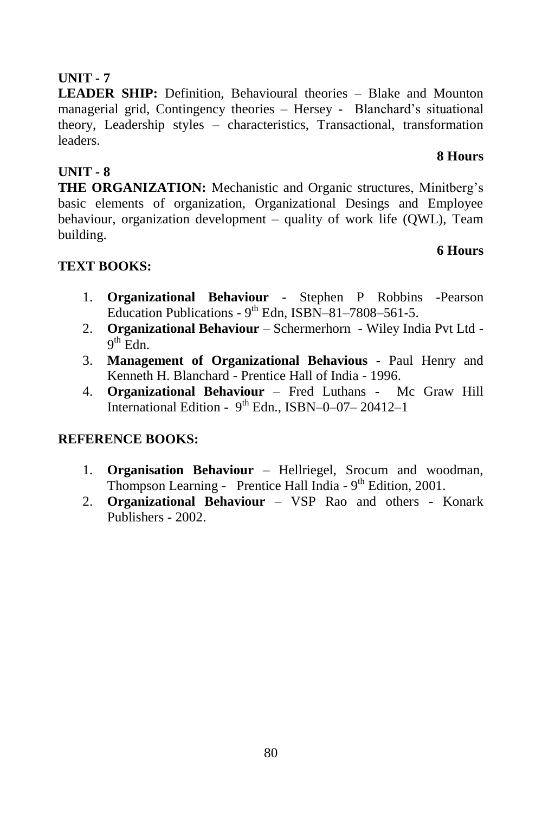# **UNIT - 7**

**LEADER SHIP:** Definition, Behavioural theories – Blake and Mounton managerial grid, Contingency theories – Hersey - Blanchard's situational theory, Leadership styles – characteristics, Transactional, transformation leaders.

# **UNIT - 8**

**THE ORGANIZATION:** Mechanistic and Organic structures, Minitberg's basic elements of organization, Organizational Desings and Employee behaviour, organization development – quality of work life (QWL), Team building.

# **6 Hours**

**8 Hours**

# **TEXT BOOKS:**

- 1. **Organizational Behaviour** Stephen P Robbins -Pearson Education Publications -  $9<sup>th</sup>$  Edn, ISBN-81-7808-561-5.
- 2. **Organizational Behaviour**  Schermerhorn Wiley India Pvt Ltd  $9<sup>th</sup>$  Edn.
- 3. **Management of Organizational Behavious -** Paul Henry and Kenneth H. Blanchard - Prentice Hall of India - 1996.
- 4. **Organizational Behaviour** Fred Luthans Mc Graw Hill International Edition -  $9<sup>th</sup>$  Edn., ISBN-0-07-20412-1

# **REFERENCE BOOKS:**

- 1. **Organisation Behaviour** Hellriegel, Srocum and woodman, Thompson Learning - Prentice Hall India -  $9<sup>th</sup>$  Edition, 2001.
- 2. **Organizational Behaviour** VSP Rao and others Konark Publishers - 2002.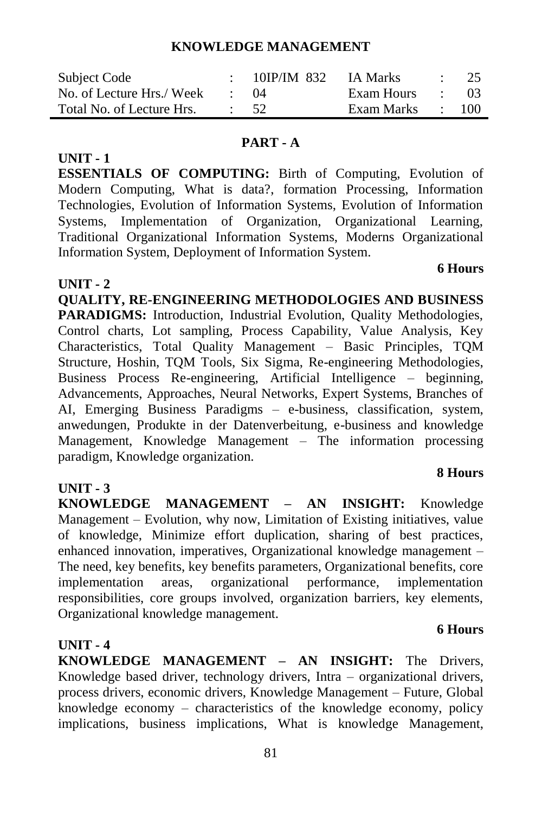#### **KNOWLEDGE MANAGEMENT**

| Subject Code              | 10IP/IM 832 | IA Marks   |                          | $\cdot$ 25 |
|---------------------------|-------------|------------|--------------------------|------------|
| No. of Lecture Hrs./ Week | (1)4        | Exam Hours | <b>Contract Contract</b> | -03        |
| Total No. of Lecture Hrs. | $\cdot$ 52  | Exam Marks | and the state            | 100        |

#### **PART - A**

**ESSENTIALS OF COMPUTING:** Birth of Computing, Evolution of Modern Computing, What is data?, formation Processing, Information Technologies, Evolution of Information Systems, Evolution of Information Systems, Implementation of Organization, Organizational Learning, Traditional Organizational Information Systems, Moderns Organizational Information System, Deployment of Information System.

 **6 Hours**

### **UNIT - 2**

**UNIT - 1**

**QUALITY, RE-ENGINEERING METHODOLOGIES AND BUSINESS**  PARADIGMS: Introduction, Industrial Evolution, Ouality Methodologies, Control charts, Lot sampling, Process Capability, Value Analysis, Key Characteristics, Total Quality Management – Basic Principles, TQM Structure, Hoshin, TQM Tools, Six Sigma, Re-engineering Methodologies, Business Process Re-engineering, Artificial Intelligence – beginning, Advancements, Approaches, Neural Networks, Expert Systems, Branches of AI, Emerging Business Paradigms – e-business, classification, system, anwedungen, Produkte in der Datenverbeitung, e-business and knowledge Management, Knowledge Management – The information processing paradigm, Knowledge organization.

# **UNIT - 3**

**KNOWLEDGE MANAGEMENT – AN INSIGHT:** Knowledge Management – Evolution, why now, Limitation of Existing initiatives, value of knowledge, Minimize effort duplication, sharing of best practices, enhanced innovation, imperatives, Organizational knowledge management – The need, key benefits, key benefits parameters, Organizational benefits, core implementation areas, organizational performance, implementation responsibilities, core groups involved, organization barriers, key elements, Organizational knowledge management.

### **UNIT - 4**

**KNOWLEDGE MANAGEMENT – AN INSIGHT:** The Drivers, Knowledge based driver, technology drivers, Intra – organizational drivers, process drivers, economic drivers, Knowledge Management – Future, Global knowledge economy – characteristics of the knowledge economy, policy implications, business implications, What is knowledge Management,

#### **8 Hours**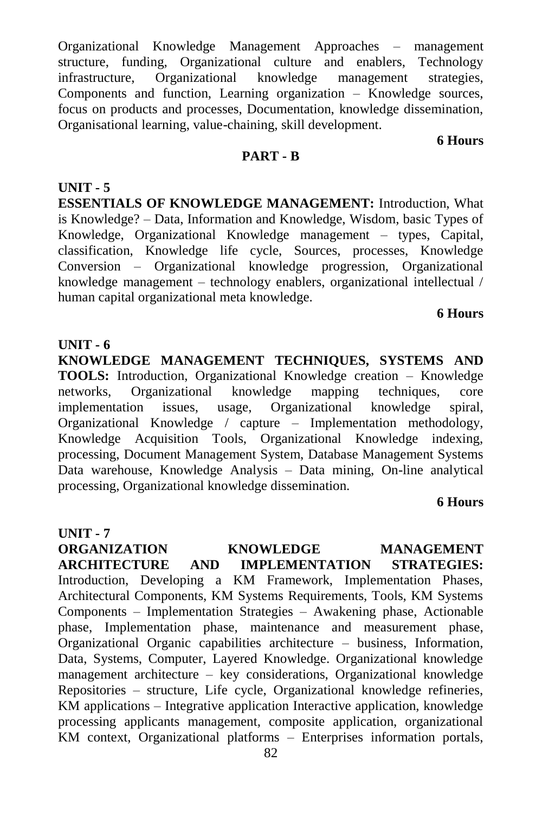Organizational Knowledge Management Approaches – management structure, funding, Organizational culture and enablers, Technology infrastructure, Organizational knowledge management strategies, Components and function, Learning organization – Knowledge sources, focus on products and processes, Documentation, knowledge dissemination, Organisational learning, value-chaining, skill development.

**6 Hours**

#### **PART - B**

**UNIT - 5 ESSENTIALS OF KNOWLEDGE MANAGEMENT:** Introduction, What is Knowledge? – Data, Information and Knowledge, Wisdom, basic Types of Knowledge, Organizational Knowledge management – types, Capital, classification, Knowledge life cycle, Sources, processes, Knowledge Conversion – Organizational knowledge progression, Organizational knowledge management – technology enablers, organizational intellectual / human capital organizational meta knowledge.

#### **6 Hours**

#### **UNIT - 6**

**KNOWLEDGE MANAGEMENT TECHNIQUES, SYSTEMS AND TOOLS:** Introduction, Organizational Knowledge creation – Knowledge networks, Organizational knowledge mapping techniques, core implementation issues, usage, Organizational knowledge spiral, Organizational Knowledge / capture – Implementation methodology, Knowledge Acquisition Tools, Organizational Knowledge indexing, processing, Document Management System, Database Management Systems Data warehouse, Knowledge Analysis – Data mining, On-line analytical processing, Organizational knowledge dissemination.

#### **6 Hours**

82 **UNIT - 7 ORGANIZATION KNOWLEDGE MANAGEMENT<br>ARCHITECTURE AND IMPLEMENTATION STRATEGIES: ARCHITECTURE AND IMPLEMENTATION STRATEGIES:**  Introduction, Developing a KM Framework, Implementation Phases, Architectural Components, KM Systems Requirements, Tools, KM Systems Components – Implementation Strategies – Awakening phase, Actionable phase, Implementation phase, maintenance and measurement phase, Organizational Organic capabilities architecture – business, Information, Data, Systems, Computer, Layered Knowledge. Organizational knowledge management architecture – key considerations, Organizational knowledge Repositories – structure, Life cycle, Organizational knowledge refineries, KM applications – Integrative application Interactive application, knowledge processing applicants management, composite application, organizational KM context, Organizational platforms – Enterprises information portals,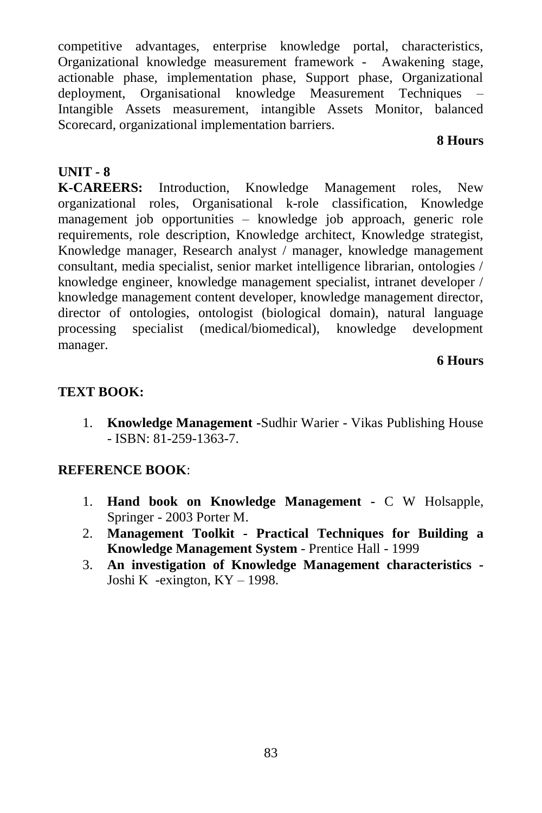competitive advantages, enterprise knowledge portal, characteristics, Organizational knowledge measurement framework - Awakening stage, actionable phase, implementation phase, Support phase, Organizational deployment, Organisational knowledge Measurement Techniques – Intangible Assets measurement, intangible Assets Monitor, balanced Scorecard, organizational implementation barriers.

#### **8 Hours**

# **UNIT - 8**

**K-CAREERS:** Introduction, Knowledge Management roles, New organizational roles, Organisational k-role classification, Knowledge management job opportunities – knowledge job approach, generic role requirements, role description, Knowledge architect, Knowledge strategist, Knowledge manager, Research analyst / manager, knowledge management consultant, media specialist, senior market intelligence librarian, ontologies / knowledge engineer, knowledge management specialist, intranet developer / knowledge management content developer, knowledge management director, director of ontologies, ontologist (biological domain), natural language processing specialist (medical/biomedical), knowledge development manager.

#### **6 Hours**

# **TEXT BOOK:**

1. **Knowledge Management -**Sudhir Warier - Vikas Publishing House - ISBN: 81-259-1363-7.

# **REFERENCE BOOK**:

- 1. **Hand book on Knowledge Management -** C W Holsapple, Springer - 2003 Porter M.
- 2. **Management Toolkit - Practical Techniques for Building a Knowledge Management System** - Prentice Hall - 1999
- 3. **An investigation of Knowledge Management characteristics -** Joshi K -exington, KY – 1998.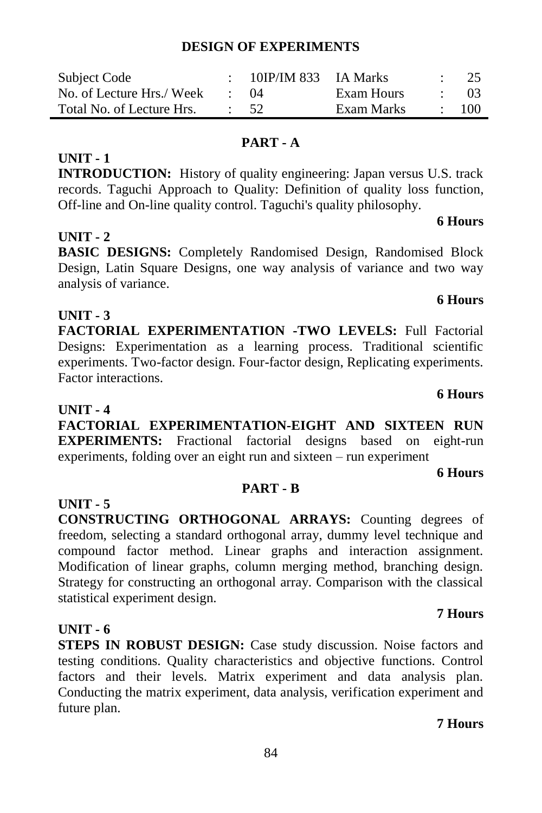**STEPS IN ROBUST DESIGN:** Case study discussion. Noise factors and testing conditions. Quality characteristics and objective functions. Control factors and their levels. Matrix experiment and data analysis plan.

# **DESIGN OF EXPERIMENTS**

| Subject Code              | 10IP/IM 833 IA Marks |            | $\frac{1}{25}$ |
|---------------------------|----------------------|------------|----------------|
| No. of Lecture Hrs./ Week | (1)4                 | Exam Hours | - 03           |
| Total No. of Lecture Hrs. | $\cdot$ 52           | Exam Marks | - 100          |

#### **PART - A**

**INTRODUCTION:** History of quality engineering: Japan versus U.S. track records. Taguchi Approach to Quality: Definition of quality loss function, Off-line and On-line quality control. Taguchi's quality philosophy.

### **UNIT - 2**

**UNIT - 1**

**BASIC DESIGNS:** Completely Randomised Design, Randomised Block Design, Latin Square Designs, one way analysis of variance and two way analysis of variance.

### **UNIT - 3**

**FACTORIAL EXPERIMENTATION -TWO LEVELS:** Full Factorial Designs: Experimentation as a learning process. Traditional scientific experiments. Two-factor design. Four-factor design, Replicating experiments. Factor interactions.

#### **UNIT - 4**

**UNIT - 5**

**UNIT - 6**

future plan.

statistical experiment design.

**FACTORIAL EXPERIMENTATION-EIGHT AND SIXTEEN RUN EXPERIMENTS:** Fractional factorial designs based on eight-run experiments, folding over an eight run and sixteen – run experiment

**PART - B**

**CONSTRUCTING ORTHOGONAL ARRAYS:** Counting degrees of freedom, selecting a standard orthogonal array, dummy level technique and compound factor method. Linear graphs and interaction assignment. Modification of linear graphs, column merging method, branching design.

#### **6 Hours**

**6 Hours**

### **7 Hours**

# Conducting the matrix experiment, data analysis, verification experiment and

# **7 Hours**

# Strategy for constructing an orthogonal array. Comparison with the classical

#### **6 Hours**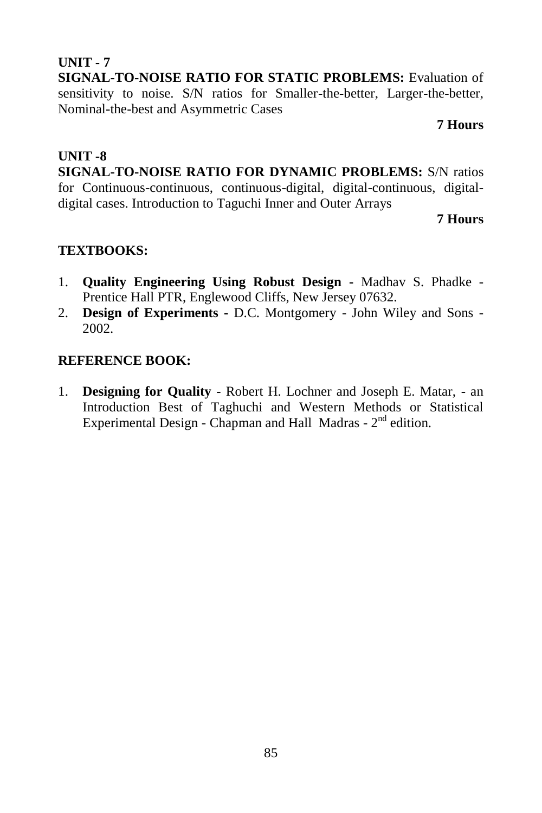# **UNIT - 7 SIGNAL-TO-NOISE RATIO FOR STATIC PROBLEMS:** Evaluation of sensitivity to noise. S/N ratios for Smaller-the-better, Larger-the-better, Nominal-the-best and Asymmetric Cases

#### **7 Hours**

# **UNIT -8**

**SIGNAL-TO-NOISE RATIO FOR DYNAMIC PROBLEMS:** S/N ratios for Continuous-continuous, continuous-digital, digital-continuous, digitaldigital cases. Introduction to Taguchi Inner and Outer Arrays

**7 Hours**

# **TEXTBOOKS:**

- 1. **Quality Engineering Using Robust Design -** Madhav S. Phadke Prentice Hall PTR, Englewood Cliffs, New Jersey 07632.
- 2. **Design of Experiments -** D.C. Montgomery John Wiley and Sons 2002.

### **REFERENCE BOOK:**

1. **Designing for Quality** - Robert H. Lochner and Joseph E. Matar, - an Introduction Best of Taghuchi and Western Methods or Statistical Experimental Design - Chapman and Hall Madras -  $2<sup>nd</sup>$  edition.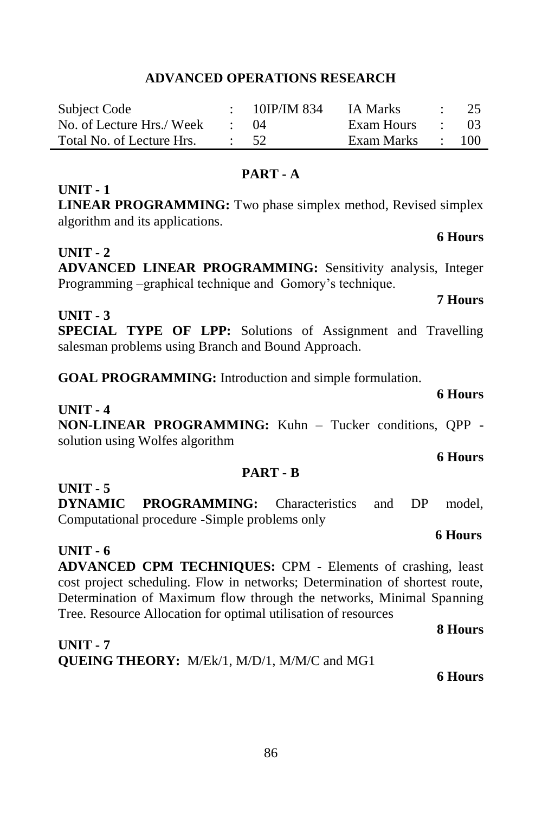#### 86

# **ADVANCED OPERATIONS RESEARCH**

| Subject Code              | $: 10$ IP/IM 834 | IA Marks         | $\therefore$ 25 |
|---------------------------|------------------|------------------|-----------------|
| No. of Lecture Hrs./ Week | (1)4             | Exam Hours       | - 03            |
| Total No. of Lecture Hrs. | $\cdot$ 52       | Exam Marks : 100 |                 |

#### **PART - A**

# **LINEAR PROGRAMMING:** Two phase simplex method, Revised simplex algorithm and its applications.

# **UNIT - 2**

**UNIT - 1**

# **ADVANCED LINEAR PROGRAMMING:** Sensitivity analysis, Integer Programming –graphical technique and Gomory's technique.

# **UNIT - 3**

**SPECIAL TYPE OF LPP:** Solutions of Assignment and Travelling salesman problems using Branch and Bound Approach.

**GOAL PROGRAMMING:** Introduction and simple formulation.

**UNIT - 4 NON-LINEAR PROGRAMMING:** Kuhn – Tucker conditions, QPP solution using Wolfes algorithm

### **PART - B**

**UNIT - 5**

**DYNAMIC PROGRAMMING:** Characteristics and DP model, Computational procedure -Simple problems only

### **UNIT - 6 ADVANCED CPM TECHNIQUES:** CPM - Elements of crashing, least cost project scheduling. Flow in networks; Determination of shortest route, Determination of Maximum flow through the networks, Minimal Spanning Tree. Resource Allocation for optimal utilisation of resources

**UNIT - 7 QUEING THEORY:** M/Ek/1, M/D/1, M/M/C and MG1

**6 Hours**

**8 Hours**

**7 Hours**

#### **6 Hours**

#### **6 Hours**

# **6 Hours**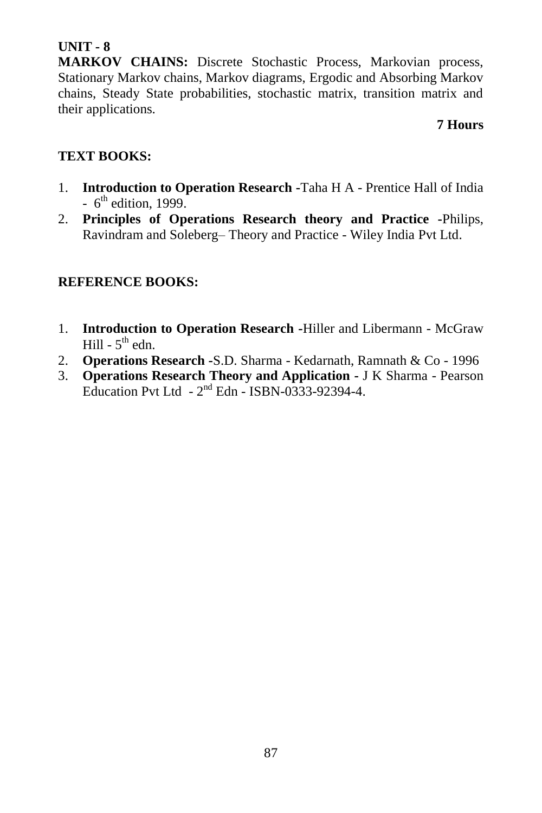# **UNIT - 8**

**MARKOV CHAINS:** Discrete Stochastic Process, Markovian process, Stationary Markov chains, Markov diagrams, Ergodic and Absorbing Markov chains, Steady State probabilities, stochastic matrix, transition matrix and their applications.

## **7 Hours**

# **TEXT BOOKS:**

- 1. **Introduction to Operation Research -**Taha H A Prentice Hall of India  $-6<sup>th</sup>$  edition, 1999.
- 2. **Principles of Operations Research theory and Practice -**Philips, Ravindram and Soleberg– Theory and Practice - Wiley India Pvt Ltd.

# **REFERENCE BOOKS:**

- 1. **Introduction to Operation Research -**Hiller and Libermann McGraw Hill -  $5^{\text{th}}$  edn.
- 2. **Operations Research -**S.D. Sharma Kedarnath, Ramnath & Co 1996
- 3. **Operations Research Theory and Application -** J K Sharma Pearson Education Pvt Ltd  $-2^{nd}$  Edn  $-$  ISBN-0333-92394-4.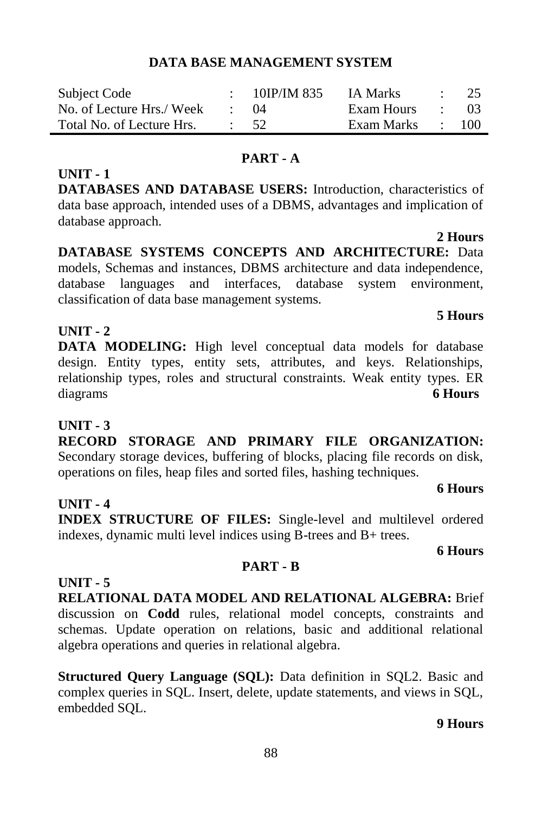**UNIT - 4**

**INDEX STRUCTURE OF FILES:** Single-level and multilevel ordered indexes, dynamic multi level indices using B-trees and B+ trees.

**PART - B**

# **UNIT - 5**

**RELATIONAL DATA MODEL AND RELATIONAL ALGEBRA:** Brief discussion on **Codd** rules, relational model concepts, constraints and schemas. Update operation on relations, basic and additional relational algebra operations and queries in relational algebra.

**Structured Query Language (SQL):** Data definition in SQL2. Basic and complex queries in SQL. Insert, delete, update statements, and views in SQL, embedded SQL.

# **DATA BASE MANAGEMENT SYSTEM**

| Subject Code              | 10IP/IM 835 | IA Marks   |                          | -25 |
|---------------------------|-------------|------------|--------------------------|-----|
| No. of Lecture Hrs./ Week | (1)4        | Exam Hours | <b>Contract Contract</b> | -03 |
| Total No. of Lecture Hrs. | 52          | Exam Marks |                          | 100 |

## **PART - A**

**DATABASES AND DATABASE USERS:** Introduction, characteristics of data base approach, intended uses of a DBMS, advantages and implication of database approach.

**DATABASE SYSTEMS CONCEPTS AND ARCHITECTURE:** Data models, Schemas and instances, DBMS architecture and data independence, database languages and interfaces, database system environment, classification of data base management systems.

**DATA MODELING:** High level conceptual data models for database design. Entity types, entity sets, attributes, and keys. Relationships, relationship types, roles and structural constraints. Weak entity types. ER

# **UNIT - 2**

**UNIT - 1**

# diagrams **6 Hours UNIT - 3**

**RECORD STORAGE AND PRIMARY FILE ORGANIZATION:**  Secondary storage devices, buffering of blocks, placing file records on disk, operations on files, heap files and sorted files, hashing techniques.

88

#### **6 Hours**

**9 Hours**

**6 Hours**

# **2 Hours**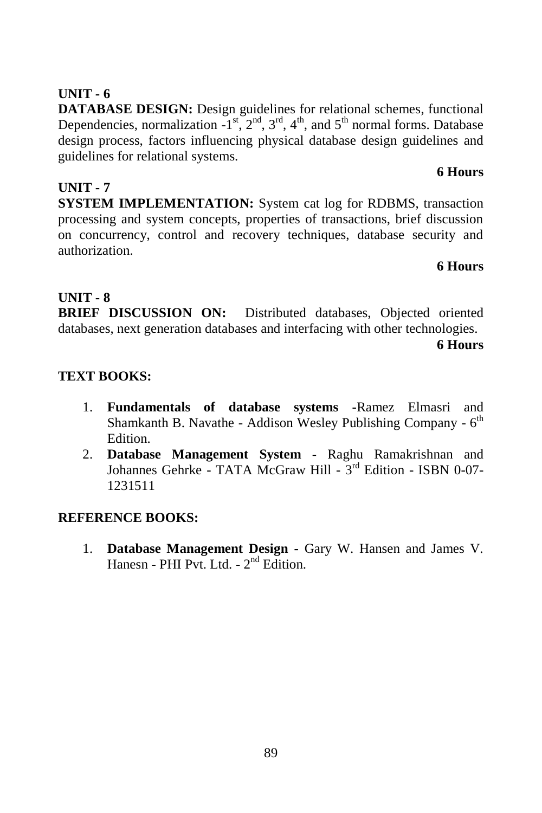#### 89

# **UNIT - 6**

**DATABASE DESIGN:** Design guidelines for relational schemes, functional Dependencies, normalization  $-1^{st}$ ,  $2^{nd}$ ,  $3^{rd}$ ,  $4^{th}$ , and  $5^{th}$  normal forms. Database design process, factors influencing physical database design guidelines and guidelines for relational systems.

#### **6 Hours**

**UNIT - 7 SYSTEM IMPLEMENTATION:** System cat log for RDBMS, transaction processing and system concepts, properties of transactions, brief discussion on concurrency, control and recovery techniques, database security and authorization.

### **6 Hours**

# **UNIT - 8**

**BRIEF DISCUSSION ON:** Distributed databases, Objected oriented databases, next generation databases and interfacing with other technologies.

**6 Hours**

# **TEXT BOOKS:**

- 1. **Fundamentals of database systems -**Ramez Elmasri and Shamkanth B. Navathe - Addison Wesley Publishing Company - 6<sup>th</sup> Edition.
- 2. **Database Management System -** Raghu Ramakrishnan and Johannes Gehrke - TATA McGraw Hill - 3<sup>rd</sup> Edition - ISBN 0-07-1231511

# **REFERENCE BOOKS:**

1. **Database Management Design -** Gary W. Hansen and James V. Hanesn - PHI Pvt. Ltd. - 2<sup>nd</sup> Edition.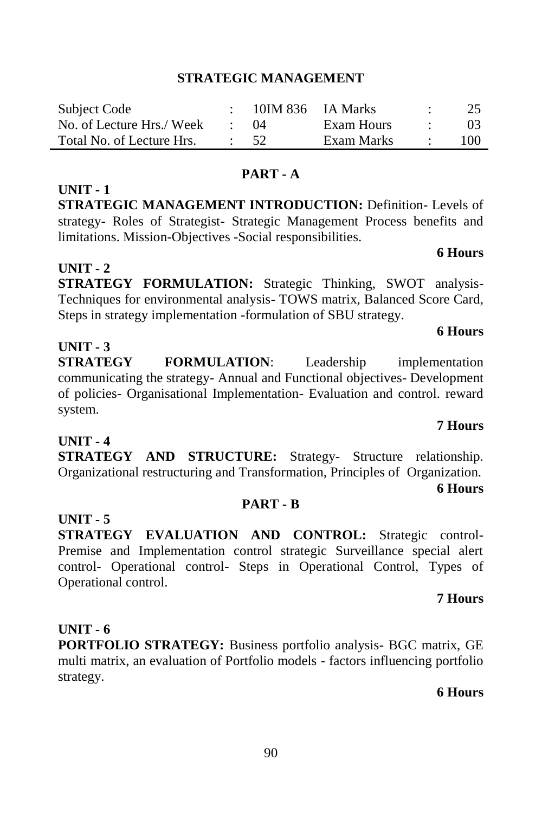#### **STRATEGIC MANAGEMENT**

| Subject Code              | 10IM 836 IA Marks |            | 25              |
|---------------------------|-------------------|------------|-----------------|
| No. of Lecture Hrs./ Week | (1)4              | Exam Hours | 03 <sup>2</sup> |
| Total No. of Lecture Hrs. | 52                | Exam Marks | 100             |

#### **PART - A**

**STRATEGIC MANAGEMENT INTRODUCTION:** Definition- Levels of strategy- Roles of Strategist- Strategic Management Process benefits and limitations. Mission-Objectives -Social responsibilities.

#### **UNIT - 2**

**UNIT - 1**

**STRATEGY FORMULATION:** Strategic Thinking, SWOT analysis-Techniques for environmental analysis- TOWS matrix, Balanced Score Card, Steps in strategy implementation -formulation of SBU strategy.

#### **UNIT - 3**

**STRATEGY FORMULATION**: Leadership implementation communicating the strategy- Annual and Functional objectives- Development of policies- Organisational Implementation- Evaluation and control. reward system.

# **UNIT - 4**

**STRATEGY AND STRUCTURE:** Strategy- Structure relationship. Organizational restructuring and Transformation, Principles of Organization. **6 Hours**

#### **PART - B**

**UNIT - 5**

**STRATEGY EVALUATION AND CONTROL:** Strategic control-Premise and Implementation control strategic Surveillance special alert control- Operational control- Steps in Operational Control, Types of Operational control.

#### **7 Hours**

#### **UNIT - 6**

**PORTFOLIO STRATEGY:** Business portfolio analysis- BGC matrix, GE multi matrix, an evaluation of Portfolio models - factors influencing portfolio strategy.

### **6 Hours**

# **6 Hours**

**6 Hours**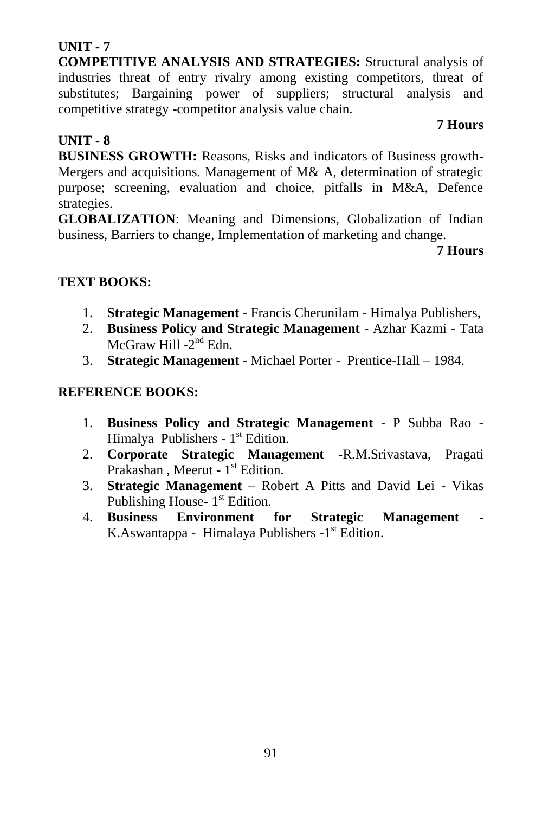91

# **UNIT - 7**

**COMPETITIVE ANALYSIS AND STRATEGIES:** Structural analysis of industries threat of entry rivalry among existing competitors, threat of substitutes; Bargaining power of suppliers; structural analysis and competitive strategy -competitor analysis value chain.

## **UNIT - 8**

**BUSINESS GROWTH:** Reasons, Risks and indicators of Business growth-Mergers and acquisitions. Management of M& A, determination of strategic purpose; screening, evaluation and choice, pitfalls in M&A, Defence strategies.

**GLOBALIZATION**: Meaning and Dimensions, Globalization of Indian business, Barriers to change, Implementation of marketing and change.

# **7 Hours**

**7 Hours**

# **TEXT BOOKS:**

- 1. **Strategic Management** Francis Cherunilam Himalya Publishers,
- 2. **Business Policy and Strategic Management** Azhar Kazmi Tata McGraw Hill -2<sup>nd</sup> Edn.
- 3. **Strategic Management** Michael Porter Prentice-Hall 1984.

# **REFERENCE BOOKS:**

- 1. **Business Policy and Strategic Management** P Subba Rao Himalya Publishers - 1<sup>st</sup> Edition.
- 2. **Corporate Strategic Management** -R.M.Srivastava, Pragati Prakashan, Meerut - 1<sup>st</sup> Edition.
- 3. **Strategic Management** Robert A Pitts and David Lei Vikas Publishing House- 1<sup>st</sup> Edition.
- 4. **Business Environment for Strategic Management** K.Aswantappa - Himalaya Publishers -1<sup>st</sup> Edition.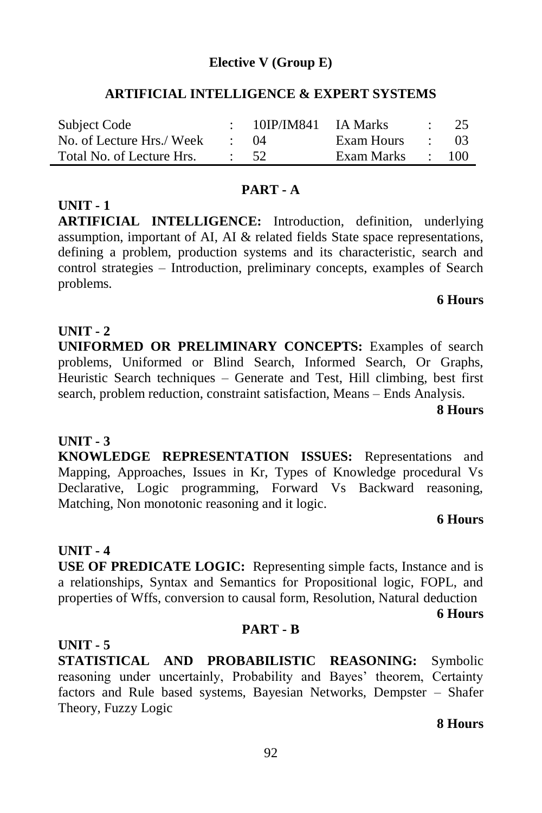## **Elective V (Group E)**

### **ARTIFICIAL INTELLIGENCE & EXPERT SYSTEMS**

| Subject Code              | 10IP/IM841 IA Marks |              | $\sim$ 100 $\pm$     | 25   |
|---------------------------|---------------------|--------------|----------------------|------|
| No. of Lecture Hrs./ Week | $\colon$ $(14)$     | Exam Hours   | and the state of the | - 03 |
| Total No. of Lecture Hrs. | - 52                | Exam Marks : |                      | 100  |

#### **PART - A**

**UNIT - 1 ARTIFICIAL INTELLIGENCE:** Introduction, definition, underlying assumption, important of AI, AI & related fields State space representations, defining a problem, production systems and its characteristic, search and control strategies – Introduction, preliminary concepts, examples of Search problems.

#### **6 Hours**

#### **UNIT - 2**

**UNIFORMED OR PRELIMINARY CONCEPTS:** Examples of search problems, Uniformed or Blind Search, Informed Search, Or Graphs, Heuristic Search techniques – Generate and Test, Hill climbing, best first search, problem reduction, constraint satisfaction, Means – Ends Analysis.

**8 Hours**

### **UNIT - 3**

**KNOWLEDGE REPRESENTATION ISSUES:** Representations and Mapping, Approaches, Issues in Kr, Types of Knowledge procedural Vs Declarative, Logic programming, Forward Vs Backward reasoning, Matching, Non monotonic reasoning and it logic.

#### **6 Hours**

#### **UNIT - 4**

**USE OF PREDICATE LOGIC:** Representing simple facts, Instance and is a relationships, Syntax and Semantics for Propositional logic, FOPL, and properties of Wffs, conversion to causal form, Resolution, Natural deduction

**6 Hours** 

#### **PART - B**

#### **UNIT - 5**

**STATISTICAL AND PROBABILISTIC REASONING:** Symbolic reasoning under uncertainly, Probability and Bayes' theorem, Certainty factors and Rule based systems, Bayesian Networks, Dempster – Shafer Theory, Fuzzy Logic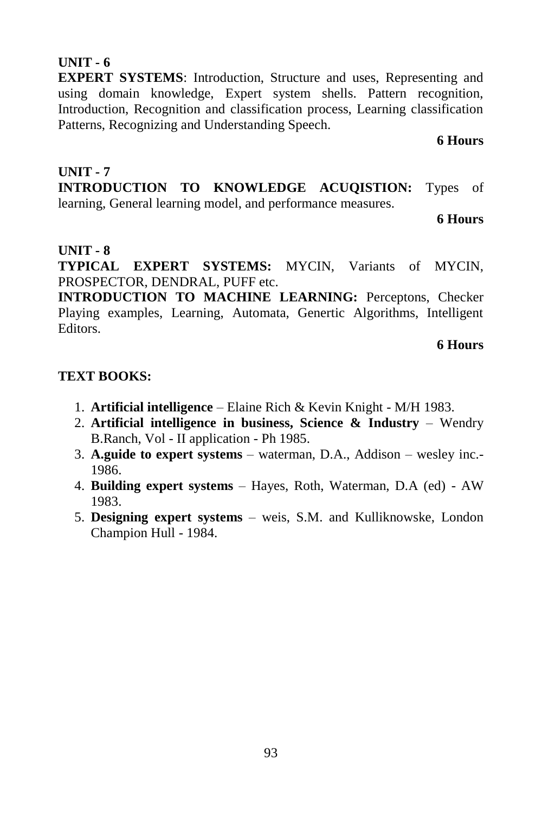#### **TEXT BOOKS:**

- 1. **Artificial intelligence** Elaine Rich & Kevin Knight M/H 1983.
- 2. **Artificial intelligence in business, Science & Industry** Wendry B.Ranch, Vol - II application - Ph 1985.
- 3. **A.guide to expert systems** waterman, D.A., Addison wesley inc.- 1986.
- 4. **Building expert systems** Hayes, Roth, Waterman, D.A (ed) AW 1983.
- 5. **Designing expert systems** weis, S.M. and Kulliknowske, London Champion Hull - 1984.

93

#### **UNIT - 6**

**EXPERT SYSTEMS**: Introduction, Structure and uses, Representing and using domain knowledge, Expert system shells. Pattern recognition, Introduction, Recognition and classification process, Learning classification Patterns, Recognizing and Understanding Speech.

**INTRODUCTION TO KNOWLEDGE ACUQISTION:** Types of

learning, General learning model, and performance measures.

**6 Hours**

**6 Hours**

# **UNIT - 8**

**UNIT - 7**

**TYPICAL EXPERT SYSTEMS:** MYCIN, Variants of MYCIN, PROSPECTOR, DENDRAL, PUFF etc.

**INTRODUCTION TO MACHINE LEARNING:** Perceptons, Checker Playing examples, Learning, Automata, Genertic Algorithms, Intelligent Editors.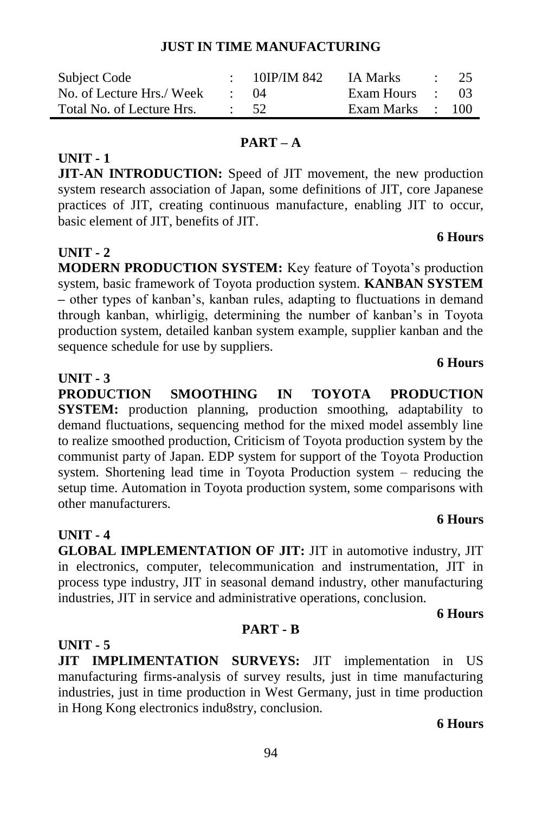# **JUST IN TIME MANUFACTURING**

| Subject Code              |             | 10IP/IM 842 | IA Marks         | $\therefore$ 25 |
|---------------------------|-------------|-------------|------------------|-----------------|
| No. of Lecture Hrs./ Week | $\cdot$ ()4 |             | Exam Hours : 03  |                 |
| Total No. of Lecture Hrs. | $\cdot$ 52  |             | Exam Marks : 100 |                 |

### **UNIT - 1**

**JIT-AN INTRODUCTION:** Speed of JIT movement, the new production system research association of Japan, some definitions of JIT, core Japanese practices of JIT, creating continuous manufacture, enabling JIT to occur, basic element of JIT, benefits of JIT.

**PART – A**

# **UNIT - 2**

**MODERN PRODUCTION SYSTEM:** Key feature of Toyota's production system, basic framework of Toyota production system. **KANBAN SYSTEM –** other types of kanban's, kanban rules, adapting to fluctuations in demand through kanban, whirligig, determining the number of kanban's in Toyota production system, detailed kanban system example, supplier kanban and the sequence schedule for use by suppliers.

# **UNIT - 3**

**PRODUCTION SMOOTHING IN TOYOTA PRODUCTION SYSTEM:** production planning, production smoothing, adaptability to demand fluctuations, sequencing method for the mixed model assembly line to realize smoothed production, Criticism of Toyota production system by the communist party of Japan. EDP system for support of the Toyota Production system. Shortening lead time in Toyota Production system – reducing the setup time. Automation in Toyota production system, some comparisons with other manufacturers.

**GLOBAL IMPLEMENTATION OF JIT:** JIT in automotive industry, JIT in electronics, computer, telecommunication and instrumentation, JIT in process type industry, JIT in seasonal demand industry, other manufacturing industries, JIT in service and administrative operations, conclusion.

**6 Hours**

# **UNIT - 5**

**UNIT - 4**

**JIT IMPLIMENTATION SURVEYS:** JIT implementation in US manufacturing firms-analysis of survey results, just in time manufacturing industries, just in time production in West Germany, just in time production in Hong Kong electronics indu8stry, conclusion.

**PART - B**

#### **6 Hours**

# **6 Hours**

# **6 Hours**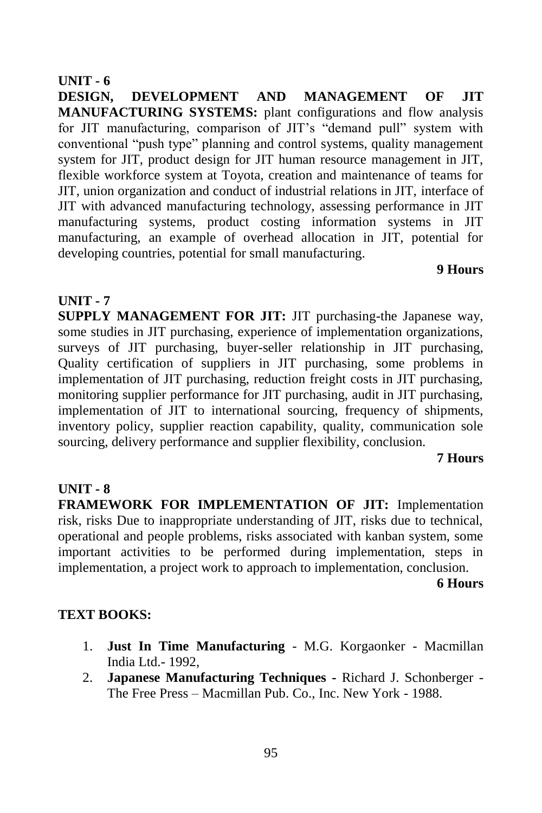#### **UNIT - 6**

**DESIGN, DEVELOPMENT AND MANAGEMENT OF JIT MANUFACTURING SYSTEMS:** plant configurations and flow analysis for JIT manufacturing, comparison of JIT's "demand pull" system with conventional "push type" planning and control systems, quality management system for JIT, product design for JIT human resource management in JIT, flexible workforce system at Toyota, creation and maintenance of teams for JIT, union organization and conduct of industrial relations in JIT, interface of JIT with advanced manufacturing technology, assessing performance in JIT manufacturing systems, product costing information systems in JIT manufacturing, an example of overhead allocation in JIT, potential for developing countries, potential for small manufacturing.

#### **9 Hours**

#### **UNIT - 7**

**SUPPLY MANAGEMENT FOR JIT:** JIT purchasing-the Japanese way, some studies in JIT purchasing, experience of implementation organizations, surveys of JIT purchasing, buyer-seller relationship in JIT purchasing, Quality certification of suppliers in JIT purchasing, some problems in implementation of JIT purchasing, reduction freight costs in JIT purchasing, monitoring supplier performance for JIT purchasing, audit in JIT purchasing, implementation of JIT to international sourcing, frequency of shipments, inventory policy, supplier reaction capability, quality, communication sole sourcing, delivery performance and supplier flexibility, conclusion.

#### **7 Hours**

#### **UNIT - 8**

**FRAMEWORK FOR IMPLEMENTATION OF JIT:** Implementation risk, risks Due to inappropriate understanding of JIT, risks due to technical, operational and people problems, risks associated with kanban system, some important activities to be performed during implementation, steps in implementation, a project work to approach to implementation, conclusion.

**6 Hours**

#### **TEXT BOOKS:**

- 1. **Just In Time Manufacturing** M.G. Korgaonker Macmillan India Ltd.- 1992,
- 2. **Japanese Manufacturing Techniques -** Richard J. Schonberger The Free Press – Macmillan Pub. Co., Inc. New York - 1988.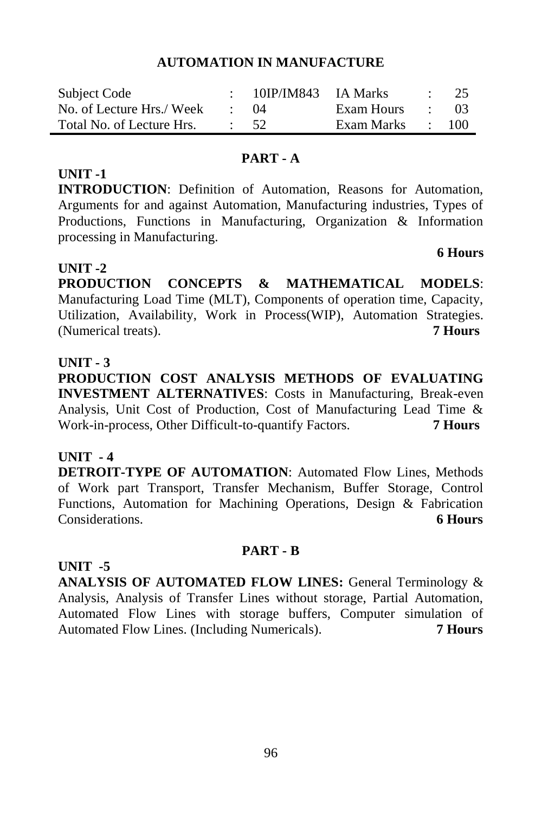#### **AUTOMATION IN MANUFACTURE**

| Subject Code              | 10IP/IM843 IA Marks |            |                          | $\therefore$ 25 |
|---------------------------|---------------------|------------|--------------------------|-----------------|
| No. of Lecture Hrs./ Week | $\cdot$ 04          | Exam Hours | and the company          | - 03            |
| Total No. of Lecture Hrs. | $\frac{1}{2}$ 52    | Exam Marks | <b>Contract Contract</b> | 100             |

#### **PART - A**

# **UNIT -1**

**INTRODUCTION**: Definition of Automation, Reasons for Automation, Arguments for and against Automation, Manufacturing industries, Types of Productions, Functions in Manufacturing, Organization & Information processing in Manufacturing.

### **UNIT -2**

**PRODUCTION CONCEPTS & MATHEMATICAL MODELS**: Manufacturing Load Time (MLT), Components of operation time, Capacity, Utilization, Availability, Work in Process(WIP), Automation Strategies. (Numerical treats). **7 Hours**

#### **UNIT - 3**

**PRODUCTION COST ANALYSIS METHODS OF EVALUATING INVESTMENT ALTERNATIVES**: Costs in Manufacturing, Break-even Analysis, Unit Cost of Production, Cost of Manufacturing Lead Time & Work-in-process, Other Difficult-to-quantify Factors. **7 Hours**

### **UNIT - 4**

**UNIT -5** 

**DETROIT-TYPE OF AUTOMATION**: Automated Flow Lines, Methods of Work part Transport, Transfer Mechanism, Buffer Storage, Control Functions, Automation for Machining Operations, Design & Fabrication Considerations. **6 Hours**

#### **PART - B**

**ANALYSIS OF AUTOMATED FLOW LINES:** General Terminology & Analysis, Analysis of Transfer Lines without storage, Partial Automation, Automated Flow Lines with storage buffers, Computer simulation of Automated Flow Lines. (Including Numericals). **7 Hours**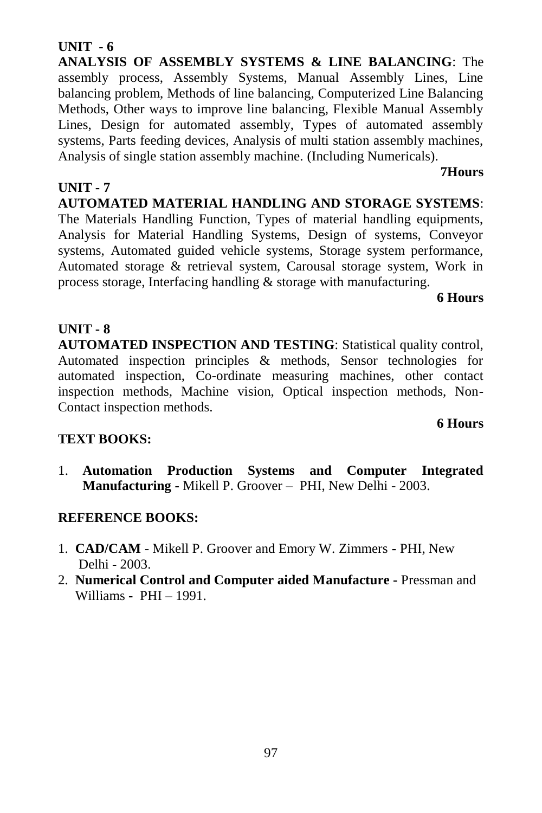#### 97

# **UNIT - 6**

**ANALYSIS OF ASSEMBLY SYSTEMS & LINE BALANCING**: The assembly process, Assembly Systems, Manual Assembly Lines, Line balancing problem, Methods of line balancing, Computerized Line Balancing Methods, Other ways to improve line balancing, Flexible Manual Assembly Lines, Design for automated assembly, Types of automated assembly systems, Parts feeding devices, Analysis of multi station assembly machines, Analysis of single station assembly machine. (Including Numericals).

### **UNIT - 7**

**AUTOMATED MATERIAL HANDLING AND STORAGE SYSTEMS**: The Materials Handling Function, Types of material handling equipments, Analysis for Material Handling Systems, Design of systems, Conveyor systems, Automated guided vehicle systems, Storage system performance, Automated storage & retrieval system, Carousal storage system, Work in process storage, Interfacing handling & storage with manufacturing.

**6 Hours**

**6 Hours**

**7Hours**

### **UNIT - 8**

**AUTOMATED INSPECTION AND TESTING**: Statistical quality control, Automated inspection principles & methods, Sensor technologies for automated inspection, Co-ordinate measuring machines, other contact inspection methods, Machine vision, Optical inspection methods, Non-Contact inspection methods.

# **TEXT BOOKS:**

1. **Automation Production Systems and Computer Integrated Manufacturing -** Mikell P. Groover – PHI, New Delhi - 2003.

### **REFERENCE BOOKS:**

- 1. **CAD/CAM** Mikell P. Groover and Emory W. Zimmers **-** PHI, New Delhi - 2003.
- 2. **Numerical Control and Computer aided Manufacture -** Pressman and Williams **-** PHI – 1991.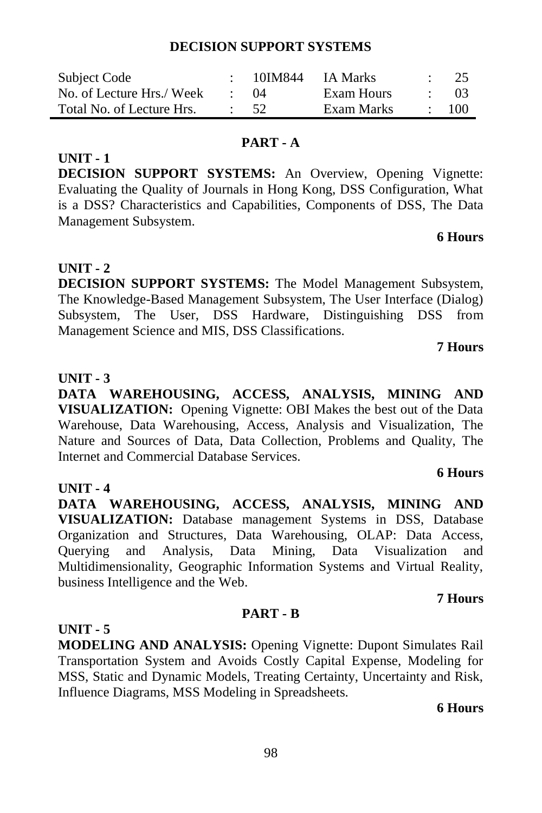**DECISION SUPPORT SYSTEMS:** The Model Management Subsystem, The Knowledge-Based Management Subsystem, The User Interface (Dialog) Subsystem, The User, DSS Hardware, Distinguishing DSS from Management Science and MIS, DSS Classifications.

#### **UNIT - 3**

**UNIT - 1**

**UNIT - 2**

Management Subsystem.

**DATA WAREHOUSING, ACCESS, ANALYSIS, MINING AND VISUALIZATION:** Opening Vignette: OBI Makes the best out of the Data Warehouse, Data Warehousing, Access, Analysis and Visualization, The Nature and Sources of Data, Data Collection, Problems and Quality, The Internet and Commercial Database Services.

#### **UNIT - 4**

**DATA WAREHOUSING, ACCESS, ANALYSIS, MINING AND VISUALIZATION:** Database management Systems in DSS, Database Organization and Structures, Data Warehousing, OLAP: Data Access, Querying and Analysis, Data Mining, Data Visualization and Multidimensionality, Geographic Information Systems and Virtual Reality, business Intelligence and the Web.

### **UNIT - 5**

**MODELING AND ANALYSIS:** Opening Vignette: Dupont Simulates Rail Transportation System and Avoids Costly Capital Expense, Modeling for MSS, Static and Dynamic Models, Treating Certainty, Uncertainty and Risk, Influence Diagrams, MSS Modeling in Spreadsheets.

**PART - B**

#### **6 Hours**

#### **DECISION SUPPORT SYSTEMS**

| Subject Code              | 10IM844     | IA Marks   | - 25 |
|---------------------------|-------------|------------|------|
| No. of Lecture Hrs./ Week | $\cdot$ ()4 | Exam Hours | 03   |
| Total No. of Lecture Hrs. | - 52        | Exam Marks | 100  |

#### **PART - A**

**DECISION SUPPORT SYSTEMS:** An Overview, Opening Vignette:

Evaluating the Quality of Journals in Hong Kong, DSS Configuration, What is a DSS? Characteristics and Capabilities, Components of DSS, The Data

#### **6 Hours**

**7 Hours**

### **6 Hours**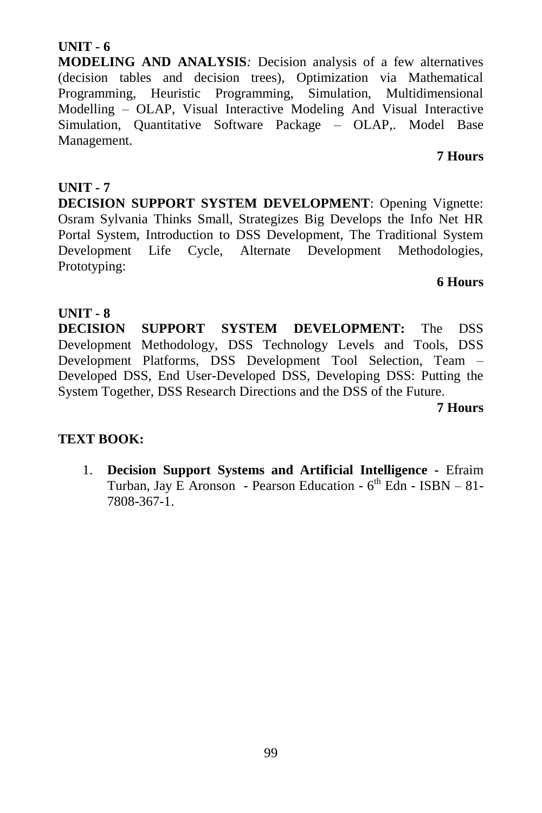#### 99

# **UNIT - 6**

**MODELING AND ANALYSIS***:* Decision analysis of a few alternatives (decision tables and decision trees), Optimization via Mathematical Programming, Heuristic Programming, Simulation, Multidimensional Modelling – OLAP, Visual Interactive Modeling And Visual Interactive Simulation, Quantitative Software Package – OLAP,. Model Base Management.

#### **7 Hours**

## **UNIT - 7**

**DECISION SUPPORT SYSTEM DEVELOPMENT**: Opening Vignette: Osram Sylvania Thinks Small, Strategizes Big Develops the Info Net HR Portal System, Introduction to DSS Development, The Traditional System Development Life Cycle, Alternate Development Methodologies, Prototyping:

#### **6 Hours**

### **UNIT - 8**

**DECISION SUPPORT SYSTEM DEVELOPMENT:** The DSS Development Methodology, DSS Technology Levels and Tools, DSS Development Platforms, DSS Development Tool Selection, Team – Developed DSS, End User-Developed DSS, Developing DSS: Putting the System Together, DSS Research Directions and the DSS of the Future.

**7 Hours**

# **TEXT BOOK:**

1. **Decision Support Systems and Artificial Intelligence -** Efraim Turban, Jay E Aronson - Pearson Education - 6<sup>th</sup> Edn - ISBN - 81-7808-367-1.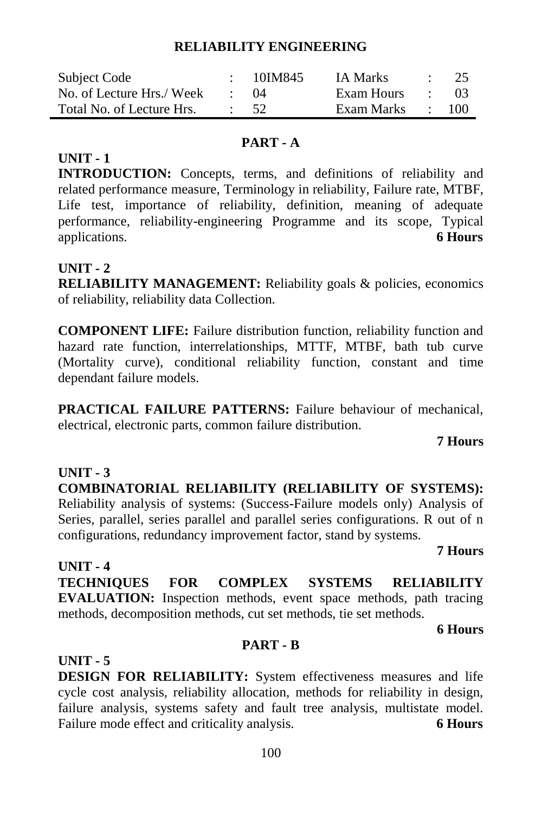#### **RELIABILITY ENGINEERING**

| Subject Code              | $\div$ 10IM845 | <b>IA Marks</b> |                          | $\therefore$ 25 |
|---------------------------|----------------|-----------------|--------------------------|-----------------|
| No. of Lecture Hrs./ Week | -04            | Exam Hours      | <b>Contract Contract</b> | - 03            |
| Total No. of Lecture Hrs. | $\cdot$ 52     | Exam Marks      |                          | 100             |

### **PART - A**

## **UNIT - 1**

**INTRODUCTION:** Concepts, terms, and definitions of reliability and related performance measure, Terminology in reliability, Failure rate, MTBF, Life test, importance of reliability, definition, meaning of adequate performance, reliability-engineering Programme and its scope, Typical applications. **6 Hours**

# **UNIT - 2**

**RELIABILITY MANAGEMENT:** Reliability goals & policies, economics of reliability, reliability data Collection.

**COMPONENT LIFE:** Failure distribution function, reliability function and hazard rate function, interrelationships, MTTF, MTBF, bath tub curve (Mortality curve), conditional reliability function, constant and time dependant failure models.

**PRACTICAL FAILURE PATTERNS:** Failure behaviour of mechanical, electrical, electronic parts, common failure distribution.

#### **7 Hours**

**UNIT - 3 COMBINATORIAL RELIABILITY (RELIABILITY OF SYSTEMS):**  Reliability analysis of systems: (Success-Failure models only) Analysis of Series, parallel, series parallel and parallel series configurations. R out of n configurations, redundancy improvement factor, stand by systems.

#### **7 Hours**

**UNIT - 4 TECHNIQUES FOR COMPLEX SYSTEMS RELIABILITY EVALUATION:** Inspection methods, event space methods, path tracing methods, decomposition methods, cut set methods, tie set methods.

**6 Hours**

### **PART - B**

**UNIT - 5 DESIGN FOR RELIABILITY:** System effectiveness measures and life cycle cost analysis, reliability allocation, methods for reliability in design, failure analysis, systems safety and fault tree analysis, multistate model. Failure mode effect and criticality analysis. 6 **Hours**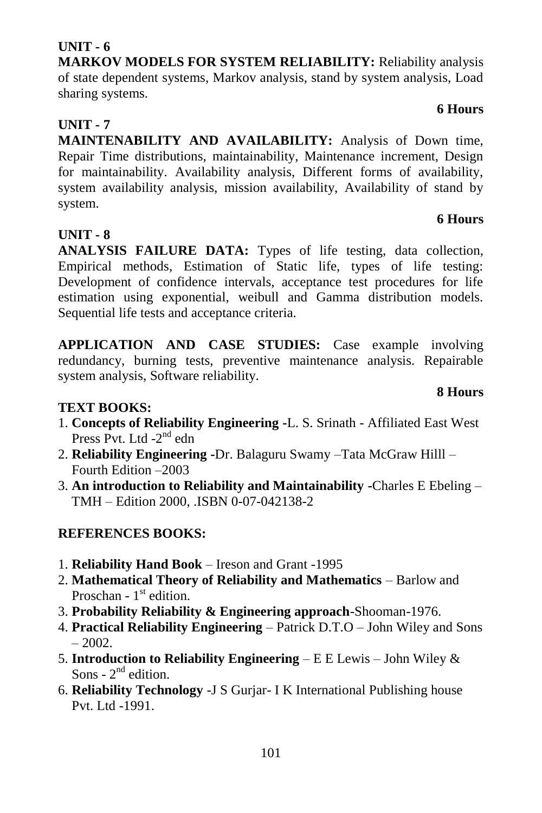# **UNIT - 6**

**MARKOV MODELS FOR SYSTEM RELIABILITY:** Reliability analysis of state dependent systems, Markov analysis, stand by system analysis, Load sharing systems.

# **UNIT - 7**

**MAINTENABILITY AND AVAILABILITY:** Analysis of Down time, Repair Time distributions, maintainability, Maintenance increment, Design for maintainability. Availability analysis, Different forms of availability, system availability analysis, mission availability, Availability of stand by system. **6 Hours**

# **UNIT - 8**

**ANALYSIS FAILURE DATA:** Types of life testing, data collection, Empirical methods, Estimation of Static life, types of life testing: Development of confidence intervals, acceptance test procedures for life estimation using exponential, weibull and Gamma distribution models. Sequential life tests and acceptance criteria.

**APPLICATION AND CASE STUDIES:** Case example involving redundancy, burning tests, preventive maintenance analysis. Repairable system analysis, Software reliability.

# **TEXT BOOKS:**

- 1. **Concepts of Reliability Engineering -**L. S. Srinath Affiliated East West Press Pvt. Ltd -2<sup>nd</sup> edn
- 2. **Reliability Engineering -**Dr. Balaguru Swamy –Tata McGraw Hilll Fourth Edition –2003
- 3. **An introduction to Reliability and Maintainability -**Charles E Ebeling TMH – Edition 2000, .ISBN 0-07-042138-2

# **REFERENCES BOOKS:**

- 1. **Reliability Hand Book** Ireson and Grant -1995
- 2. **Mathematical Theory of Reliability and Mathematics** Barlow and Proschan - 1<sup>st</sup> edition.
- 3. **Probability Reliability & Engineering approach**-Shooman-1976.
- 4. **Practical Reliability Engineering** Patrick D.T.O John Wiley and Sons  $-2002$ .
- 5. **Introduction to Reliability Engineering** E E Lewis John Wiley & Sons -  $2<sup>nd</sup>$  edition.
- 6. **Reliability Technology** -J S Gurjar- I K International Publishing house Pvt. Ltd -1991.

# **8 Hours**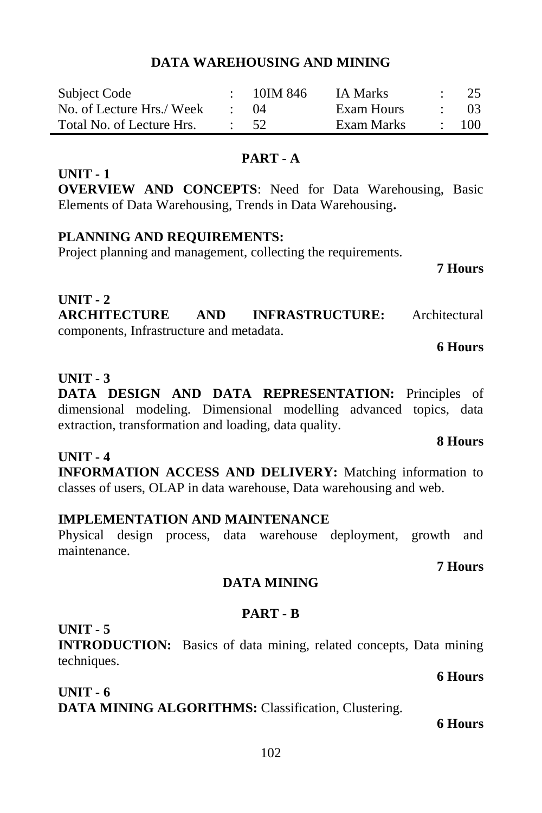#### **DATA WAREHOUSING AND MINING**

| Subject Code              | 10IM 846         | <b>IA Marks</b> | - 25 |
|---------------------------|------------------|-----------------|------|
| No. of Lecture Hrs./ Week | (1)4             | Exam Hours      | -03  |
| Total No. of Lecture Hrs. | $\frac{1}{2}$ 52 | Exam Marks      | 100  |

#### **PART - A**

#### **UNIT - 1**

**OVERVIEW AND CONCEPTS**: Need for Data Warehousing, Basic Elements of Data Warehousing, Trends in Data Warehousing**.**

#### **PLANNING AND REQUIREMENTS:**

Project planning and management, collecting the requirements.

#### **7 Hours**

#### **UNIT - 2 ARCHITECTURE AND INFRASTRUCTURE:** Architectural components, Infrastructure and metadata.

#### **6 Hours**

#### **UNIT - 3**

**DATA DESIGN AND DATA REPRESENTATION:** Principles of dimensional modeling. Dimensional modelling advanced topics, data extraction, transformation and loading, data quality.

#### **UNIT - 4**

**INFORMATION ACCESS AND DELIVERY:** Matching information to classes of users, OLAP in data warehouse, Data warehousing and web.

#### **IMPLEMENTATION AND MAINTENANCE**

Physical design process, data warehouse deployment, growth and maintenance.

#### **7 Hours**

### **DATA MINING**

### **PART - B**

### **UNIT - 5**

**INTRODUCTION:** Basics of data mining, related concepts, Data mining techniques.

**UNIT - 6 DATA MINING ALGORITHMS:** Classification, Clustering.

#### **6 Hours**

# **8 Hours**